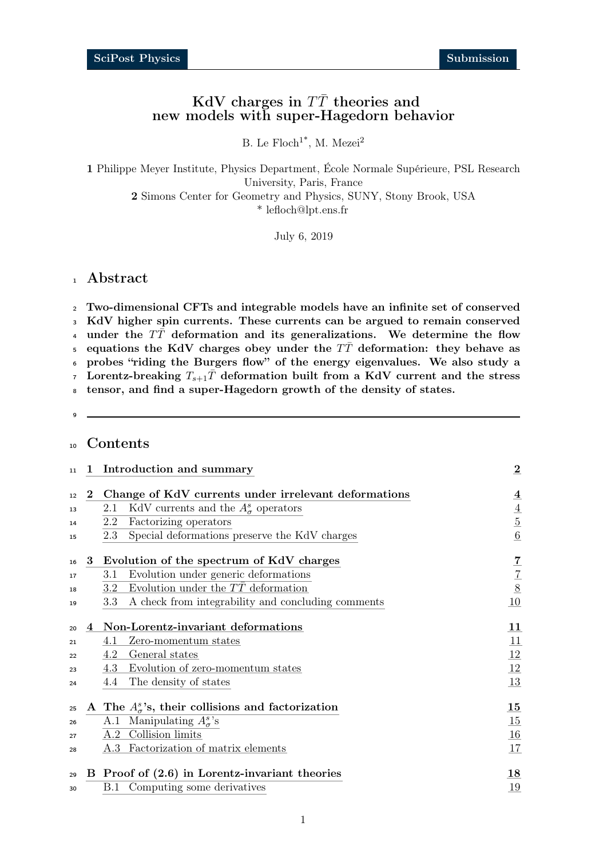## KdV charges in  $T\bar{T}$  theories and new models with super-Hagedorn behavior

B. Le  $Floch^{1*}$ , M. Mezei<sup>2</sup>

1 Philippe Meyer Institute, Physics Department, École Normale Supérieure, PSL Research University, Paris, France 2 Simons Center for Geometry and Physics, SUNY, Stony Brook, USA \* lefloch@lpt.ens.fr

July 6, 2019

## <sup>1</sup> Abstract

<sup>2</sup> Two-dimensional CFTs and integrable models have an infinite set of conserved <sup>3</sup> KdV higher spin currents. These currents can be argued to remain conserved 4 under the  $T\bar{T}$  deformation and its generalizations. We determine the flow 5 equations the KdV charges obey under the  $T\bar{T}$  deformation: they behave as <sup>6</sup> probes "riding the Burgers flow" of the energy eigenvalues. We also study a 7 Lorentz-breaking  $T_{s+1}$  deformation built from a KdV current and the stress

8 tensor, and find a super-Hagedorn growth of the density of states.

 $\epsilon$ 

## <sup>10</sup> Contents

| 11 |   | 1 Introduction and summary                                    | $\bf{2}$       |
|----|---|---------------------------------------------------------------|----------------|
| 12 |   | 2 Change of KdV currents under irrelevant deformations        | 4              |
| 13 |   | KdV currents and the $A^s_\sigma$ operators<br>2.1            | 4              |
| 14 |   | Factorizing operators<br>2.2                                  | $\overline{5}$ |
| 15 |   | Special deformations preserve the KdV charges<br>2.3          | 6              |
| 16 | 3 | Evolution of the spectrum of KdV charges                      | 7              |
| 17 |   | Evolution under generic deformations<br>3.1                   | $\overline{7}$ |
| 18 |   | Evolution under the $T\bar{T}$ deformation<br>$3.2^{\circ}$   | 8              |
| 19 |   | A check from integrability and concluding comments<br>3.3     | 10             |
| 20 | 4 | Non-Lorentz-invariant deformations                            | 11             |
| 21 |   | Zero-momentum states<br>4.1                                   | 11             |
| 22 |   | General states<br>4.2                                         | 12             |
| 23 |   | Evolution of zero-momentum states<br>4.3                      | 12             |
| 24 |   | The density of states<br>4.4                                  | 13             |
| 25 |   | A The $A_{\sigma}^{s}$ 's, their collisions and factorization | 15             |
| 26 |   | A.1 Manipulating $A^s_{\sigma}$ 's                            | 15             |
| 27 |   | A.2 Collision limits                                          | 16             |
| 28 |   | A.3 Factorization of matrix elements                          | 17             |
| 29 | B | Proof of $(2.6)$ in Lorentz-invariant theories                | 18             |
| 30 |   | <b>B.1</b> Computing some derivatives                         | 19             |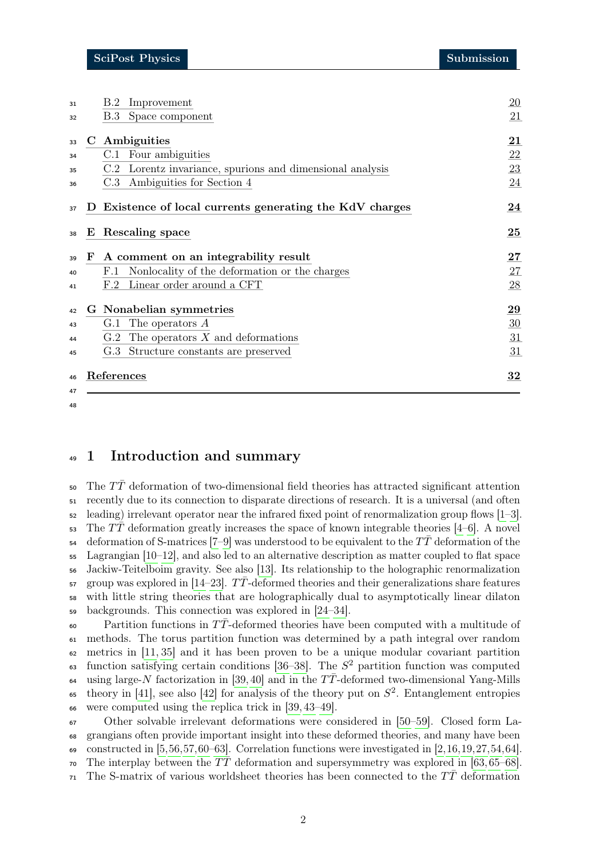| 33 | C Ambiguities                                               | 21     |
|----|-------------------------------------------------------------|--------|
| 34 | C.1 Four ambiguities                                        | 22     |
| 35 | C.2 Lorentz invariance, spurions and dimensional analysis   | 23     |
| 36 | C.3 Ambiguities for Section 4                               | 24     |
| 37 | Existence of local currents generating the KdV charges<br>D | 24     |
| 38 | E Rescaling space                                           | 25     |
| 39 | A comment on an integrability result<br>F                   | $27\,$ |
| 40 | Nonlocality of the deformation or the charges<br>F.1        | 27     |
| 41 | Linear order around a CFT<br>F.2                            | 28     |
| 42 | G Nonabelian symmetries                                     | 29     |
| 43 | G.1 The operators $A$                                       | 30     |
| 44 | The operators $X$ and deformations<br>G.2                   | 31     |
| 45 | Structure constants are preserved<br>G.3                    | 31     |
| 46 | References                                                  | 32     |

#### 

## <span id="page-1-0"></span>1 Introduction and summary

50 The  $T\bar{T}$  deformation of two-dimensional field theories has attracted significant attention recently due to its connection to disparate directions of research. It is a universal (and often  $\frac{1}{2}$  leading) irrelevant operator near the infrared fixed point of renormalization group flows [\[1–](#page-31-1)[3\]](#page-31-2).  $\overline{53}$  The TT deformation greatly increases the space of known integrable theories [\[4–](#page-31-3)[6\]](#page-31-4). A novel 54 deformation of S-matrices [\[7–](#page-31-5)[9\]](#page-31-6) was understood to be equivalent to the  $T\bar{T}$  deformation of the Lagrangian [\[10–](#page-31-7)[12\]](#page-32-0), and also led to an alternative description as matter coupled to flat space Jackiw-Teitelboim gravity. See also [\[13\]](#page-32-1). Its relationship to the holographic renormalization group was explored in [\[14](#page-32-2)[–23\]](#page-32-3). TT-deformed theories and their generalizations share features with little string theories that are holographically dual to asymptotically linear dilaton backgrounds. This connection was explored in [\[24](#page-32-4)[–34\]](#page-33-0).

 $\epsilon_0$  - Partition functions in TT-deformed theories have been computed with a multitude of methods. The torus partition function was determined by a path integral over random metrics in [\[11,](#page-31-8) [35\]](#page-33-1) and it has been proven to be a unique modular covariant partition 63 function satisfying certain conditions [\[36–](#page-33-2)[38\]](#page-33-3). The  $S^2$  partition function was computed 64 using large-N factorization in [\[39,](#page-33-4) [40\]](#page-33-5) and in the  $T\bar{T}$ -deformed two-dimensional Yang-Mills <sup>65</sup> theory in [\[41\]](#page-33-6), see also [\[42\]](#page-33-7) for analysis of the theory put on  $S^2$ . Entanglement entropies were computed using the replica trick in [\[39,](#page-33-4) [43–](#page-33-8)[49\]](#page-33-9).

 Other solvable irrelevant deformations were considered in [\[50–](#page-33-10)[59\]](#page-34-0). Closed form La- grangians often provide important insight into these deformed theories, and many have been 69 constructed in  $[5,56,57,60–63]$  $[5,56,57,60–63]$  $[5,56,57,60–63]$  $[5,56,57,60–63]$  $[5,56,57,60–63]$ . Correlation functions were investigated in  $[2,16,19,27,54,64]$  $[2,16,19,27,54,64]$  $[2,16,19,27,54,64]$  $[2,16,19,27,54,64]$  $[2,16,19,27,54,64]$  $[2,16,19,27,54,64]$ . <sup>70</sup> The interplay between the  $T\bar{T}$  deformation and supersymmetry was explored in [\[63,](#page-34-4) [65](#page-34-7)[–68\]](#page-34-8). 71 The S-matrix of various worldsheet theories has been connected to the  $T\overline{T}$  deformation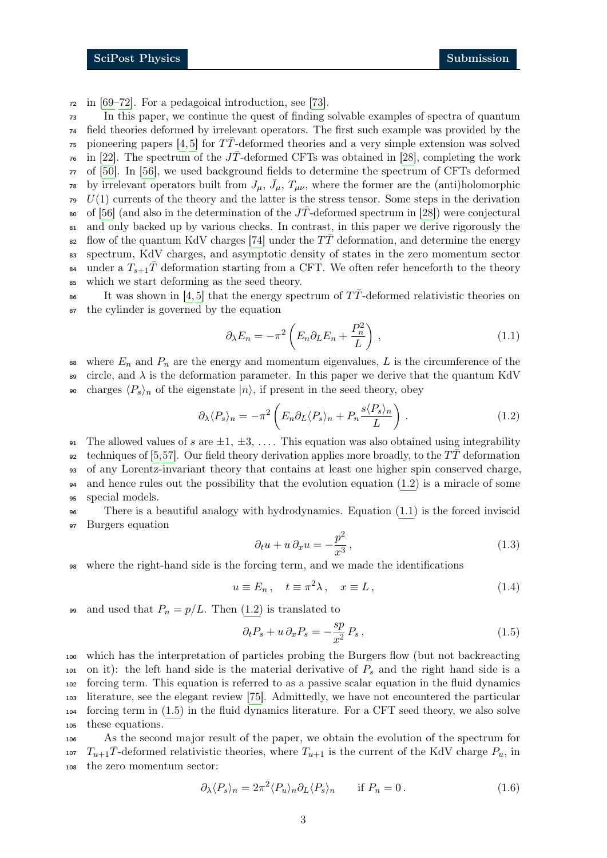<sup>72</sup> in [\[69–](#page-34-9)[72\]](#page-34-10). For a pedagoical introduction, see [\[73\]](#page-34-11).

<sup>73</sup> In this paper, we continue the quest of finding solvable examples of spectra of quantum <sup>74</sup> field theories deformed by irrelevant operators. The first such example was provided by the <sup>75</sup> pioneering papers [\[4,](#page-31-3) [5\]](#page-31-9) for  $T\overline{T}$ -deformed theories and a very simple extension was solved <sup>76</sup> in [\[22\]](#page-32-8). The spectrum of the JT-deformed CFTs was obtained in [\[28\]](#page-32-9), completing the work <sup>77</sup> of [\[50\]](#page-33-10). In [\[56\]](#page-34-1), we used background fields to determine the spectrum of CFTs deformed <sup>78</sup> by irrelevant operators built from  $J_{\mu}$ ,  $\bar{J}_{\mu}$ ,  $T_{\mu\nu}$ , where the former are the (anti)holomorphic  $U(1)$  currents of the theory and the latter is the stress tensor. Some steps in the derivation so of [\[56\]](#page-34-1) (and also in the determination of the  $J\bar{T}$ -deformed spectrum in [\[28\]](#page-32-9)) were conjectural <sup>81</sup> and only backed up by various checks. In contrast, in this paper we derive rigorously the 82 flow of the quantum KdV charges [\[74\]](#page-35-0) under the  $T\bar{T}$  deformation, and determine the energy <sup>83</sup> spectrum, KdV charges, and asymptotic density of states in the zero momentum sector <sup>84</sup> under a  $T_{s+1}\bar{T}$  deformation starting from a CFT. We often refer henceforth to the theory <sup>85</sup> which we start deforming as the seed theory.  $\frac{1}{16}$  It was shown in [\[4,](#page-31-3)5] that the energy spectrum of TT-deformed relativistic theories on

<sup>87</sup> the cylinder is governed by the equation

<span id="page-2-1"></span><span id="page-2-0"></span>
$$
\partial_{\lambda} E_n = -\pi^2 \left( E_n \partial_L E_n + \frac{P_n^2}{L} \right), \qquad (1.1)
$$

88 where  $E_n$  and  $P_n$  are the energy and momentum eigenvalues, L is the circumference of the 89 circle, and  $\lambda$  is the deformation parameter. In this paper we derive that the quantum KdV 90 charges  $\langle P_s \rangle_n$  of the eigenstate  $|n\rangle$ , if present in the seed theory, obey

$$
\partial_{\lambda} \langle P_s \rangle_n = -\pi^2 \left( E_n \partial_L \langle P_s \rangle_n + P_n \frac{s \langle P_s \rangle_n}{L} \right). \tag{1.2}
$$

91 The allowed values of s are  $\pm 1, \pm 3, \ldots$ . This equation was also obtained using integrability 92 techniques of [\[5,](#page-31-9)[57\]](#page-34-2). Our field theory derivation applies more broadly, to the  $T\bar{T}$  deformation <sup>93</sup> of any Lorentz-invariant theory that contains at least one higher spin conserved charge, <sup>94</sup> and hence rules out the possibility that the evolution equation [\(1.2\)](#page-2-0) is a miracle of some <sup>95</sup> special models.

<sup>96</sup> There is a beautiful analogy with hydrodynamics. Equation [\(1.1\)](#page-2-1) is the forced inviscid <sup>97</sup> Burgers equation

$$
\partial_t u + u \partial_x u = -\frac{p^2}{x^3},\tag{1.3}
$$

<sup>98</sup> where the right-hand side is the forcing term, and we made the identifications

$$
u \equiv E_n \,, \quad t \equiv \pi^2 \lambda \,, \quad x \equiv L \,, \tag{1.4}
$$

99 and used that  $P_n = p/L$ . Then [\(1.2\)](#page-2-0) is translated to

<span id="page-2-2"></span>
$$
\partial_t P_s + u \, \partial_x P_s = -\frac{sp}{x^2} P_s \,, \tag{1.5}
$$

 which has the interpretation of particles probing the Burgers flow (but not backreacting 101 on it): the left hand side is the material derivative of  $P_s$  and the right hand side is a forcing term. This equation is referred to as a passive scalar equation in the fluid dynamics literature, see the elegant review [\[75\]](#page-35-1). Admittedly, we have not encountered the particular forcing term in [\(1.5\)](#page-2-2) in the fluid dynamics literature. For a CFT seed theory, we also solve these equations.

<sup>106</sup> As the second major result of the paper, we obtain the evolution of the spectrum for 107  $T_{u+1}\bar{T}$ -deformed relativistic theories, where  $T_{u+1}$  is the current of the KdV charge  $P_u$ , in <sup>108</sup> the zero momentum sector:

$$
\partial_{\lambda} \langle P_s \rangle_n = 2\pi^2 \langle P_u \rangle_n \partial_L \langle P_s \rangle_n \quad \text{if } P_n = 0. \tag{1.6}
$$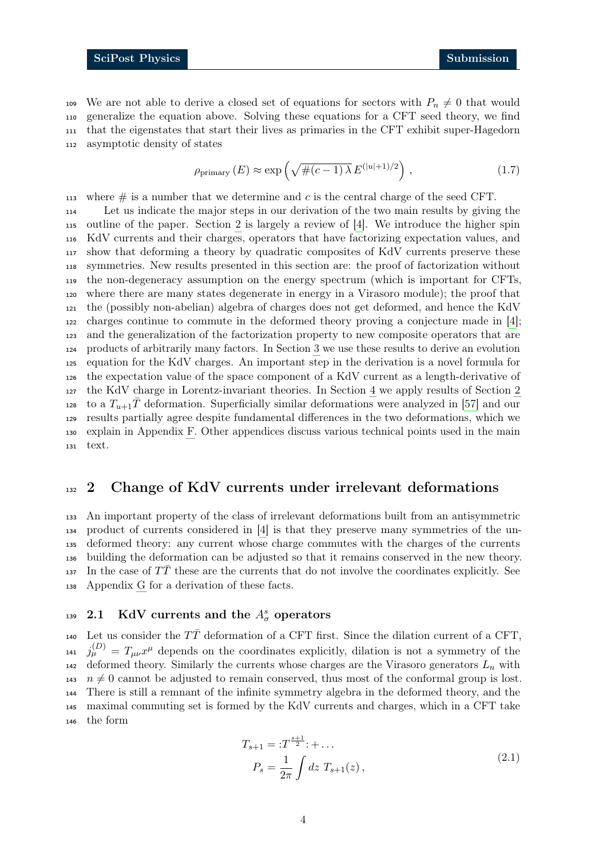109 We are not able to derive a closed set of equations for sectors with  $P_n \neq 0$  that would generalize the equation above. Solving these equations for a CFT seed theory, we find that the eigenstates that start their lives as primaries in the CFT exhibit super-Hagedorn asymptotic density of states

$$
\rho_{\text{primary}}\left(E\right) \approx \exp\left(\sqrt{\#(c-1)\,\lambda}\,E^{(|u|+1)/2}\right)\,,\tag{1.7}
$$

113 where  $\#$  is a number that we determine and c is the central charge of the seed CFT. Let us indicate the major steps in our derivation of the two main results by giving the outline of the paper. Section [2](#page-3-0) is largely a review of [\[4\]](#page-31-3). We introduce the higher spin KdV currents and their charges, operators that have factorizing expectation values, and show that deforming a theory by quadratic composites of KdV currents preserve these symmetries. New results presented in this section are: the proof of factorization without the non-degeneracy assumption on the energy spectrum (which is important for CFTs, where there are many states degenerate in energy in a Virasoro module); the proof that the (possibly non-abelian) algebra of charges does not get deformed, and hence the KdV charges continue to commute in the deformed theory proving a conjecture made in [\[4\]](#page-31-3); and the generalization of the factorization property to new composite operators that are products of arbitrarily many factors. In Section [3](#page-6-0) we use these results to derive an evolution equation for the KdV charges. An important step in the derivation is a novel formula for the expectation value of the space component of a KdV current as a length-derivative of the KdV charge in Lorentz-invariant theories. In Section [4](#page-10-0) we apply results of Section [2](#page-3-0) to a  $T_{u+1}\bar{T}$  deformation. Superficially similar deformations were analyzed in [\[57\]](#page-34-2) and our results partially agree despite fundamental differences in the two deformations, which we explain in Appendix [F.](#page-26-0) Other appendices discuss various technical points used in the main text.

## <span id="page-3-0"></span><sup>132</sup> 2 Change of KdV currents under irrelevant deformations

 An important property of the class of irrelevant deformations built from an antisymmetric product of currents considered in [\[4\]](#page-31-3) is that they preserve many symmetries of the un- deformed theory: any current whose charge commutes with the charges of the currents building the deformation can be adjusted so that it remains conserved in the new theory.  $\frac{137}{137}$  In the case of TT these are the currents that do not involve the coordinates explicitly. See Appendix [G](#page-28-0) for a derivation of these facts.

# <span id="page-3-1"></span><sup>139</sup> 2.1 KdV currents and the  $A^s_\sigma$  operators

140 Let us consider the  $T\bar{T}$  deformation of a CFT first. Since the dilation current of a CFT,  $j_{\mu}^{(D)}=T_{\mu\nu}x^{\mu}$  depends on the coordinates explicitly, dilation is not a symmetry of the 142 deformed theory. Similarly the currents whose charges are the Virasoro generators  $L_n$  with  $n \neq 0$  cannot be adjusted to remain conserved, thus most of the conformal group is lost. There is still a remnant of the infinite symmetry algebra in the deformed theory, and the maximal commuting set is formed by the KdV currents and charges, which in a CFT take the form

$$
T_{s+1} = :T^{\frac{s+1}{2}}: + \dots
$$
  
\n
$$
P_s = \frac{1}{2\pi} \int dz \ T_{s+1}(z), \qquad (2.1)
$$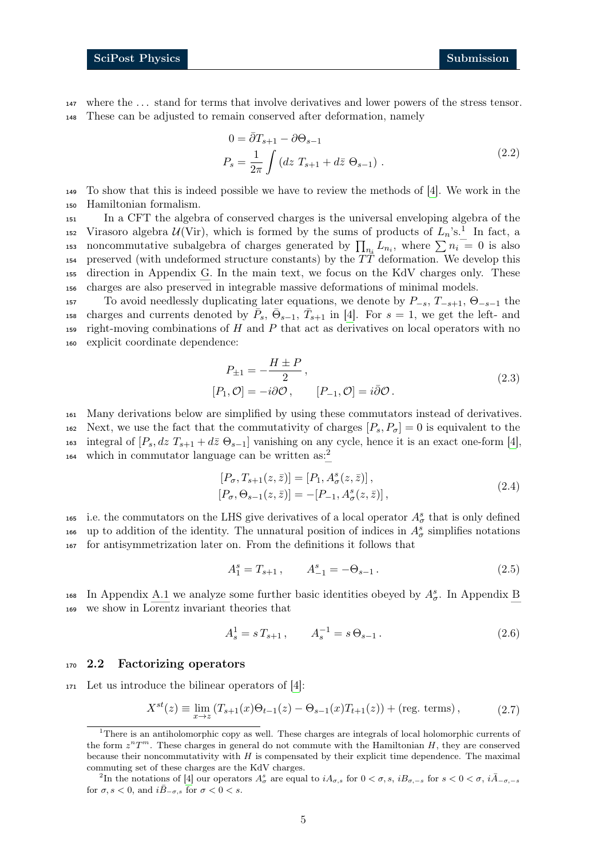<sup>147</sup> where the . . . stand for terms that involve derivatives and lower powers of the stress tensor. <sup>148</sup> These can be adjusted to remain conserved after deformation, namely

<span id="page-4-5"></span>
$$
0 = \overline{\partial} T_{s+1} - \partial \Theta_{s-1}
$$
  
\n
$$
P_s = \frac{1}{2\pi} \int (dz T_{s+1} + d\overline{z} \Theta_{s-1}).
$$
\n(2.2)

<sup>149</sup> To show that this is indeed possible we have to review the methods of [\[4\]](#page-31-3). We work in the <sup>150</sup> Hamiltonian formalism.

 In a CFT the algebra of conserved charges is the universal enveloping algebra of the 52 Virasoro algebra  $\mathcal{U}(\text{Vir})$ , which is formed by the sums of products of  $L_n$ 's.<sup>1</sup> In fact, a 153 noncommutative subalgebra of charges generated by  $\prod_{n_i} L_{n_i}$ , where  $\sum n_i = 0$  is also 154 preserved (with undeformed structure constants) by the  $T\bar{T}$  deformation. We develop this direction in Appendix [G.](#page-28-0) In the main text, we focus on the KdV charges only. These charges are also preserved in integrable massive deformations of minimal models.

157 To avoid needlessly duplicating later equations, we denote by  $P_{-s}$ ,  $T_{-s+1}$ ,  $\Theta_{-s-1}$  the 158 charges and currents denoted by  $\bar{P}_s$ ,  $\bar{\Theta}_{s-1}$ ,  $\bar{T}_{s+1}$  in [\[4\]](#page-31-3). For  $s=1$ , we get the left- and 159 right-moving combinations of  $H$  and  $P$  that act as derivatives on local operators with no <sup>160</sup> explicit coordinate dependence:

<span id="page-4-8"></span>
$$
P_{\pm 1} = -\frac{H \pm P}{2},
$$
  
\n
$$
[P_1, \mathcal{O}] = -i\partial\mathcal{O}, \qquad [P_{-1}, \mathcal{O}] = i\bar{\partial}\mathcal{O}.
$$
\n(2.3)

<sup>161</sup> Many derivations below are simplified by using these commutators instead of derivatives. 162 Next, we use the fact that the commutativity of charges  $[P_s, P_\sigma] = 0$  is equivalent to the 163 integral of  $[P_s, dz T_{s+1} + d\overline{z} \Theta_{s-1}]$  vanishing on any cycle, hence it is an exact one-form [\[4\]](#page-31-3), which in commutator language can be written as:<sup>[2](#page-4-3)</sup> 164

<span id="page-4-6"></span>
$$
[P_{\sigma}, T_{s+1}(z, \bar{z})] = [P_1, A^s_{\sigma}(z, \bar{z})],
$$
  
\n
$$
[P_{\sigma}, \Theta_{s-1}(z, \bar{z})] = -[P_{-1}, A^s_{\sigma}(z, \bar{z})],
$$
\n(2.4)

165 i.e. the commutators on the LHS give derivatives of a local operator  $A^s_\sigma$  that is only defined 166 up to addition of the identity. The unnatural position of indices in  $A^s_\sigma$  simplifies notations <sup>167</sup> for antisymmetrization later on. From the definitions it follows that

<span id="page-4-7"></span><span id="page-4-1"></span>
$$
A_1^s = T_{s+1}, \qquad A_{-1}^s = -\Theta_{s-1}.
$$
 (2.5)

168 In Appendix [A.1](#page-14-1) we analyze some further basic identities obeyed by  $A^s_{\sigma}$ . In Appendix [B](#page-17-0) <sup>169</sup> we show in Lorentz invariant theories that

<span id="page-4-4"></span>
$$
A_s^1 = s T_{s+1}, \qquad A_s^{-1} = s \Theta_{s-1}.
$$
 (2.6)

#### <span id="page-4-0"></span><sup>170</sup> 2.2 Factorizing operators

<sup>171</sup> Let us introduce the bilinear operators of [\[4\]](#page-31-3):

$$
X^{st}(z) \equiv \lim_{x \to z} (T_{s+1}(x)\Theta_{t-1}(z) - \Theta_{s-1}(x)T_{t+1}(z)) + (\text{reg. terms}), \qquad (2.7)
$$

<span id="page-4-2"></span><sup>&</sup>lt;sup>1</sup>There is an antiholomorphic copy as well. These charges are integrals of local holomorphic currents of the form  $z^nT^m$ . These charges in general do not commute with the Hamiltonian H, they are conserved because their noncommutativity with  $H$  is compensated by their explicit time dependence. The maximal commuting set of these charges are the KdV charges.

<span id="page-4-3"></span><sup>&</sup>lt;sup>2</sup>In the notations of [\[4\]](#page-31-3) our operators  $A^s_\sigma$  are equal to  $iA_{\sigma,s}$  for  $0 < \sigma, s, iB_{\sigma,-s}$  for  $s < 0 < \sigma, i\overline{A}_{-\sigma,-s}$ for  $\sigma, s < 0$ , and  $i\overline{B}_{-\sigma,s}$  for  $\sigma < 0 < s$ .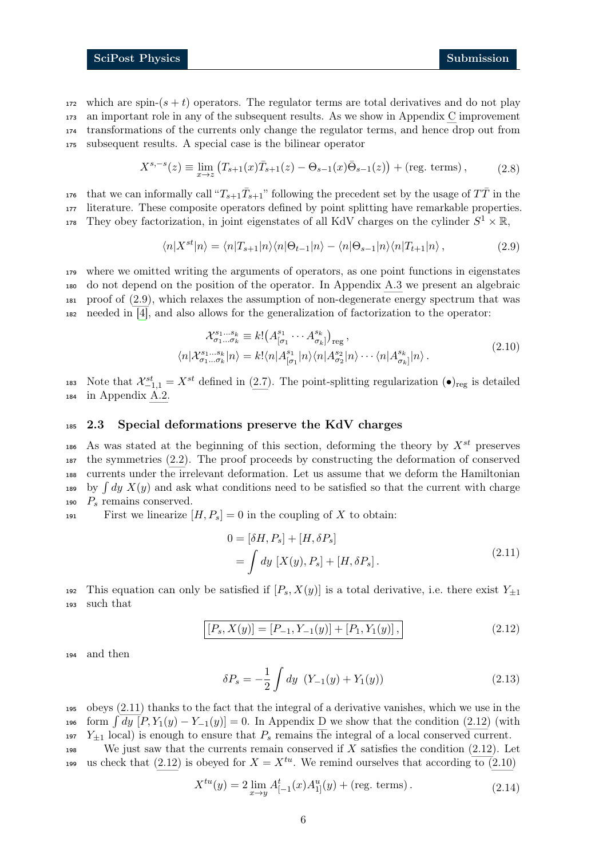which are spin- $(s + t)$  operators. The regulator terms are total derivatives and do not play an important role in any of the subsequent results. As we show in Appendix [C](#page-20-1) improvement transformations of the currents only change the regulator terms, and hence drop out from subsequent results. A special case is the bilinear operator

$$
X^{s,-s}(z) \equiv \lim_{x \to z} (T_{s+1}(x)\bar{T}_{s+1}(z) - \Theta_{s-1}(x)\bar{\Theta}_{s-1}(z)) + (\text{reg. terms}), \tag{2.8}
$$

<sup>176</sup> that we can informally call " $T_{s+1}\bar{T}_{s+1}$ " following the precedent set by the usage of  $T\bar{T}$  in the <sup>177</sup> literature. These composite operators defined by point splitting have remarkable properties. 178 They obey factorization, in joint eigenstates of all KdV charges on the cylinder  $S^1 \times \mathbb{R}$ ,

<span id="page-5-1"></span>
$$
\langle n|X^{st}|n\rangle = \langle n|T_{s+1}|n\rangle\langle n|\Theta_{t-1}|n\rangle - \langle n|\Theta_{s-1}|n\rangle\langle n|T_{t+1}|n\rangle, \qquad (2.9)
$$

 where we omitted writing the arguments of operators, as one point functions in eigenstates do not depend on the position of the operator. In Appendix [A.3](#page-16-0) we present an algebraic proof of [\(2.9\)](#page-5-1), which relaxes the assumption of non-degenerate energy spectrum that was needed in [\[4\]](#page-31-3), and also allows for the generalization of factorization to the operator:

<span id="page-5-4"></span>
$$
\mathcal{X}_{\sigma_1\ldots\sigma_k}^{s_1\ldots s_k} \equiv k! \left( A_{[\sigma_1}^{s_1} \cdots A_{\sigma_k]}^{s_k} \right)_{\text{reg}},
$$
  

$$
\langle n | \mathcal{X}_{\sigma_1\ldots\sigma_k}^{s_1\ldots s_k} | n \rangle = k! \langle n | A_{[\sigma_1}^{s_1} | n \rangle \langle n | A_{\sigma_2}^{s_2} | n \rangle \cdots \langle n | A_{\sigma_k}^{s_k} | n \rangle.
$$

$$
(2.10)
$$

183 Note that  $\mathcal{X}_{-1,1}^{st} = X^{st}$  defined in [\(2.7\)](#page-4-4). The point-splitting regularization  $(\bullet)_{reg}$  is detailed <sup>184</sup> in Appendix [A.2.](#page-15-0)

#### <span id="page-5-0"></span><sup>185</sup> 2.3 Special deformations preserve the KdV charges

186 As was stated at the beginning of this section, deforming the theory by  $X^{st}$  preserves <sup>187</sup> the symmetries [\(2.2\)](#page-4-5). The proof proceeds by constructing the deformation of conserved <sup>188</sup> currents under the irrelevant deformation. Let us assume that we deform the Hamiltonian 189 by  $\int dy X(y)$  and ask what conditions need to be satisfied so that the current with charge 190  $P_s$  remains conserved.

191 First we linearize  $[H, P_s] = 0$  in the coupling of X to obtain:

<span id="page-5-2"></span>
$$
0 = [\delta H, P_s] + [H, \delta P_s]
$$
  
=  $\int dy [X(y), P_s] + [H, \delta P_s].$  (2.11)

<span id="page-5-3"></span>192 This equation can only be satisfied if  $[P_s, X(y)]$  is a total derivative, i.e. there exist  $Y_{\pm 1}$ <sup>193</sup> such that

$$
[P_s, X(y)] = [P_{-1}, Y_{-1}(y)] + [P_1, Y_1(y)], \qquad (2.12)
$$

<sup>194</sup> and then

$$
\delta P_s = -\frac{1}{2} \int dy \ (Y_{-1}(y) + Y_1(y)) \tag{2.13}
$$

<sup>195</sup> obeys [\(2.11\)](#page-5-2) thanks to the fact that the integral of a derivative vanishes, which we use in the 196 form  $\int dy$   $[P, Y_1(y) - Y_{-1}(y)] = 0$ . In Appendix [D](#page-23-1) we show that the condition [\(2.12\)](#page-5-3) (with 197  $Y_{\pm 1}$  local) is enough to ensure that  $P_s$  remains the integral of a local conserved current. 198 We just saw that the currents remain conserved if  $X$  satisfies the condition [\(2.12\)](#page-5-3). Let

us check that [\(2.12\)](#page-5-3) is obeyed for  $X = X^{tu}$ . We remind ourselves that according to [\(2.10\)](#page-5-4)

$$
X^{tu}(y) = 2 \lim_{x \to y} A^t_{[-1}(x) A^u_{1]}(y) + (\text{reg. terms}). \tag{2.14}
$$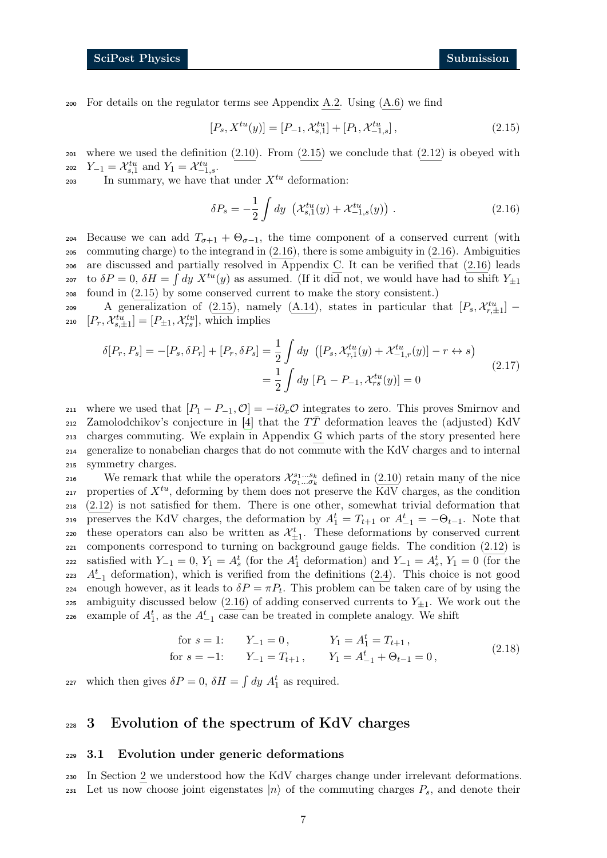200 For details on the regulator terms see Appendix [A.2.](#page-15-0) Using  $(A.6)$  we find

<span id="page-6-2"></span>
$$
[P_s, X^{tu}(y)] = [P_{-1}, \mathcal{X}_{s,1}^{tu}] + [P_1, \mathcal{X}_{-1,s}^{tu}], \qquad (2.15)
$$

 $201$  where we used the definition  $(2.10)$ . From  $(2.15)$  we conclude that  $(2.12)$  is obeyed with 202  $Y_{-1} = \mathcal{X}_{s,1}^{tu}$  and  $Y_1 = \mathcal{X}_{-1,s}^{tu}$ .

203 In summary, we have that under  $X^{tu}$  deformation:

<span id="page-6-4"></span><span id="page-6-3"></span>
$$
\delta P_s = -\frac{1}{2} \int dy \, \left( \mathcal{X}_{s,1}^{tu}(y) + \mathcal{X}_{-1,s}^{tu}(y) \right) \,. \tag{2.16}
$$

204 Because we can add  $T_{\sigma+1} + \Theta_{\sigma-1}$ , the time component of a conserved current (with <sup>205</sup> commuting charge) to the integrand in [\(2.16\)](#page-6-3), there is some ambiguity in [\(2.16\)](#page-6-3). Ambiguities <sup>206</sup> are discussed and partially resolved in Appendix [C.](#page-20-1) It can be verified that [\(2.16\)](#page-6-3) leads 207 to  $\delta P = 0$ ,  $\delta H = \int dy X^{tu}(y)$  as assumed. (If it did not, we would have had to shift  $Y_{\pm 1}$ <sup>208</sup> found in [\(2.15\)](#page-6-2) by some conserved current to make the story consistent.)

209 A generalization of [\(2.15\)](#page-6-2), namely [\(A.14\)](#page-16-1), states in particular that  $[P_s, \mathcal{X}_{r,\pm 1}^{tu}]$ 210  $[P_r, \mathcal{X}_{s,\pm 1}^{tu}] = [P_{\pm 1}, \mathcal{X}_{rs}^{tu}],$  which implies

$$
\delta[P_r, P_s] = -[P_s, \delta P_r] + [P_r, \delta P_s] = \frac{1}{2} \int dy \ \left( [P_s, \mathcal{X}_{r,1}^{tu}(y) + \mathcal{X}_{-1,r}^{tu}(y) ] - r \leftrightarrow s \right)
$$

$$
= \frac{1}{2} \int dy \ [P_1 - P_{-1}, \mathcal{X}_{rs}^{tu}(y) ] = 0
$$
\n(2.17)

211 where we used that  $[P_1 - P_{-1}, \mathcal{O}] = -i\partial_x \mathcal{O}$  integrates to zero. This proves Smirnov and 212 Zamolodchikov's conjecture in [\[4\]](#page-31-3) that the  $T\bar{T}$  deformation leaves the (adjusted) KdV <sup>213</sup> charges commuting. We explain in Appendix [G](#page-28-0) which parts of the story presented here <sup>214</sup> generalize to nonabelian charges that do not commute with the KdV charges and to internal <sup>215</sup> symmetry charges.

216 We remark that while the operators  $\mathcal{X}_{\sigma_1...\sigma_k}^{s_1...s_k}$  defined in [\(2.10\)](#page-5-4) retain many of the nice 217 properties of  $X^{tu}$ , deforming by them does not preserve the KdV charges, as the condition <sup>218</sup> [\(2.12\)](#page-5-3) is not satisfied for them. There is one other, somewhat trivial deformation that 219 preserves the KdV charges, the deformation by  $A_1^t = T_{t+1}$  or  $A_{-1}^t = -\Theta_{t-1}$ . Note that 220 these operators can also be written as  $\mathcal{X}_{\pm 1}^t$ . These deformations by conserved current <sup>221</sup> components correspond to turning on background gauge fields. The condition [\(2.12\)](#page-5-3) is 222 satisfied with  $Y_{-1} = 0$ ,  $Y_1 = A_s^t$  (for the  $A_1^t$  deformation) and  $Y_{-1} = A_s^t$ ,  $Y_1 = 0$  (for the 223  $A_{-1}^t$  deformation), which is verified from the definitions [\(2.4\)](#page-4-6). This choice is not good enough however, as it leads to  $\delta P = \pi P_t$ . This problem can be taken care of by using the 225 ambiguity discussed below [\(2.16\)](#page-6-3) of adding conserved currents to  $Y_{\pm 1}$ . We work out the 226 example of  $A_1^t$ , as the  $A_{-1}^t$  case can be treated in complete analogy. We shift

for 
$$
s = 1
$$
:  $Y_{-1} = 0$ ,  $Y_1 = A_1^t = T_{t+1}$ ,  
for  $s = -1$ :  $Y_{-1} = T_{t+1}$ ,  $Y_1 = A_{-1}^t + \Theta_{t-1} = 0$ ,  $(2.18)$ 

227 which then gives  $\delta P = 0$ ,  $\delta H = \int dy A_1^t$  as required.

## <span id="page-6-0"></span><sup>228</sup> 3 Evolution of the spectrum of KdV charges

#### <span id="page-6-1"></span><sup>229</sup> 3.1 Evolution under generic deformations

<sup>230</sup> In Section [2](#page-3-0) we understood how the KdV charges change under irrelevant deformations. 231 Let us now choose joint eigenstates  $|n\rangle$  of the commuting charges  $P_s$ , and denote their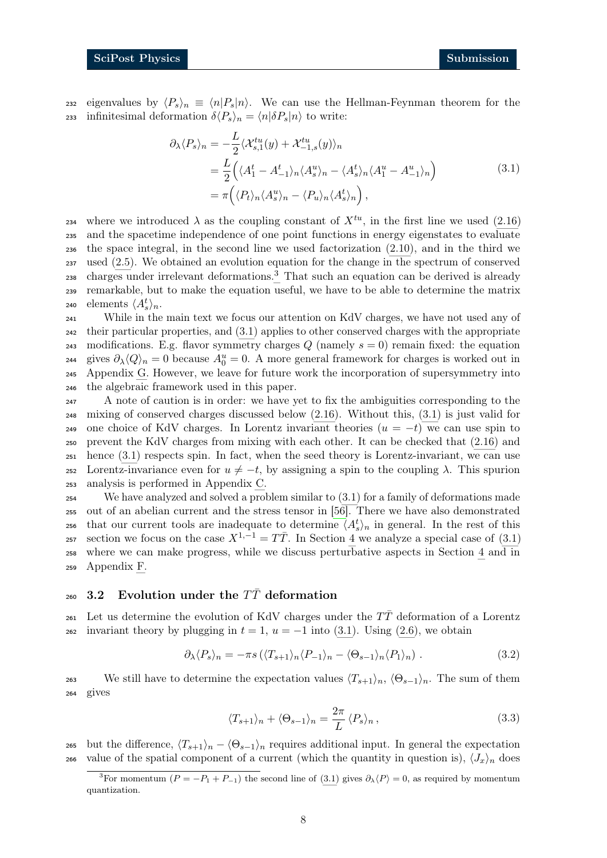232 eigenvalues by  $\langle P_s \rangle_n \equiv \langle n|P_s|n\rangle$ . We can use the Hellman-Feynman theorem for the 233 infinitesimal deformation  $\delta \langle P_s \rangle_n = \langle n | \delta P_s | n \rangle$  to write:

<span id="page-7-2"></span>
$$
\partial_{\lambda} \langle P_s \rangle_n = -\frac{L}{2} \langle \mathcal{X}_{s,1}^{tu}(y) + \mathcal{X}_{-1,s}^{tu}(y) \rangle_n
$$
  
=  $\frac{L}{2} \Big( \langle A_1^t - A_{-1}^t \rangle_n \langle A_s \rangle_n - \langle A_s \rangle_n \langle A_1^u - A_{-1}^u \rangle_n \Big)$   
=  $\pi \Big( \langle P_t \rangle_n \langle A_s^u \rangle_n - \langle P_u \rangle_n \langle A_s^t \rangle_n \Big),$  (3.1)

234 where we introduced  $\lambda$  as the coupling constant of  $X^{tu}$ , in the first line we used [\(2.16\)](#page-6-3) <sup>235</sup> and the spacetime independence of one point functions in energy eigenstates to evaluate <sup>236</sup> the space integral, in the second line we used factorization [\(2.10\)](#page-5-4), and in the third we <sup>237</sup> used [\(2.5\)](#page-4-7). We obtained an evolution equation for the change in the spectrum of conserved charges under irrelevant deformations.[3](#page-7-1) <sup>238</sup> That such an equation can be derived is already <sup>239</sup> remarkable, but to make the equation useful, we have to be able to determine the matrix 240 elements  $\langle A_s^t \rangle_n$ .

 While in the main text we focus our attention on KdV charges, we have not used any of their particular properties, and [\(3.1\)](#page-7-2) applies to other conserved charges with the appropriate 243 modifications. E.g. flavor symmetry charges  $Q$  (namely  $s = 0$ ) remain fixed: the equation <sup>244</sup> gives  $\partial_{\lambda} \langle Q \rangle_n = 0$  because  $A_0^u = 0$ . A more general framework for charges is worked out in Appendix [G.](#page-28-0) However, we leave for future work the incorporation of supersymmetry into the algebraic framework used in this paper.

<sup>247</sup> A note of caution is in order: we have yet to fix the ambiguities corresponding to the <sup>248</sup> mixing of conserved charges discussed below [\(2.16\)](#page-6-3). Without this, [\(3.1\)](#page-7-2) is just valid for 249 one choice of KdV charges. In Lorentz invariant theories  $(u = -t)$  we can use spin to <sup>250</sup> prevent the KdV charges from mixing with each other. It can be checked that [\(2.16\)](#page-6-3) and <sup>251</sup> hence [\(3.1\)](#page-7-2) respects spin. In fact, when the seed theory is Lorentz-invariant, we can use 252 Lorentz-invariance even for  $u \neq -t$ , by assigning a spin to the coupling  $\lambda$ . This spurion <sup>253</sup> analysis is performed in Appendix [C.](#page-20-1)

 We have analyzed and solved a problem similar to [\(3.1\)](#page-7-2) for a family of deformations made out of an abelian current and the stress tensor in [\[56\]](#page-34-1). There we have also demonstrated <sup>256</sup> that our current tools are inadequate to determine  $\langle A_s^t \rangle_n$  in general. In the rest of this section we focus on the case  $X^{1,-1} = T\overline{T}$ . In Section [4](#page-10-0) we analyze a special case of [\(3.1\)](#page-7-2) where we can make progress, while we discuss perturbative aspects in Section [4](#page-10-0) and in Appendix [F.](#page-26-0)

#### <span id="page-7-0"></span>260 3.2 Evolution under the  $T\bar{T}$  deformation

261 Let us determine the evolution of KdV charges under the  $T\bar{T}$  deformation of a Lorentz 262 invariant theory by plugging in  $t = 1$ ,  $u = -1$  into [\(3.1\)](#page-7-2). Using [\(2.6\)](#page-4-1), we obtain

$$
\partial_{\lambda} \langle P_s \rangle_n = -\pi s \left( \langle T_{s+1} \rangle_n \langle P_{-1} \rangle_n - \langle \Theta_{s-1} \rangle_n \langle P_1 \rangle_n \right). \tag{3.2}
$$

<span id="page-7-3"></span>263 We still have to determine the expectation values  $\langle T_{s+1}\rangle_n$ ,  $\langle \Theta_{s-1}\rangle_n$ . The sum of them <sup>264</sup> gives

<span id="page-7-4"></span>
$$
\langle T_{s+1} \rangle_n + \langle \Theta_{s-1} \rangle_n = \frac{2\pi}{L} \langle P_s \rangle_n, \qquad (3.3)
$$

265 but the difference,  $\langle T_{s+1} \rangle_n - \langle \Theta_{s-1} \rangle_n$  requires additional input. In general the expectation 266 value of the spatial component of a current (which the quantity in question is),  $\langle J_x \rangle_n$  does

<span id="page-7-1"></span><sup>&</sup>lt;sup>3</sup>For momentum ( $P = -P_1 + P_{-1}$ ) the second line of [\(3.1\)](#page-7-2) gives  $\partial_{\lambda} \langle P \rangle = 0$ , as required by momentum quantization.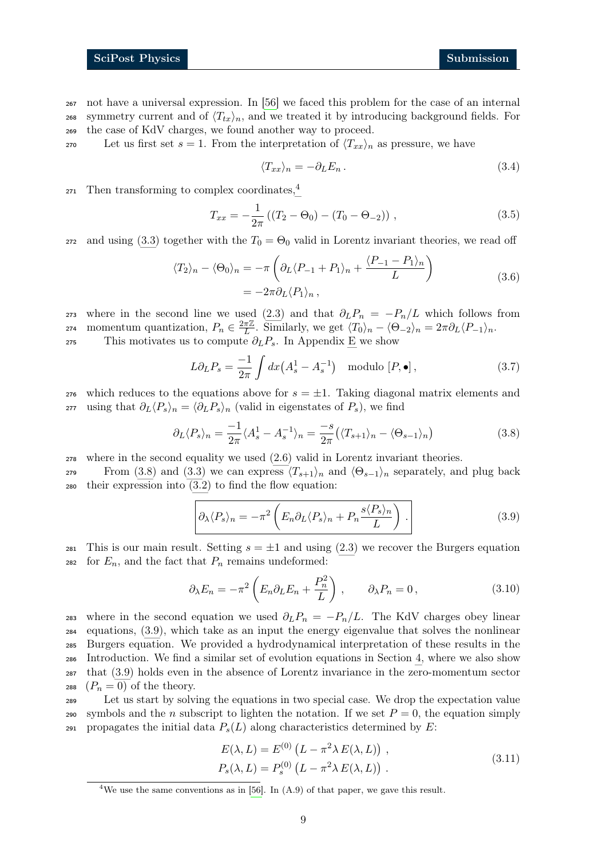<sup>267</sup> not have a universal expression. In [\[56\]](#page-34-1) we faced this problem for the case of an internal 268 symmetry current and of  $\langle T_{tx}\rangle_n$ , and we treated it by introducing background fields. For <sup>269</sup> the case of KdV charges, we found another way to proceed.

270 Let us first set  $s = 1$ . From the interpretation of  $\langle T_{xx}\rangle_n$  as pressure, we have

$$
\langle T_{xx} \rangle_n = -\partial_L E_n. \tag{3.4}
$$

Then transforming to complex coordinates.<sup>[4](#page-8-0)</sup> 271

$$
T_{xx} = -\frac{1}{2\pi} \left( (T_2 - \Theta_0) - (T_0 - \Theta_{-2}) \right), \qquad (3.5)
$$

272 and using [\(3.3\)](#page-7-3) together with the  $T_0 = \Theta_0$  valid in Lorentz invariant theories, we read off

$$
\langle T_2 \rangle_n - \langle \Theta_0 \rangle_n = -\pi \left( \partial_L \langle P_{-1} + P_1 \rangle_n + \frac{\langle P_{-1} - P_1 \rangle_n}{L} \right)
$$
  
=  $-2\pi \partial_L \langle P_1 \rangle_n$ , (3.6)

273 where in the second line we used [\(2.3\)](#page-4-8) and that  $\partial_L P_n = -P_n/L$  which follows from momentum quantization,  $P_n \in \frac{2\pi\mathbb{Z}}{L}$ 274 momentum quantization,  $P_n \in \frac{2\pi\mathbb{Z}}{L}$ . Similarly, we get  $\langle T_0 \rangle_n - \langle \Theta_{-2} \rangle_n = 2\pi \partial_L \langle P_{-1} \rangle_n$ . 275 This motivates us to compute  $\partial_L P_s$ . In Appendix [E](#page-24-0) we show

<span id="page-8-1"></span>
$$
L\partial_L P_s = \frac{-1}{2\pi} \int dx \left(A_s^1 - A_s^{-1}\right) \quad \text{modulo } [P, \bullet], \tag{3.7}
$$

276 which reduces to the equations above for  $s = \pm 1$ . Taking diagonal matrix elements and <sup>277</sup> using that  $\partial_L \langle P_s \rangle_n = \langle \partial_L P_s \rangle_n$  (valid in eigenstates of  $P_s$ ), we find

$$
\partial_L \langle P_s \rangle_n = \frac{-1}{2\pi} \langle A_s^1 - A_s^{-1} \rangle_n = \frac{-s}{2\pi} \left( \langle T_{s+1} \rangle_n - \langle \Theta_{s-1} \rangle_n \right) \tag{3.8}
$$

<sup>278</sup> where in the second equality we used [\(2.6\)](#page-4-1) valid in Lorentz invariant theories.

279 From [\(3.8\)](#page-8-1) and [\(3.3\)](#page-7-3) we can express  $\langle T_{s+1}\rangle_n$  and  $\langle \Theta_{s-1}\rangle_n$  separately, and plug back <sup>280</sup> their expression into [\(3.2\)](#page-7-4) to find the flow equation:

<span id="page-8-3"></span><span id="page-8-2"></span>
$$
\left[\partial_{\lambda} \langle P_s \rangle_n = -\pi^2 \left( E_n \partial_L \langle P_s \rangle_n + P_n \frac{s \langle P_s \rangle_n}{L} \right) . \right] \tag{3.9}
$$

281 This is our main result. Setting  $s = \pm 1$  and using [\(2.3\)](#page-4-8) we recover the Burgers equation 282 for  $E_n$ , and the fact that  $P_n$  remains undeformed:

$$
\partial_{\lambda} E_n = -\pi^2 \left( E_n \partial_L E_n + \frac{P_n^2}{L} \right), \qquad \partial_{\lambda} P_n = 0, \qquad (3.10)
$$

283 where in the second equation we used  $\partial_L P_n = -P_n/L$ . The KdV charges obey linear equations, [\(3.9\)](#page-8-2), which take as an input the energy eigenvalue that solves the nonlinear Burgers equation. We provided a hydrodynamical interpretation of these results in the Introduction. We find a similar set of evolution equations in Section [4,](#page-10-0) where we also show that [\(3.9\)](#page-8-2) holds even in the absence of Lorentz invariance in the zero-momentum sector  $(P_n = 0)$  of the theory.

<sup>289</sup> Let us start by solving the equations in two special case. We drop the expectation value 290 symbols and the n subscript to lighten the notation. If we set  $P = 0$ , the equation simply 291 propagates the initial data  $P_s(L)$  along characteristics determined by E:

<span id="page-8-4"></span>
$$
E(\lambda, L) = E^{(0)} \left( L - \pi^2 \lambda E(\lambda, L) \right),
$$
  
\n
$$
P_s(\lambda, L) = P_s^{(0)} \left( L - \pi^2 \lambda E(\lambda, L) \right).
$$
\n(3.11)

<span id="page-8-0"></span><sup>&</sup>lt;sup>4</sup>We use the same conventions as in [\[56\]](#page-34-1). In  $(A.9)$  of that paper, we gave this result.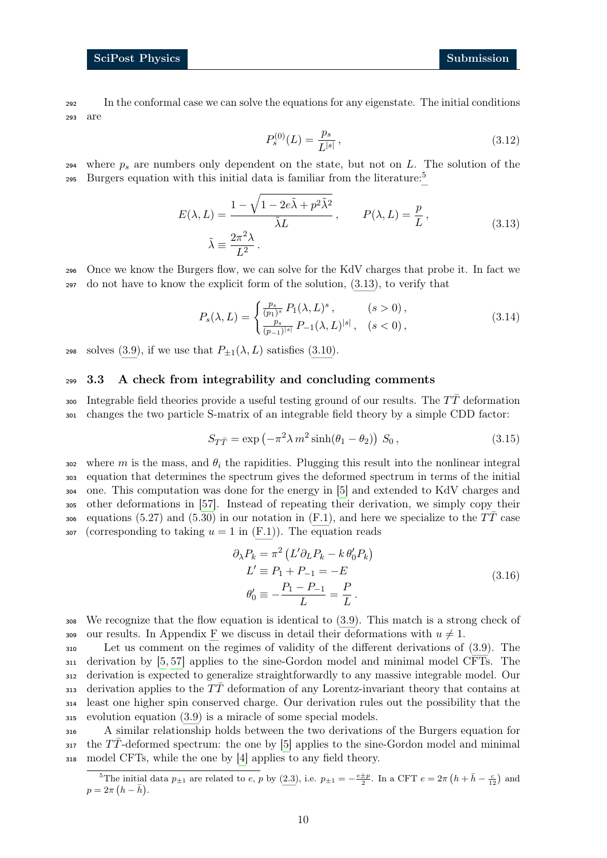<span id="page-9-4"></span><sup>292</sup> In the conformal case we can solve the equations for any eigenstate. The initial conditions <sup>293</sup> are

<span id="page-9-2"></span>
$$
P_s^{(0)}(L) = \frac{p_s}{L^{|s|}}\,,\tag{3.12}
$$

294 where  $p_s$  are numbers only dependent on the state, but not on L. The solution of the Burgers equation with this initial data is familiar from the literature:<sup>[5](#page-9-1)</sup> 295

$$
E(\lambda, L) = \frac{1 - \sqrt{1 - 2e\tilde{\lambda} + p^2 \tilde{\lambda}^2}}{\tilde{\lambda}L}, \qquad P(\lambda, L) = \frac{p}{L},
$$
  

$$
\tilde{\lambda} \equiv \frac{2\pi^2 \lambda}{L^2}.
$$
 (3.13)

<sup>296</sup> Once we know the Burgers flow, we can solve for the KdV charges that probe it. In fact we <sup>297</sup> do not have to know the explicit form of the solution, [\(3.13\)](#page-9-2), to verify that

$$
P_s(\lambda, L) = \begin{cases} \frac{p_s}{(p_1)^s} P_1(\lambda, L)^s, & (s > 0), \\ \frac{p_s}{(p_{-1})^{|s|}} P_{-1}(\lambda, L)^{|s|}, & (s < 0), \end{cases}
$$
(3.14)

298 solves [\(3.9\)](#page-8-2), if we use that  $P_{\pm 1}(\lambda, L)$  satisfies [\(3.10\)](#page-8-3).

#### <span id="page-9-0"></span><sup>299</sup> 3.3 A check from integrability and concluding comments

300 Integrable field theories provide a useful testing ground of our results. The  $T\bar{T}$  deformation <sup>301</sup> changes the two particle S-matrix of an integrable field theory by a simple CDD factor:

$$
S_{T\overline{T}} = \exp\left(-\pi^2 \lambda m^2 \sinh(\theta_1 - \theta_2)\right) S_0, \qquad (3.15)
$$

302 where m is the mass, and  $\theta_i$  the rapidities. Plugging this result into the nonlinear integral <sup>303</sup> equation that determines the spectrum gives the deformed spectrum in terms of the initial <sup>304</sup> one. This computation was done for the energy in [\[5\]](#page-31-9) and extended to KdV charges and <sup>305</sup> other deformations in [\[57\]](#page-34-2). Instead of repeating their derivation, we simply copy their equations (5.27) and (5.30) in our notation in  $(F.1)$ , and here we specialize to the  $T\bar{T}$  case 307 (corresponding to taking  $u = 1$  in  $(F.1)$ ). The equation reads

<span id="page-9-3"></span>
$$
\partial_{\lambda} P_k = \pi^2 \left( L' \partial_L P_k - k \theta'_0 P_k \right)
$$
  
\n
$$
L' \equiv P_1 + P_{-1} = -E
$$
  
\n
$$
\theta'_0 \equiv -\frac{P_1 - P_{-1}}{L} = \frac{P}{L}.
$$
\n(3.16)

<sup>308</sup> We recognize that the flow equation is identical to [\(3.9\)](#page-8-2). This match is a strong check of 309 our results. In Appendix [F](#page-26-0) we discuss in detail their deformations with  $u \neq 1$ .

 Let us comment on the regimes of validity of the different derivations of [\(3.9\)](#page-8-2). The derivation by [\[5,](#page-31-9) [57\]](#page-34-2) applies to the sine-Gordon model and minimal model CFTs. The derivation is expected to generalize straightforwardly to any massive integrable model. Our 313 derivation applies to the  $T\bar{T}$  deformation of any Lorentz-invariant theory that contains at least one higher spin conserved charge. Our derivation rules out the possibility that the evolution equation [\(3.9\)](#page-8-2) is a miracle of some special models.

<sup>316</sup> A similar relationship holds between the two derivations of the Burgers equation for  $\frac{1}{2}$  the TT-deformed spectrum: the one by [\[5\]](#page-31-9) applies to the sine-Gordon model and minimal <sup>318</sup> model CFTs, while the one by [\[4\]](#page-31-3) applies to any field theory.

<span id="page-9-1"></span><sup>&</sup>lt;sup>5</sup>The initial data  $p_{\pm 1}$  are related to e, p by [\(2.3\)](#page-4-8), i.e.  $p_{\pm 1} = -\frac{e \pm p}{2}$ . In a CFT  $e = 2\pi (h + \bar{h} - \frac{c}{12})$  and  $p = 2\pi (h - \bar{h}).$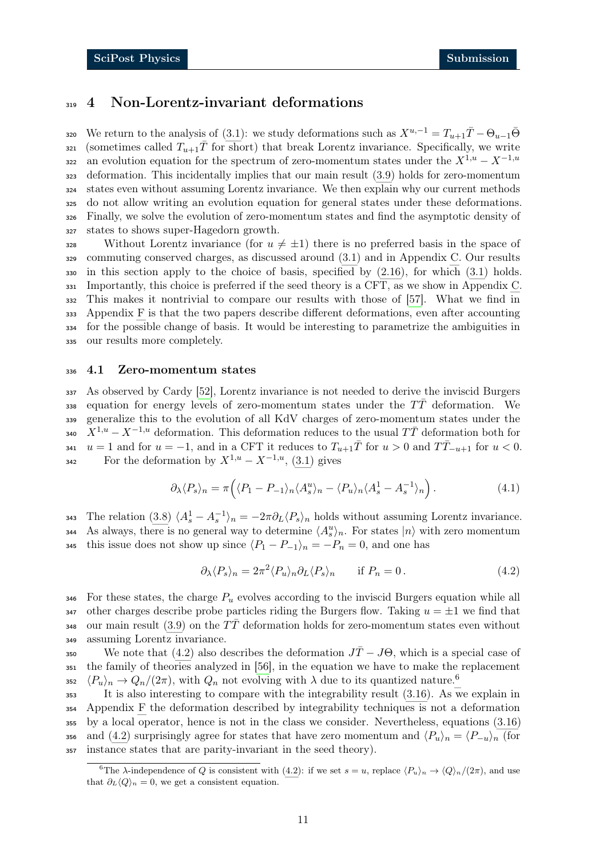## <span id="page-10-0"></span><sup>319</sup> 4 Non-Lorentz-invariant deformations

320 We return to the analysis of [\(3.1\)](#page-7-2): we study deformations such as  $X^{u,-1} = T_{u+1}\bar{T} - \Theta_{u-1}\bar{\Theta}$ 321 (sometimes called  $T_{u+1}\bar{T}$  for short) that break Lorentz invariance. Specifically, we write an evolution equation for the spectrum of zero-momentum states under the  $X^{1,u} - X^{-1,u}$  deformation. This incidentally implies that our main result [\(3.9\)](#page-8-2) holds for zero-momentum states even without assuming Lorentz invariance. We then explain why our current methods do not allow writing an evolution equation for general states under these deformations. Finally, we solve the evolution of zero-momentum states and find the asymptotic density of states to shows super-Hagedorn growth.

328 Without Lorentz invariance (for  $u \neq \pm 1$ ) there is no preferred basis in the space of commuting conserved charges, as discussed around [\(3.1\)](#page-7-2) and in Appendix [C.](#page-20-1) Our results  $\frac{330}{10}$  in this section apply to the choice of basis, specified by  $(2.16)$ , for which  $(3.1)$  holds. Importantly, this choice is preferred if the seed theory is a CFT, as we show in Appendix [C.](#page-20-1) This makes it nontrivial to compare our results with those of [\[57\]](#page-34-2). What we find in Appendix [F](#page-26-0) is that the two papers describe different deformations, even after accounting for the possible change of basis. It would be interesting to parametrize the ambiguities in our results more completely.

#### <span id="page-10-1"></span><sup>336</sup> 4.1 Zero-momentum states

 As observed by Cardy [\[52\]](#page-33-11), Lorentz invariance is not needed to derive the inviscid Burgers 338 equation for energy levels of zero-momentum states under the  $T\bar{T}$  deformation. We generalize this to the evolution of all KdV charges of zero-momentum states under the  $X^{1,u} - X^{-1,u}$  deformation. This deformation reduces to the usual  $T\overline{T}$  deformation both for  $u = 1$  and for  $u = -1$ , and in a CFT it reduces to  $T_{u+1}\overline{T}$  for  $u > 0$  and  $T\overline{T}_{-u+1}$  for  $u < 0$ . For the deformation by  $X^{1,u} - X^{-1,u}$ , [\(3.1\)](#page-7-2) gives

<span id="page-10-4"></span>
$$
\partial_{\lambda} \langle P_s \rangle_n = \pi \Big( \langle P_1 - P_{-1} \rangle_n \langle A_s^u \rangle_n - \langle P_u \rangle_n \langle A_s^1 - A_s^{-1} \rangle_n \Big). \tag{4.1}
$$

343 The relation [\(3.8\)](#page-8-1)  $\langle A_s^1 - A_s^{-1} \rangle_n = -2\pi \partial_L \langle P_s \rangle_n$  holds without assuming Lorentz invariance. 344 As always, there is no general way to determine  $\langle A_s^u \rangle_n$ . For states  $|n\rangle$  with zero momentum 345 this issue does not show up since  $\langle P_1 - P_{-1} \rangle_n = -P_n = 0$ , and one has

<span id="page-10-2"></span>
$$
\partial_{\lambda} \langle P_s \rangle_n = 2\pi^2 \langle P_u \rangle_n \partial_L \langle P_s \rangle_n \quad \text{if } P_n = 0. \tag{4.2}
$$

 $346$  For these states, the charge  $P_u$  evolves according to the inviscid Burgers equation while all 347 other charges describe probe particles riding the Burgers flow. Taking  $u = \pm 1$  we find that 348 our main result [\(3.9\)](#page-8-2) on the  $T\bar{T}$  deformation holds for zero-momentum states even without <sup>349</sup> assuming Lorentz invariance.

350 We note that [\(4.2\)](#page-10-2) also describes the deformation  $J\bar{T} - J\Theta$ , which is a special case of <sup>351</sup> the family of theories analyzed in [\[56\]](#page-34-1), in the equation we have to make the replacement  $\langle P_u \rangle_n \to Q_n/(2\pi)$ , with  $Q_n$  not evolving with  $\lambda$  due to its quantized nature.<sup>[6](#page-10-3)</sup> 352

 It is also interesting to compare with the integrability result [\(3.16\)](#page-9-3). As we explain in Appendix [F](#page-26-0) the deformation described by integrability techniques is not a deformation by a local operator, hence is not in the class we consider. Nevertheless, equations [\(3.16\)](#page-9-3) 356 and [\(4.2\)](#page-10-2) surprisingly agree for states that have zero momentum and  $\langle P_u \rangle_n = \langle P_{-u} \rangle_n$  (for instance states that are parity-invariant in the seed theory).

<span id="page-10-3"></span><sup>&</sup>lt;sup>6</sup>The  $\lambda$ -independence of Q is consistent with [\(4.2\)](#page-10-2): if we set  $s = u$ , replace  $\langle P_u \rangle_n \to \langle Q \rangle_n/(2\pi)$ , and use that  $\partial_L \langle Q \rangle_n = 0$ , we get a consistent equation.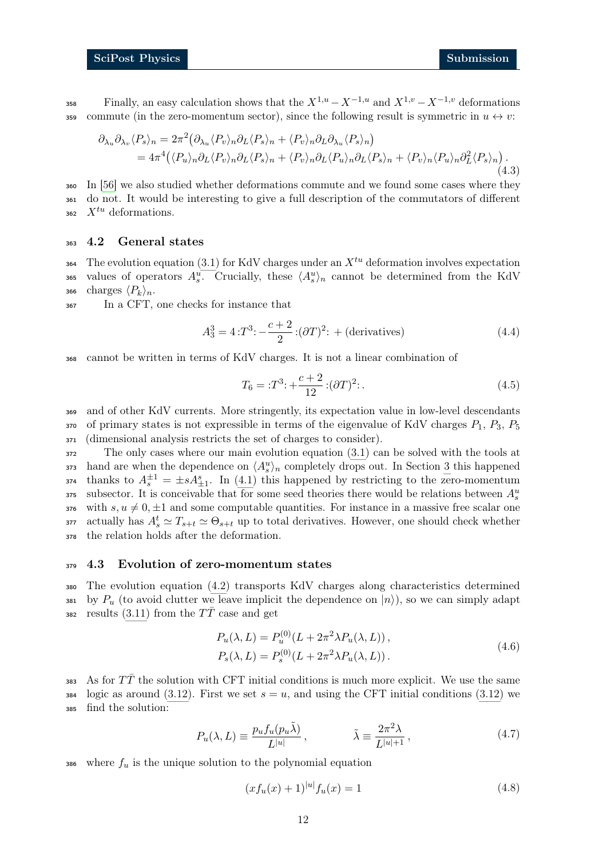$Fially,$  an easy calculation shows that the  $X^{1,u} - X^{-1,u}$  and  $X^{1,v} - X^{-1,v}$  deformations 359 commute (in the zero-momentum sector), since the following result is symmetric in  $u \leftrightarrow v$ :

$$
\partial_{\lambda_u} \partial_{\lambda_v} \langle P_s \rangle_n = 2\pi^2 \left( \partial_{\lambda_u} \langle P_v \rangle_n \partial_L \langle P_s \rangle_n + \langle P_v \rangle_n \partial_L \partial_{\lambda_u} \langle P_s \rangle_n \right)
$$
  
=  $4\pi^4 \left( \langle P_u \rangle_n \partial_L \langle P_v \rangle_n \partial_L \langle P_s \rangle_n + \langle P_v \rangle_n \partial_L \langle P_u \rangle_n \partial_L \langle P_s \rangle_n + \langle P_v \rangle_n \langle P_u \rangle_n \partial_L^2 \langle P_s \rangle_n \right).$  (4.3)

<sup>360</sup> In [\[56\]](#page-34-1) we also studied whether deformations commute and we found some cases where they <sup>361</sup> do not. It would be interesting to give a full description of the commutators of different  $x^{tu}$  deformations.

#### <span id="page-11-0"></span><sup>363</sup> 4.2 General states

364 The evolution equation [\(3.1\)](#page-7-2) for KdV charges under an  $X^{tu}$  deformation involves expectation <sup>365</sup> values of operators  $A_s^u$ . Crucially, these  $\langle A_s^u \rangle$  cannot be determined from the KdV 366 charges  $\langle P_k \rangle_n$ .

<sup>367</sup> In a CFT, one checks for instance that

$$
A_3^3 = 4 \,:\! T^3 \!:\! -\frac{c+2}{2} \,:\! (\partial T)^2 \!:\! + \text{(derivatives)}
$$
\n(4.4)

<sup>368</sup> cannot be written in terms of KdV charges. It is not a linear combination of

$$
T_6 = :T^3: + \frac{c+2}{12} : (\partial T)^2: .
$$
\n(4.5)

<sup>369</sup> and of other KdV currents. More stringently, its expectation value in low-level descendants  $370$  of primary states is not expressible in terms of the eigenvalue of KdV charges  $P_1$ ,  $P_3$ ,  $P_5$ <sup>371</sup> (dimensional analysis restricts the set of charges to consider).

<sup>372</sup> The only cases where our main evolution equation [\(3.1\)](#page-7-2) can be solved with the tools at 373 hand are when the dependence on  $\langle A_s^u \rangle_n$  completely drops out. In Section [3](#page-6-0) this happened  $t_{374}$  thanks to  $A_5^{\pm 1} = \pm s A_{\pm 1}^s$ . In [\(4.1\)](#page-10-4) this happened by restricting to the zero-momentum subsector. It is conceivable that for some seed theories there would be relations between  $A_s^u$ 375 376 with  $s, u \neq 0, \pm 1$  and some computable quantities. For instance in a massive free scalar one 377 actually has  $A_s^t \simeq T_{s+t} \simeq \Theta_{s+t}$  up to total derivatives. However, one should check whether <sup>378</sup> the relation holds after the deformation.

#### <span id="page-11-1"></span><sup>379</sup> 4.3 Evolution of zero-momentum states

<sup>380</sup> The evolution equation [\(4.2\)](#page-10-2) transports KdV charges along characteristics determined 381 by  $P_u$  (to avoid clutter we leave implicit the dependence on  $|n\rangle$ ), so we can simply adapt 382 results [\(3.11\)](#page-8-4) from the  $T\bar{T}$  case and get

<span id="page-11-3"></span>
$$
P_u(\lambda, L) = P_u^{(0)}(L + 2\pi^2 \lambda P_u(\lambda, L)),
$$
  
\n
$$
P_s(\lambda, L) = P_s^{(0)}(L + 2\pi^2 \lambda P_u(\lambda, L)).
$$
\n(4.6)

383 As for  $T\bar{T}$  the solution with CFT initial conditions is much more explicit. We use the same  $384$  logic as around [\(3.12\)](#page-9-4). First we set  $s = u$ , and using the CFT initial conditions (3.12) we <sup>385</sup> find the solution:

$$
P_u(\lambda, L) \equiv \frac{p_u f_u(p_u \tilde{\lambda})}{L^{|u|}}, \qquad \tilde{\lambda} \equiv \frac{2\pi^2 \lambda}{L^{|u|+1}}, \qquad (4.7)
$$

386 where  $f_u$  is the unique solution to the polynomial equation

<span id="page-11-2"></span>
$$
(xf_u(x) + 1)^{|u|} f_u(x) = 1
$$
\n(4.8)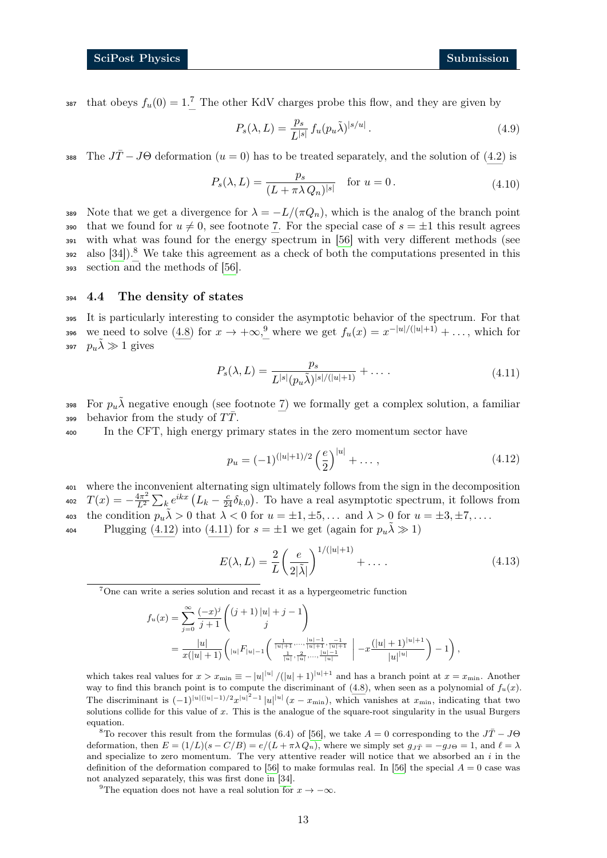38[7](#page-12-1) that obeys  $f_u(0) = 1$ .<sup>7</sup> The other KdV charges probe this flow, and they are given by

$$
P_s(\lambda, L) = \frac{p_s}{L^{|s|}} f_u(p_u \tilde{\lambda})^{|s/u|}.
$$
\n(4.9)

388 The  $J\bar{T} - J\Theta$  deformation  $(u = 0)$  has to be treated separately, and the solution of [\(4.2\)](#page-10-2) is

$$
P_s(\lambda, L) = \frac{p_s}{(L + \pi \lambda Q_n)^{|s|}} \quad \text{for } u = 0.
$$
\n(4.10)

389 Note that we get a divergence for  $\lambda = -L/(\pi Q_n)$ , which is the analog of the branch point 390 that we found for  $u \neq 0$ , see footnote [7.](#page-12-1) For the special case of  $s = \pm 1$  this result agrees <sup>391</sup> with what was found for the energy spectrum in [\[56\]](#page-34-1) with very different methods (see ase also [\[34\]](#page-33-0)).<sup>[8](#page-12-2)</sup> We take this agreement as a check of both the computations presented in this <sup>393</sup> section and the methods of [\[56\]](#page-34-1).

#### <span id="page-12-0"></span><sup>394</sup> 4.4 The density of states

<sup>395</sup> It is particularly interesting to consider the asymptotic behavior of the spectrum. For that 396 we need to solve [\(4.8\)](#page-11-2) for  $x \to +\infty$ , where we get  $f_u(x) = x^{-|u|/(|u|+1)} + \ldots$ , which for 397  $p_u \tilde{\lambda} \gg 1$  gives

<span id="page-12-5"></span>
$$
P_s(\lambda, L) = \frac{p_s}{L^{|s|}(p_u \tilde{\lambda})^{|s|/(|u|+1)}} + \dots
$$
\n(4.11)

398 For  $p_u \tilde{\lambda}$  negative enough (see footnote [7\)](#page-12-1) we formally get a complex solution, a familiar 399 behavior from the study of  $T\overline{T}$ .

<sup>400</sup> In the CFT, high energy primary states in the zero momentum sector have

<span id="page-12-4"></span>
$$
p_u = (-1)^{(|u|+1)/2} \left(\frac{e}{2}\right)^{|u|} + \dots, \tag{4.12}
$$

<sup>401</sup> where the inconvenient alternating sign ultimately follows from the sign in the decomposition  $T(x) = -\frac{4\pi^2}{L^2}$ 402  $T(x) = -\frac{4\pi^2}{L^2} \sum_k e^{ikx} (L_k - \frac{c}{24} \delta_{k,0}).$  To have a real asymptotic spectrum, it follows from 403 the condition  $p_u \tilde{\lambda} > 0$  that  $\lambda < 0$  for  $u = \pm 1, \pm 5, \dots$  and  $\lambda > 0$  for  $u = \pm 3, \pm 7, \dots$ . Plugging [\(4.12\)](#page-12-4) into [\(4.11\)](#page-12-5) for  $s = \pm 1$  we get (again for  $p_u \tilde{\lambda} \gg 1$ )

<span id="page-12-6"></span>
$$
E(\lambda, L) = \frac{2}{L} \left( \frac{e}{2|\tilde{\lambda}|} \right)^{1/(|u|+1)} + \dots \tag{4.13}
$$

<span id="page-12-1"></span><sup>7</sup>One can write a series solution and recast it as a hypergeometric function

$$
f_u(x) = \sum_{j=0}^{\infty} \frac{(-x)^j}{j+1} \binom{(j+1)|u|+j-1}{j}
$$
  
= 
$$
\frac{|u|}{x(|u|+1)} \left( |u| F_{|u|-1} \left( \frac{\frac{1}{|u|+1} \ldots \frac{|u|-1}{|u|+1} \frac{-1}{|u|+1}}{\frac{1}{|u|} \cdot \frac{2}{|u|} \ldots \frac{|u|-1}{|u|}} \right) - x \frac{(|u|+1)^{|u|+1}}{|u|^{|u|}} - x \frac{(|u|+1)^{|u|+1}}{|u|^{|u|}} - 1 \right),
$$

which takes real values for  $x > x_{\min} \equiv -|u|^{(|u|)} / (|u|+1)^{|u|+1}$  and has a branch point at  $x = x_{\min}$ . Another way to find this branch point is to compute the discriminant of  $(4.8)$ , when seen as a polynomial of  $f_u(x)$ . The discriminant is  $(-1)^{|u|(|u|-1)/2}x^{|u|^2-1}|u|^{|u|}(x-x_{\min})$ , which vanishes at  $x_{\min}$ , indicating that two solutions collide for this value of  $x$ . This is the analogue of the square-root singularity in the usual Burgers equation.

<span id="page-12-2"></span><sup>8</sup>To recover this result from the formulas (6.4) of [\[56\]](#page-34-1), we take  $A = 0$  corresponding to the  $J\bar{T} - J\Theta$ deformation, then  $E = (1/L)(s - C/B) = e/(L + \pi \lambda Q_n)$ , where we simply set  $g_{J\bar{T}} = -g_{J\Theta} = 1$ , and  $\ell = \lambda$ and specialize to zero momentum. The very attentive reader will notice that we absorbed an  $i$  in the definition of the deformation compared to [\[56\]](#page-34-1) to make formulas real. In [56] the special  $A = 0$  case was not analyzed separately, this was first done in [\[34\]](#page-33-0).

<span id="page-12-3"></span><sup>9</sup>The equation does not have a real solution for  $x \to -\infty$ .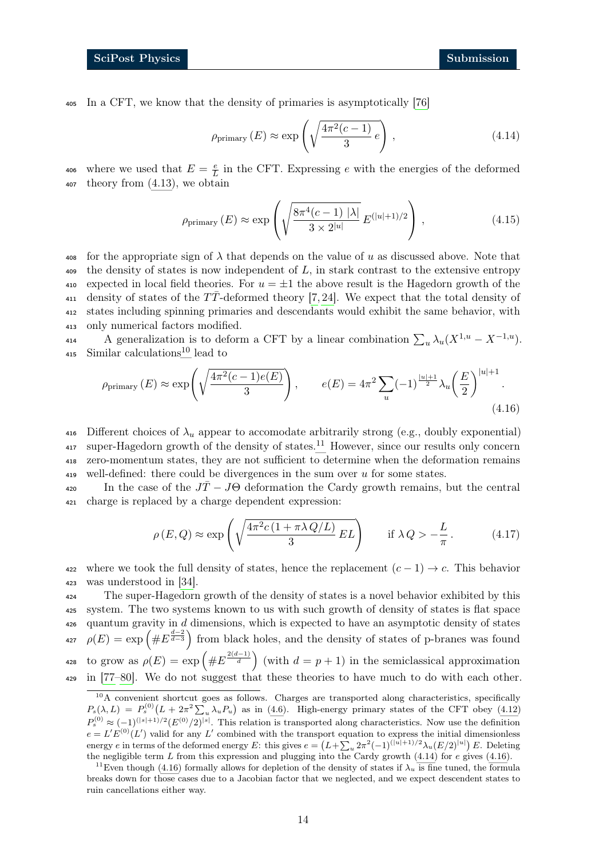<sup>405</sup> In a CFT, we know that the density of primaries is asymptotically [\[76\]](#page-35-2)

<span id="page-13-4"></span><span id="page-13-2"></span>
$$
\rho_{\text{primary}}(E) \approx \exp\left(\sqrt{\frac{4\pi^2(c-1)}{3}e}\right),\tag{4.14}
$$

where we used that  $E = \frac{e}{L}$ 406 where we used that  $E = \frac{e}{L}$  in the CFT. Expressing e with the energies of the deformed <sup>407</sup> theory from [\(4.13\)](#page-12-6), we obtain

$$
\rho_{\text{primary}}(E) \approx \exp\left(\sqrt{\frac{8\pi^4(c-1) |\lambda|}{3 \times 2^{|u|}}} E^{(|u|+1)/2}\right),\tag{4.15}
$$

 $\frac{408}{408}$  for the appropriate sign of  $\lambda$  that depends on the value of u as discussed above. Note that  $\phi$  the density of states is now independent of L, in stark contrast to the extensive entropy 410 expected in local field theories. For  $u = \pm 1$  the above result is the Hagedorn growth of the 411 density of states of the  $T\bar{T}$ -deformed theory [\[7,](#page-31-5) [24\]](#page-32-4). We expect that the total density of <sup>412</sup> states including spinning primaries and descendants would exhibit the same behavior, with <sup>413</sup> only numerical factors modified.

414 A generalization is to deform a CFT by a linear combination  $\sum_{u} \lambda_u (X^{1,u} - X^{-1,u}).$  $415$  Similar calculations<sup>[10](#page-13-0)</sup> lead to

<span id="page-13-3"></span>
$$
\rho_{\text{primary}}(E) \approx \exp\left(\sqrt{\frac{4\pi^2(c-1)e(E)}{3}}\right), \qquad e(E) = 4\pi^2 \sum_{u} (-1)^{\frac{|u|+1}{2}} \lambda_u \left(\frac{E}{2}\right)^{|u|+1}.
$$
\n(4.16)

416 Different choices of  $\lambda_u$  appear to accomodate arbitrarily strong (e.g., doubly exponential)  $11$  super-Hagedorn growth of the density of states.<sup>11</sup> However, since our results only concern <sup>418</sup> zero-momentum states, they are not sufficient to determine when the deformation remains 419 well-defined: there could be divergences in the sum over  $u$  for some states.

420 In the case of the  $J\bar{T} - J\Theta$  deformation the Cardy growth remains, but the central <sup>421</sup> charge is replaced by a charge dependent expression:

$$
\rho(E,Q) \approx \exp\left(\sqrt{\frac{4\pi^2 c \left(1 + \pi \lambda Q/L\right)}{3} EL}\right) \quad \text{if } \lambda Q > -\frac{L}{\pi}.
$$
 (4.17)

422 where we took the full density of states, hence the replacement  $(c - 1) \rightarrow c$ . This behavior <sup>423</sup> was understood in [\[34\]](#page-33-0).

 The super-Hagedorn growth of the density of states is a novel behavior exhibited by this system. The two systems known to us with such growth of density of states is flat space quantum gravity in d dimensions, which is expected to have an asymptotic density of states <sup>427</sup>  $\rho(E) = \exp\left(\#E^{\frac{d-2}{d-3}}\right)$  from black holes, and the density of states of p-branes was found 428 to grow as  $\rho(E) = \exp\left(\#E^{\frac{2(d-1)}{d}}\right)$  (with  $d = p + 1$ ) in the semiclassical approximation in [\[77–](#page-35-3)[80\]](#page-35-4). We do not suggest that these theories to have much to do with each other.

<span id="page-13-0"></span> $10$ A convenient shortcut goes as follows. Charges are transported along characteristics, specifically  $P_s(\lambda, L) = P_s^{(0)}(L + 2\pi^2 \sum_u \lambda_u P_u)$  as in [\(4.6\)](#page-11-3). High-energy primary states of the CFT obey [\(4.12\)](#page-12-4)  $P_s^{(0)} \approx (-1)^{(|s|+1)/2} (E^{(0)}/2)^{|s|}$ . This relation is transported along characteristics. Now use the definition  $e = L'E^{(0)}(L')$  valid for any L' combined with the transport equation to express the initial dimensionless energy e in terms of the deformed energy E: this gives  $e = (L + \sum_u 2\pi^2(-1)^{(|u|+1)/2}\lambda_u(E/2)^{|u|})E$ . Deleting the negligible term L from this expression and plugging into the Cardy growth  $(4.14)$  for e gives  $(4.16)$ .

<span id="page-13-1"></span><sup>&</sup>lt;sup>11</sup>Even though [\(4.16\)](#page-13-3) formally allows for depletion of the density of states if  $\lambda_u$  is fine tuned, the formula breaks down for those cases due to a Jacobian factor that we neglected, and we expect descendent states to ruin cancellations either way.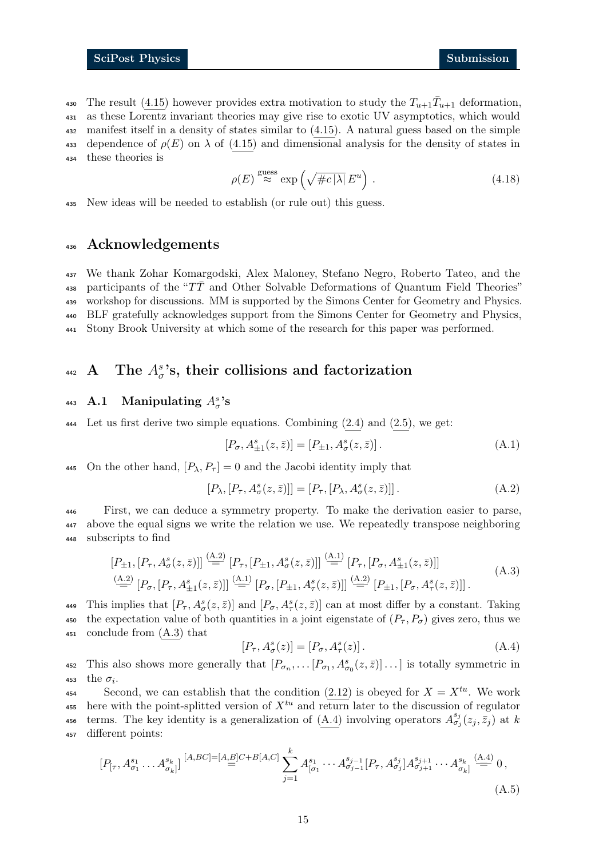430 The result [\(4.15\)](#page-13-4) however provides extra motivation to study the  $T_{u+1} \bar{T}_{u+1}$  deformation, <sup>431</sup> as these Lorentz invariant theories may give rise to exotic UV asymptotics, which would <sup>432</sup> manifest itself in a density of states similar to [\(4.15\)](#page-13-4). A natural guess based on the simple 433 dependence of  $\rho(E)$  on  $\lambda$  of [\(4.15\)](#page-13-4) and dimensional analysis for the density of states in <sup>434</sup> these theories is

$$
\rho(E) \stackrel{\text{guess}}{\approx} \exp\left(\sqrt{\#c|\lambda|} \, E^u\right) \,. \tag{4.18}
$$

<sup>435</sup> New ideas will be needed to establish (or rule out) this guess.

## <sup>436</sup> Acknowledgements

 We thank Zohar Komargodski, Alex Maloney, Stefano Negro, Roberto Tateo, and the 438 participants of the " $T\bar{T}$  and Other Solvable Deformations of Quantum Field Theories" workshop for discussions. MM is supported by the Simons Center for Geometry and Physics. BLF gratefully acknowledges support from the Simons Center for Geometry and Physics, Stony Brook University at which some of the research for this paper was performed.

# <span id="page-14-0"></span>442 A The  $A^s_{\sigma}$ 's, their collisions and factorization

# <span id="page-14-1"></span><sup>443</sup> A.1 Manipulating  $A^s_\sigma$ 's

<sup>444</sup> Let us first derive two simple equations. Combining [\(2.4\)](#page-4-6) and [\(2.5\)](#page-4-7), we get:

<span id="page-14-3"></span><span id="page-14-2"></span>
$$
[P_{\sigma}, A_{\pm 1}^s(z,\bar{z})] = [P_{\pm 1}, A_{\sigma}^s(z,\bar{z})]. \tag{A.1}
$$

445 On the other hand,  $[P_{\lambda}, P_{\tau}] = 0$  and the Jacobi identity imply that

<span id="page-14-4"></span>
$$
[P_{\lambda}, [P_{\tau}, A^s_{\sigma}(z,\bar{z})]] = [P_{\tau}, [P_{\lambda}, A^s_{\sigma}(z,\bar{z})]].
$$
\n(A.2)

<sup>446</sup> First, we can deduce a symmetry property. To make the derivation easier to parse, <sup>447</sup> above the equal signs we write the relation we use. We repeatedly transpose neighboring <sup>448</sup> subscripts to find

$$
[P_{\pm 1}, [P_{\tau}, A^s_{\sigma}(z, \bar{z})]] \stackrel{\text{(A.2)}}{=} [P_{\tau}, [P_{\pm 1}, A^s_{\sigma}(z, \bar{z})]] \stackrel{\text{(A.1)}}{=} [P_{\tau}, [P_{\sigma}, A^s_{\pm 1}(z, \bar{z})]]
$$
\n(A.3)\n
$$
\stackrel{\text{(A.2)}}{=} [P_{\sigma}, [P_{\tau}, A^s_{\pm 1}(z, \bar{z})]] \stackrel{\text{(A.1)}}{=} [P_{\sigma}, [P_{\pm 1}, A^s_{\tau}(z, \bar{z})]] \stackrel{\text{(A.2)}}{=} [P_{\pm 1}, [P_{\sigma}, A^s_{\tau}(z, \bar{z})]] \,. \tag{A.3}
$$

449 This implies that  $[P_\tau, A^s_\sigma(z,\bar{z})]$  and  $[P_\sigma, A^s_\tau(z,\bar{z})]$  can at most differ by a constant. Taking 450 the expectation value of both quantities in a joint eigenstate of  $(P_\tau, P_\sigma)$  gives zero, thus we <sup>451</sup> conclude from [\(A.3\)](#page-14-4) that

<span id="page-14-5"></span>
$$
[P_{\tau}, A^s_{\sigma}(z)] = [P_{\sigma}, A^s_{\tau}(z)]. \tag{A.4}
$$

452 This also shows more generally that  $[P_{\sigma_n}, \dots [P_{\sigma_1}, A^s_{\sigma_0}(z, \bar{z})] \dots]$  is totally symmetric in 453 the  $\sigma_i$ .

<sup>454</sup> Second, we can establish that the condition  $(2.12)$  is obeyed for  $X = X^{tu}$ . We work 455 here with the point-splitted version of  $X^{tu}$  and return later to the discussion of regulator 456 terms. The key identity is a generalization of [\(A.4\)](#page-14-5) involving operators  $A_{\sigma_j}^{s_j}(z_j, \bar{z}_j)$  at k <sup>457</sup> different points:

<span id="page-14-6"></span>
$$
[P_{[\tau}, A^{s_1}_{\sigma_1} \dots A^{s_k}_{\sigma_k]}] \stackrel{[A, BC]=[A, B]C+B[A, C]}{=} \sum_{j=1}^k A^{s_1}_{[\sigma_1} \cdots A^{s_{j-1}}_{\sigma_{j-1}} [P_{\tau}, A^{s_j}_{\sigma_j}] A^{s_{j+1}}_{\sigma_{j+1}} \cdots A^{s_k}_{\sigma_k]} \stackrel{(A.4)}{=} 0,
$$
\n(A.5)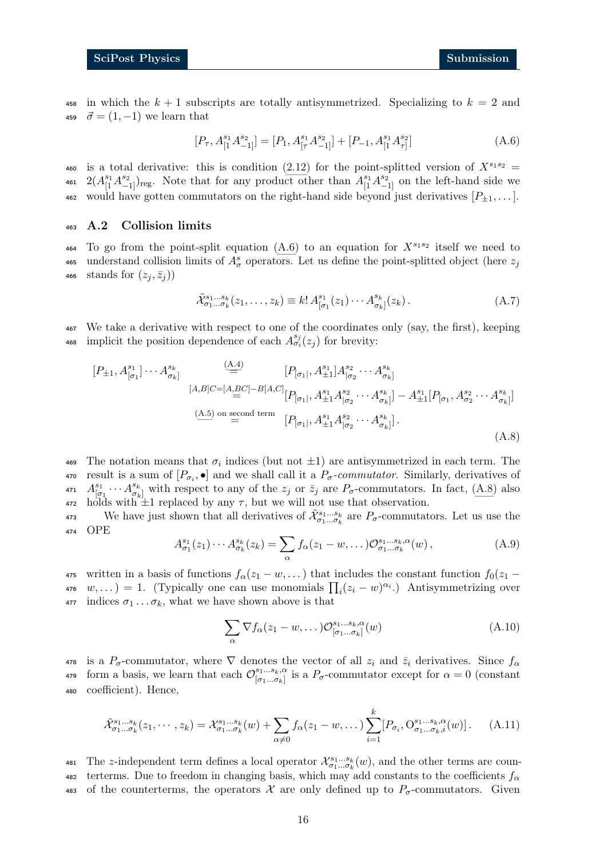458 in which the  $k + 1$  subscripts are totally antisymmetrized. Specializing to  $k = 2$  and 459  $\vec{\sigma} = (1, -1)$  we learn that

<span id="page-15-1"></span>
$$
[P_{\tau}, A_{[1}^{s_1} A_{-1]}^{s_2}] = [P_1, A_{[\tau}^{s_1} A_{-1]}^{s_2}] + [P_{-1}, A_{[1}^{s_1} A_{\tau]}^{s_2}]
$$
(A.6)

460 is a total derivative: this is condition [\(2.12\)](#page-5-3) for the point-splitted version of  $X^{s_1s_2} =$ 461  $2(A_{[1}^{s_1}A_{-1}^{s_2})_{reg}$ . Note that for any product other than  $A_{[1}^{s_1}A_{-1]}^{s_2}$  on the left-hand side we 462 would have gotten commutators on the right-hand side beyond just derivatives  $[P_{\pm 1}, \ldots]$ .

#### <span id="page-15-0"></span><sup>463</sup> A.2 Collision limits

464 To go from the point-split equation  $(A.6)$  to an equation for  $X^{s_1s_2}$  itself we need to 465 understand collision limits of  $A^s_\sigma$  operators. Let us define the point-splitted object (here  $z_j$ 466 stands for  $(z_i, \bar{z}_i)$ 

<span id="page-15-2"></span>
$$
\tilde{\mathcal{X}}_{\sigma_1\ldots\sigma_k}^{s_1\ldots s_k}(z_1,\ldots,z_k) \equiv k! A_{[\sigma_1}^{s_1}(z_1)\cdots A_{\sigma_k]}^{s_k}(z_k).
$$
\n(A.7)

<sup>467</sup> We take a derivative with respect to one of the coordinates only (say, the first), keeping 468 implicit the position dependence of each  $A_{\sigma_i}^{s_j}(z_j)$  for brevity:

$$
[P_{\pm 1}, A_{[\sigma_1]}^{s_1}] \cdots A_{\sigma_k}^{s_k} = [P_{[\sigma_1]}, A_{\pm 1}^{s_1}] A_{[\sigma_2}^{s_2} \cdots A_{\sigma_k]}^{s_k}
$$
  
\n
$$
[A,B]C=[A,BC]-B[A,C] [P_{[\sigma_1]}, A_{\pm 1}^{s_1} A_{[\sigma_2}^{s_2} \cdots A_{\sigma_k]}^{s_k}] - A_{\pm 1}^{s_1} [P_{[\sigma_1]}, A_{\sigma_2}^{s_2} \cdots A_{\sigma_k]}^{s_k}]
$$
  
\n(A.5) on second term  
\n
$$
[P_{[\sigma_1]}, A_{\pm 1}^{s_1} A_{[\sigma_2}^{s_2} \cdots A_{\sigma_k]}^{s_k}].
$$
  
\n(A.8)

469 The notation means that  $\sigma_i$  indices (but not  $\pm 1$ ) are antisymmetrized in each term. The 470 result is a sum of  $[P_{\sigma_i}, \bullet]$  and we shall call it a  $P_{\sigma}$ -commutator. Similarly, derivatives of  $A^{s_1}_{\mathfrak{l} \sigma}$  $\begin{bmatrix} s_1 & \cdots & A^{s_k} \\ \sigma_1 & \cdots & \sigma_k \end{bmatrix}$ 471  $A_{[\sigma_1}^{s_1} \cdots A_{\sigma_k]}^{s_k}$  with respect to any of the  $z_j$  or  $\bar{z}_j$  are  $P_{\sigma}$ -commutators. In fact, [\(A.8\)](#page-15-2) also 472 holds with  $\pm 1$  replaced by any  $\tau$ , but we will not use that observation.

473 We have just shown that all derivatives of  $\tilde{\mathcal{X}}_{\sigma_1...\sigma_k}^{s_1...s_k}$  are  $P_{\sigma}$ -commutators. Let us use the <sup>474</sup> OPE

$$
A_{\sigma_1}^{s_1}(z_1)\cdots A_{\sigma_k}^{s_k}(z_k) = \sum_{\alpha} f_{\alpha}(z_1 - w, \dots) \mathcal{O}_{\sigma_1 \dots \sigma_k}^{s_1 \dots s_k, \alpha}(w) , \qquad (A.9)
$$

475 written in a basis of functions  $f_{\alpha}(z_1 - w, \dots)$  that includes the constant function  $f_0(z_1 - w, \dots)$ 476  $w, \ldots$ ) = 1. (Typically one can use monomials  $\prod_i (z_i - w)^{\alpha_i}$ .) Antisymmetrizing over 477 indices  $\sigma_1 \dots \sigma_k$ , what we have shown above is that

<span id="page-15-3"></span>
$$
\sum_{\alpha} \nabla f_{\alpha}(z_1 - w, \dots) \mathcal{O}_{[\sigma_1 \dots \sigma_k]}^{s_1 \dots s_k, \alpha}(w)
$$
\n(A.10)

478 is a  $P_{\sigma}$ -commutator, where  $\nabla$  denotes the vector of all  $z_i$  and  $\bar{z}_i$  derivatives. Since  $f_{\alpha}$ form a basis, we learn that each  $\mathcal{O}_{[\sigma_1,\sigma_2]}^{s_1...s_k,\alpha_k}$ 479 form a basis, we learn that each  $\mathcal{O}_{[\sigma_1...\sigma_k]}^{s_1...s_k,\alpha}$  is a  $P_{\sigma}$ -commutator except for  $\alpha=0$  (constant <sup>480</sup> coefficient). Hence,

$$
\tilde{\mathcal{X}}_{\sigma_1\ldots\sigma_k}^{s_1\ldots s_k}(z_1,\ldots,z_k) = \mathcal{X}_{\sigma_1\ldots\sigma_k}^{s_1\ldots s_k}(w) + \sum_{\alpha \neq 0} f_{\alpha}(z_1 - w,\ldots) \sum_{i=1}^k [P_{\sigma_i}, \mathcal{O}_{\sigma_1\ldots\sigma_k,i}^{s_1\ldots s_k,\alpha}(w)]. \tag{A.11}
$$

481 The z-independent term defines a local operator  $\mathcal{X}_{\sigma_1...\sigma_k}^{s_1...s_k}(w)$ , and the other terms are coun-482 terterms. Due to freedom in changing basis, which may add constants to the coefficients  $f_{\alpha}$ 483 of the counterterms, the operators  $\mathcal X$  are only defined up to  $P_{\sigma}$ -commutators. Given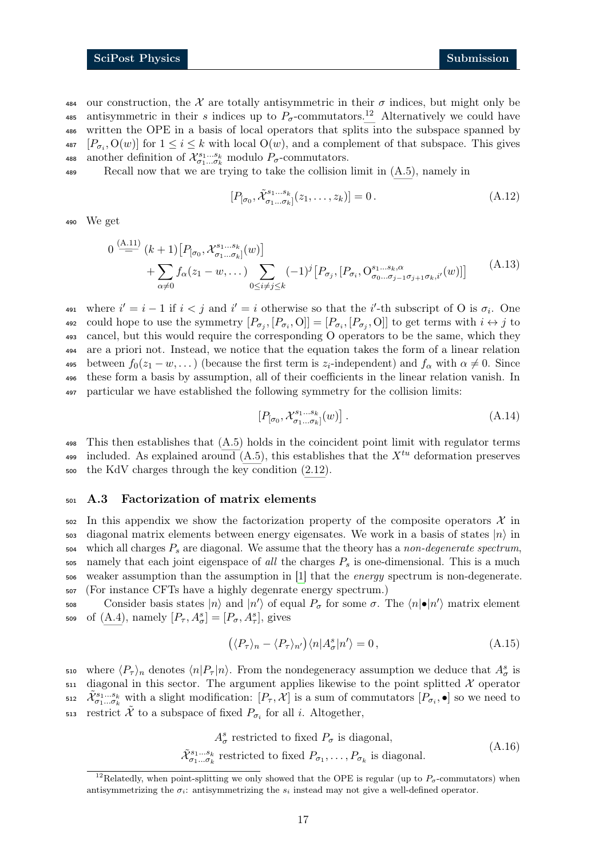484 our construction, the X are totally antisymmetric in their  $\sigma$  indices, but might only be 485 antisymmetric in their s indices up to  $P_{\sigma}$ -commutators.<sup>[12](#page-16-2)</sup> Alternatively we could have <sup>486</sup> written the OPE in a basis of local operators that splits into the subspace spanned by 487  $[P_{\sigma_i}, \mathcal{O}(w)]$  for  $1 \leq i \leq k$  with local  $\mathcal{O}(w)$ , and a complement of that subspace. This gives 488 another definition of  $\mathcal{X}_{\sigma_1...\sigma_k}^{s_1...s_k}$  modulo  $P_{\sigma}$ -commutators.

<sup>489</sup> Recall now that we are trying to take the collision limit in [\(A.5\)](#page-14-6), namely in

 $[P_{[\sigma_0}, \tilde{\mathcal{X}}_{\sigma_1...\sigma_k}^{s_1...s_k}](z_1,\ldots,z_k)] = 0.$  (A.12)

<sup>490</sup> We get

$$
0 \stackrel{(A.11)}{=} (k+1) [P_{[\sigma_0, X_{\sigma_1 \dots \sigma_k}^{s_1 \dots s_k}]}(w)] + \sum_{\alpha \neq 0} f_{\alpha}(z_1 - w, \dots) \sum_{0 \leq i \neq j \leq k} (-1)^j [P_{\sigma_j}, [P_{\sigma_i}, O_{\sigma_0 \dots \sigma_{j-1} \sigma_{j+1} \sigma_k, i'}^{s_1 \dots s_k, \alpha}(w)] \quad (A.13)
$$

491 where  $i' = i - 1$  if  $i < j$  and  $i' = i$  otherwise so that the i'-th subscript of O is  $\sigma_i$ . One 492 could hope to use the symmetry  $[P_{\sigma_j}, [P_{\sigma_i}, 0]] = [P_{\sigma_i}, [P_{\sigma_j}, 0]]$  to get terms with  $i \leftrightarrow j$  to <sup>493</sup> cancel, but this would require the corresponding O operators to be the same, which they <sup>494</sup> are a priori not. Instead, we notice that the equation takes the form of a linear relation 495 between  $f_0(z_1 - w, ...)$  (because the first term is  $z_i$ -independent) and  $f_\alpha$  with  $\alpha \neq 0$ . Since <sup>496</sup> these form a basis by assumption, all of their coefficients in the linear relation vanish. In <sup>497</sup> particular we have established the following symmetry for the collision limits:

<span id="page-16-1"></span>
$$
[P_{[\sigma_0}, \mathcal{X}_{\sigma_1 \dots \sigma_k}^{s_1 \dots s_k}](w)]. \tag{A.14}
$$

<sup>498</sup> This then establishes that [\(A.5\)](#page-14-6) holds in the coincident point limit with regulator terms included. As explained around  $(A.5)$ , this establishes that the  $X^{tu}$  deformation preserves <sup>500</sup> the KdV charges through the key condition [\(2.12\)](#page-5-3).

#### <span id="page-16-0"></span><sup>501</sup> A.3 Factorization of matrix elements

 In this appendix we show the factorization property of the composite operators  $\mathcal{X}$  in  $\frac{1}{2}$  diagonal matrix elements between energy eigensates. We work in a basis of states  $|n\rangle$  in which all charges  $P_s$  are diagonal. We assume that the theory has a non-degenerate spectrum, namely that each joint eigenspace of all the charges  $P<sub>s</sub>$  is one-dimensional. This is a much weaker assumption than the assumption in [\[1\]](#page-31-1) that the energy spectrum is non-degenerate. (For instance CFTs have a highly degenrate energy spectrum.)

508 Consider basis states  $|n\rangle$  and  $|n'\rangle$  of equal  $P_{\sigma}$  for some  $\sigma$ . The  $\langle n|\bullet |n'\rangle$  matrix element 509 of  $(A.4)$ , namely  $[P_\tau, A^s_\sigma] = [P_\sigma, A^s_\tau]$ , gives

$$
(\langle P_{\tau} \rangle_n - \langle P_{\tau} \rangle_{n'}) \langle n | A_{\sigma}^s | n' \rangle = 0, \qquad (A.15)
$$

510 where  $\langle P_{\tau} \rangle_n$  denotes  $\langle n | P_{\tau} | n \rangle$ . From the nondegeneracy assumption we deduce that  $A^s_{\sigma}$  is  $511$  diagonal in this sector. The argument applies likewise to the point splitted X operator 512  $\tilde{\mathcal{X}}_{\sigma_1...\sigma_k}^{s_1...\cdot s_k}$  with a slight modification:  $[P_\tau,\mathcal{X}]$  is a sum of commutators  $[P_{\sigma_i},\bullet]$  so we need to 513 restrict  $\tilde{\mathcal{X}}$  to a subspace of fixed  $P_{\sigma_i}$  for all i. Altogether,

> $A^s_{\sigma}$  restricted to fixed  $P_{\sigma}$  is diagonal,  $\tilde{\mathcal{X}}_{\sigma_1...\sigma_k}^{s_1...s_k}$  restricted to fixed  $P_{\sigma_1},\ldots,P_{\sigma_k}$  is diagonal. (A.16)

<span id="page-16-2"></span><sup>&</sup>lt;sup>12</sup>Relatedly, when point-splitting we only showed that the OPE is regular (up to  $P_{\sigma}$ -commutators) when antisymmetrizing the  $\sigma_i$ : antisymmetrizing the  $s_i$  instead may not give a well-defined operator.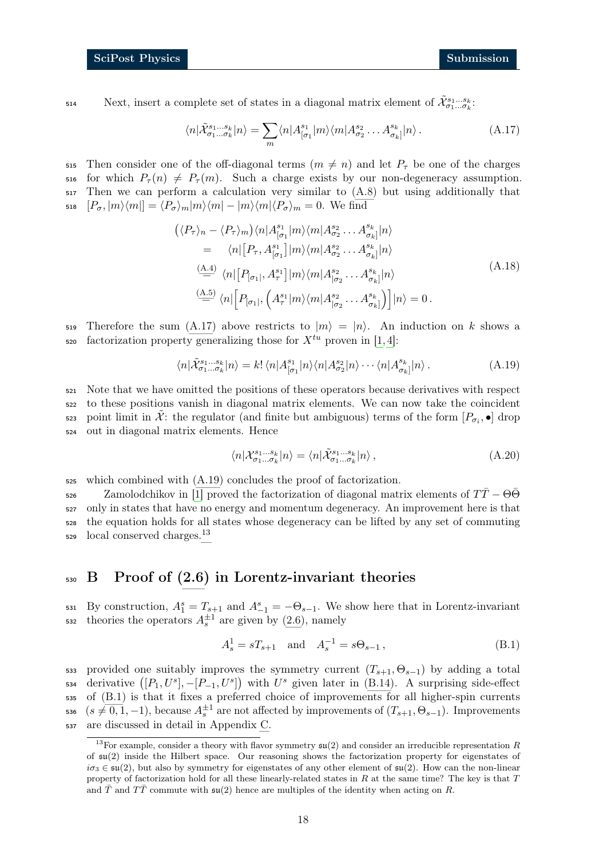Next, insert a complete set of states in a diagonal matrix element of 
$$
\tilde{\mathcal{X}}_{\sigma_1...\sigma_k}^{s_1...s_k}
$$
.

<span id="page-17-1"></span>
$$
\langle n|\tilde{\mathcal{X}}_{\sigma_1...\sigma_k}^{s_1...s_k}|n\rangle = \sum_m \langle n|A_{[\sigma_1}^{s_1}|m\rangle \langle m|A_{\sigma_2}^{s_2} \dots A_{\sigma_k}^{s_k}|n\rangle. \tag{A.17}
$$

515 Then consider one of the off-diagonal terms  $(m \neq n)$  and let  $P<sub>\tau</sub>$  be one of the charges 516 for which  $P_{\tau}(n) \neq P_{\tau}(m)$ . Such a charge exists by our non-degeneracy assumption. <sup>517</sup> Then we can perform a calculation very similar to [\(A.8\)](#page-15-2) but using additionally that 518  $[P_{\sigma}, |m\rangle\langle m|] = \langle P_{\sigma} \rangle_m |m\rangle\langle m| - |m\rangle\langle m|\langle P_{\sigma} \rangle_m = 0$ . We find

$$
\begin{split}\n&\left(\langle P_{\tau}\rangle_{n} - \langle P_{\tau}\rangle_{m}\right) \langle n|A^{s_{1}}_{[\sigma_{1}}|m\rangle \langle m|A^{s_{2}}_{\sigma_{2}}\dots A^{s_{k}}_{\sigma_{k}}|n\rangle \\
&= \langle n|[P_{\tau}, A^{s_{1}}_{[\sigma_{1}}]|m\rangle \langle m|A^{s_{2}}_{\sigma_{2}}\dots A^{s_{k}}_{\sigma_{k}}|n\rangle \\
&\stackrel{\text{(A.4)}}{=} \langle n|[P_{[\sigma_{1}]}, A^{s_{1}}_{\tau}]|m\rangle \langle m|A^{s_{2}}_{[\sigma_{2}}\dots A^{s_{k}}_{\sigma_{k}}|n\rangle \\
&\stackrel{\text{(A.5)}}{=} \langle n|[P_{[\sigma_{1}]}, \left(A^{s_{1}}_{\tau}|m\rangle \langle m|A^{s_{2}}_{[\sigma_{2}}\dots A^{s_{k}}_{\sigma_{k}}]\right)|n\rangle = 0.\n\end{split} \tag{A.18}
$$

519 Therefore the sum [\(A.17\)](#page-17-1) above restricts to  $|m\rangle = |n\rangle$ . An induction on k shows a  $\epsilon$ <sub>520</sub> factorization property generalizing those for  $X^{tu}$  proven in [\[1,](#page-31-1) [4\]](#page-31-3):

$$
\langle n|\tilde{\mathcal{X}}_{\sigma_1...\sigma_k}^{s_1...s_k}|n\rangle = k! \langle n|A_{[\sigma_1}^{s_1}|n\rangle \langle n|A_{\sigma_2}^{s_2}|n\rangle \cdots \langle n|A_{\sigma_k}^{s_k}|n\rangle.
$$
 (A.19)

 Note that we have omitted the positions of these operators because derivatives with respect to these positions vanish in diagonal matrix elements. We can now take the coincident 523 point limit in  $\tilde{\mathcal{X}}$ : the regulator (and finite but ambiguous) terms of the form  $[P_{\sigma_i}, \bullet]$  drop out in diagonal matrix elements. Hence

<span id="page-17-5"></span><span id="page-17-2"></span>
$$
\langle n|\mathcal{X}_{\sigma_1...\sigma_k}^{s_1...s_k}|n\rangle = \langle n|\tilde{\mathcal{X}}_{\sigma_1...\sigma_k}^{s_1...s_k}|n\rangle, \qquad (A.20)
$$

 $525$  which combined with  $(A.19)$  concludes the proof of factorization.

 $\sigma$  Zamolodchikov in [\[1\]](#page-31-1) proved the factorization of diagonal matrix elements of  $T\bar{T} - \Theta \bar{\Theta}$ <sup>527</sup> only in states that have no energy and momentum degeneracy. An improvement here is that <sup>528</sup> the equation holds for all states whose degeneracy can be lifted by any set of commuting  $529$  local conserved charges.<sup>[13](#page-17-3)</sup>

## <span id="page-17-0"></span><sup>530</sup> B Proof of [\(2.6\)](#page-4-1) in Lorentz-invariant theories

531 By construction,  $A_1^s = T_{s+1}$  and  $A_{-1}^s = -\Theta_{s-1}$ . We show here that in Lorentz-invariant 532 theories the operators  $A_s^{\pm 1}$  are given by [\(2.6\)](#page-4-1), namely

<span id="page-17-4"></span>
$$
A_s^1 = sT_{s+1} \text{ and } A_s^{-1} = s\Theta_{s-1},
$$
 (B.1)

533 provided one suitably improves the symmetry current  $(T_{s+1}, \Theta_{s-1})$  by adding a total 534 derivative  $([P_1, U^s], -[P_{-1}, U^s])$  with  $U^s$  given later in [\(B.14\)](#page-19-1). A surprising side-effect <sup>535</sup> of [\(B.1\)](#page-17-4) is that it fixes a preferred choice of improvements for all higher-spin currents 536  $(s \neq 0, 1, -1)$ , because  $A_s^{\pm 1}$  are not affected by improvements of  $(T_{s+1}, \Theta_{s-1})$ . Improvements <sup>537</sup> are discussed in detail in Appendix [C.](#page-20-1)

<span id="page-17-3"></span><sup>&</sup>lt;sup>13</sup>For example, consider a theory with flavor symmetry  $\mathfrak{su}(2)$  and consider an irreducible representation R of  $\mathfrak{su}(2)$  inside the Hilbert space. Our reasoning shows the factorization property for eigenstates of  $i\sigma_3 \in \mathfrak{su}(2)$ , but also by symmetry for eigenstates of any other element of  $\mathfrak{su}(2)$ . How can the non-linear property of factorization hold for all these linearly-related states in  $R$  at the same time? The key is that  $T$ and  $\overline{T}$  and  $T\overline{T}$  commute with  $\mathfrak{su}(2)$  hence are multiples of the identity when acting on R.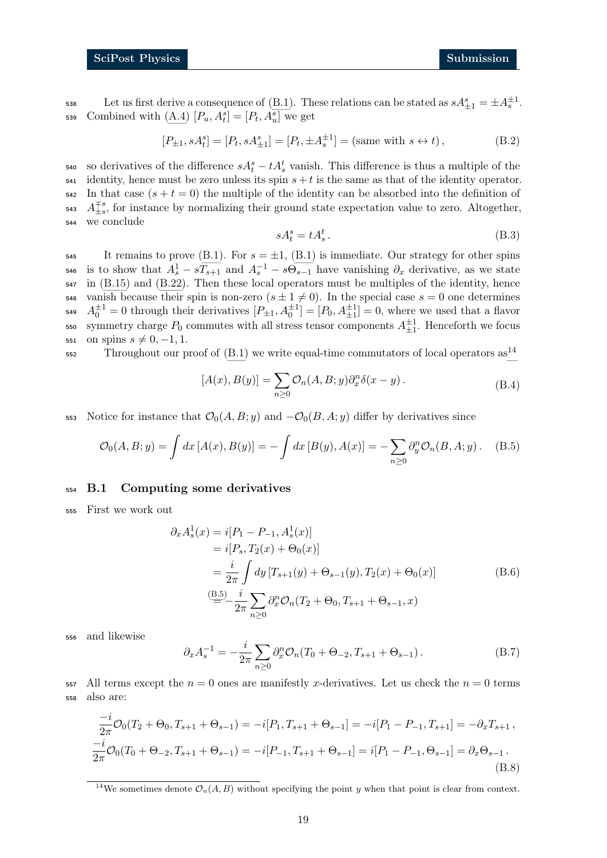538 Let us first derive a consequence of [\(B.1\)](#page-17-4). These relations can be stated as  $sA_{\pm 1}^s = \pm A_s^{\pm 1}$ . 539 Combined with  $(A.4)$   $[P_u, A_t^s] = [P_t, A_u^s]$  we get

<span id="page-18-4"></span>
$$
[P_{\pm 1}, sA_t^s] = [P_t, sA_{\pm 1}^s] = [P_t, \pm A_s^{\pm 1}] = (\text{same with } s \leftrightarrow t), \tag{B.2}
$$

540 so derivatives of the difference  $sA_t^s - tA_s^t$  vanish. This difference is thus a multiple of the  $\frac{1}{541}$  identity, hence must be zero unless its spin  $s + t$  is the same as that of the identity operator.  $542$  In that case  $(s + t = 0)$  the multiple of the identity can be absorbed into the definition of  $A_{\pm s}^{\mp s}$ , for instance by normalizing their ground state expectation value to zero. Altogether, <sup>544</sup> we conclude

<span id="page-18-5"></span><span id="page-18-2"></span>
$$
sA_t^s = tA_s^t. \tag{B.3}
$$

545 It remains to prove [\(B.1\)](#page-17-4). For  $s = \pm 1$ , (B.1) is immediate. Our strategy for other spins 546 is to show that  $A_s^1 - sT_{s+1}$  and  $A_s^{-1} - s\Theta_{s-1}$  have vanishing  $\partial_x$  derivative, as we state <sup>547</sup> in [\(B.15\)](#page-19-2) and [\(B.22\)](#page-20-2). Then these local operators must be multiples of the identity, hence 548 vanish because their spin is non-zero  $(s \pm 1 \neq 0)$ . In the special case  $s = 0$  one determines 549  $A_0^{\pm 1} = 0$  through their derivatives  $[P_{\pm 1}, A_0^{\pm 1}] = [P_0, A_{\pm 1}^{\pm 1}] = 0$ , where we used that a flavor 550 symmetry charge  $P_0$  commutes with all stress tensor components  $A_{\pm 1}^{\pm 1}$ . Henceforth we focus 551 on spins  $s \neq 0, -1, 1$ .

 $552$  Throughout our proof of [\(B.1\)](#page-17-4) we write equal-time commutators of local operators as<sup>[14](#page-18-1)</sup>

$$
[A(x), B(y)] = \sum_{n\geq 0} \mathcal{O}_n(A, B; y) \partial_x^n \delta(x - y).
$$
 (B.4)

553 Notice for instance that  $\mathcal{O}_0(A, B; y)$  and  $-\mathcal{O}_0(B, A; y)$  differ by derivatives since

$$
\mathcal{O}_0(A, B; y) = \int dx \, [A(x), B(y)] = -\int dx \, [B(y), A(x)] = -\sum_{n \ge 0} \partial_y^n \mathcal{O}_n(B, A; y). \tag{B.5}
$$

#### <span id="page-18-0"></span><sup>554</sup> B.1 Computing some derivatives

<sup>555</sup> First we work out

<span id="page-18-3"></span>
$$
\partial_x A_s^1(x) = i[P_1 - P_{-1}, A_s^1(x)]
$$
  
=  $i[P_s, T_2(x) + \Theta_0(x)]$   
=  $\frac{i}{2\pi} \int dy [T_{s+1}(y) + \Theta_{s-1}(y), T_2(x) + \Theta_0(x)]$  (B.6)  

$$
\stackrel{\text{(B.5)}}{=} -\frac{i}{2\pi} \sum_{n\geq 0} \partial_x^n \mathcal{O}_n(T_2 + \Theta_0, T_{s+1} + \Theta_{s-1}, x)
$$

<sup>556</sup> and likewise

$$
\partial_x A_s^{-1} = -\frac{i}{2\pi} \sum_{n\geq 0} \partial_x^n \mathcal{O}_n(T_0 + \Theta_{-2}, T_{s+1} + \Theta_{s-1}). \tag{B.7}
$$

 $557$  All terms except the  $n = 0$  ones are manifestly x-derivatives. Let us check the  $n = 0$  terms <sup>558</sup> also are:

$$
\frac{-i}{2\pi}\mathcal{O}_0(T_2+\Theta_0, T_{s+1}+\Theta_{s-1}) = -i[P_1, T_{s+1}+\Theta_{s-1}] = -i[P_1 - P_{-1}, T_{s+1}] = -\partial_x T_{s+1},
$$
  

$$
\frac{-i}{2\pi}\mathcal{O}_0(T_0+\Theta_{-2}, T_{s+1}+\Theta_{s-1}) = -i[P_{-1}, T_{s+1}+\Theta_{s-1}] = i[P_1 - P_{-1}, \Theta_{s-1}] = \partial_x \Theta_{s-1}.
$$
  
(B.8)

<span id="page-18-1"></span><sup>&</sup>lt;sup>14</sup>We sometimes denote  $\mathcal{O}_n(A, B)$  without specifying the point y when that point is clear from context.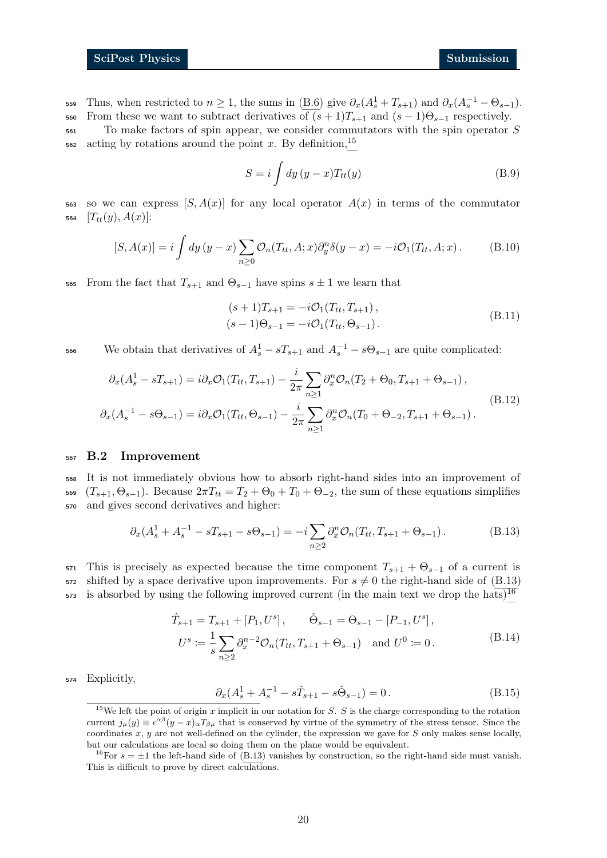559 Thus, when restricted to  $n \ge 1$ , the sums in [\(B.6\)](#page-18-3) give  $\partial_x(A_s^1 + T_{s+1})$  and  $\partial_x(A_s^{-1} - \Theta_{s-1})$ . 560 From these we want to subtract derivatives of  $(s + 1)T_{s+1}$  and  $(s - 1)\Theta_{s-1}$  respectively.

<sup>561</sup> To make factors of spin appear, we consider commutators with the spin operator S  $\frac{1562}{20}$  $\frac{1562}{20}$  $\frac{1562}{20}$  acting by rotations around the point x. By definition,<sup>15</sup>

$$
S = i \int dy (y - x) T_{tt}(y)
$$
 (B.9)

563 so we can express  $[S, A(x)]$  for any local operator  $A(x)$  in terms of the commutator 564  $[T_{tt}(y), A(x)]$ :

$$
[S, A(x)] = i \int dy \, (y - x) \sum_{n \ge 0} \mathcal{O}_n(T_{tt}, A; x) \partial_y^n \delta(y - x) = -i \mathcal{O}_1(T_{tt}, A; x) \,. \tag{B.10}
$$

565 From the fact that  $T_{s+1}$  and  $\Theta_{s-1}$  have spins  $s \pm 1$  we learn that

<span id="page-19-6"></span>
$$
(s+1)T_{s+1} = -i\mathcal{O}_1(T_{tt}, T_{s+1}),(s-1)\Theta_{s-1} = -i\mathcal{O}_1(T_{tt}, \Theta_{s-1}).
$$
\n(B.11)

566 We obtain that derivatives of  $A_s^1 - sT_{s+1}$  and  $A_s^{-1} - s\Theta_{s-1}$  are quite complicated:

$$
\partial_x (A_s^1 - sT_{s+1}) = i \partial_x \mathcal{O}_1(T_{tt}, T_{s+1}) - \frac{i}{2\pi} \sum_{n \ge 1} \partial_x^n \mathcal{O}_n(T_2 + \Theta_0, T_{s+1} + \Theta_{s-1}),
$$
\n
$$
\partial_x (A_s^{-1} - s\Theta_{s-1}) = i \partial_x \mathcal{O}_1(T_{tt}, \Theta_{s-1}) - \frac{i}{2\pi} \sum_{n \ge 1} \partial_x^n \mathcal{O}_n(T_0 + \Theta_{-2}, T_{s+1} + \Theta_{s-1}).
$$
\n(B.12)

#### <span id="page-19-0"></span><sup>567</sup> B.2 Improvement

<sup>568</sup> It is not immediately obvious how to absorb right-hand sides into an improvement of 569  $(T_{s+1}, \Theta_{s-1})$ . Because  $2\pi T_{tt} = T_2 + \Theta_0 + T_0 + \Theta_{-2}$ , the sum of these equations simplifies <sup>570</sup> and gives second derivatives and higher:

<span id="page-19-4"></span>
$$
\partial_x (A_s^1 + A_s^{-1} - sT_{s+1} - s\Theta_{s-1}) = -i \sum_{n \ge 2} \partial_x^n \mathcal{O}_n(T_{tt}, T_{s+1} + \Theta_{s-1}). \tag{B.13}
$$

571 This is precisely as expected because the time component  $T_{s+1} + \Theta_{s-1}$  of a current is 572 shifted by a space derivative upon improvements. For  $s \neq 0$  the right-hand side of [\(B.13\)](#page-19-4)  $\mu$ <sub>573</sub> is absorbed by using the following improved current (in the main text we drop the hats)<sup>[16](#page-19-5)</sup>

<span id="page-19-2"></span>
$$
\hat{T}_{s+1} = T_{s+1} + [P_1, U^s], \quad \hat{\Theta}_{s-1} = \Theta_{s-1} - [P_{-1}, U^s],
$$
  
\n
$$
U^s := \frac{1}{s} \sum_{n \ge 2} \partial_x^{n-2} \mathcal{O}_n(T_{tt}, T_{s+1} + \Theta_{s-1}) \quad \text{and } U^0 := 0.
$$
\n(B.14)

<sup>574</sup> Explicitly,

<span id="page-19-1"></span>
$$
\partial_x (A_s^1 + A_s^{-1} - s\hat{T}_{s+1} - s\hat{\Theta}_{s-1}) = 0.
$$
 (B.15)

<span id="page-19-3"></span><sup>&</sup>lt;sup>15</sup>We left the point of origin x implicit in our notation for S. S is the charge corresponding to the rotation current  $j_{\mu}(y) \equiv \epsilon^{\alpha\beta}(y-x)_{\alpha}T_{\beta\mu}$  that is conserved by virtue of the symmetry of the stress tensor. Since the coordinates  $x, y$  are not well-defined on the cylinder, the expression we gave for  $S$  only makes sense locally, but our calculations are local so doing them on the plane would be equivalent.

<span id="page-19-5"></span><sup>&</sup>lt;sup>16</sup>For  $s = \pm 1$  the left-hand side of [\(B.13\)](#page-19-4) vanishes by construction, so the right-hand side must vanish. This is difficult to prove by direct calculations.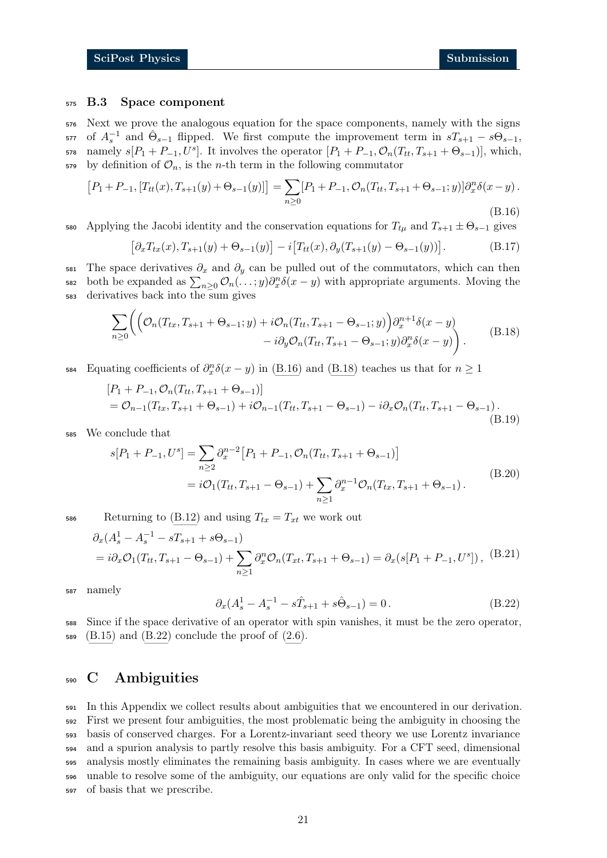#### <span id="page-20-0"></span><sup>575</sup> B.3 Space component

<sup>576</sup> Next we prove the analogous equation for the space components, namely with the signs 577 of  $A_s^{-1}$  and  $\hat{\Theta}_{s-1}$  flipped. We first compute the improvement term in  $sT_{s+1} - s\Theta_{s-1}$ , 578 namely  $s[P_1+P_{-1}, U^s]$ . It involves the operator  $[P_1+P_{-1}, \mathcal{O}_n(T_{tt}, T_{s+1} + \Theta_{s-1})]$ , which,  $579$  by definition of  $\mathcal{O}_n$ , is the *n*-th term in the following commutator

$$
[P_1 + P_{-1}, [T_{tt}(x), T_{s+1}(y) + \Theta_{s-1}(y)]] = \sum_{n \ge 0} [P_1 + P_{-1}, \mathcal{O}_n(T_{tt}, T_{s+1} + \Theta_{s-1}; y)] \partial_x^n \delta(x - y).
$$
\n(B.16)

580 Applying the Jacobi identity and the conservation equations for  $T_{t\mu}$  and  $T_{s+1} \pm \Theta_{s-1}$  gives

<span id="page-20-4"></span><span id="page-20-3"></span>
$$
[\partial_x T_{tx}(x), T_{s+1}(y) + \Theta_{s-1}(y)] - i[T_{tt}(x), \partial_y (T_{s+1}(y) - \Theta_{s-1}(y))]. \tag{B.17}
$$

581 The space derivatives  $\partial_x$  and  $\partial_y$  can be pulled out of the commutators, which can then 582 both be expanded as  $\sum_{n\geq 0} \mathcal{O}_n(\ldots; y) \partial_x^n \delta(x-y)$  with appropriate arguments. Moving the <sup>583</sup> derivatives back into the sum gives

$$
\sum_{n\geq 0} \left( \left( \mathcal{O}_n(T_{tx}, T_{s+1} + \Theta_{s-1}; y) + i \mathcal{O}_n(T_{tt}, T_{s+1} - \Theta_{s-1}; y) \right) \partial_x^{n+1} \delta(x - y) - i \partial_y \mathcal{O}_n(T_{tt}, T_{s+1} - \Theta_{s-1}; y) \partial_x^n \delta(x - y) \right). \tag{B.18}
$$

584 Equating coefficients of  $\partial_x^n \delta(x-y)$  in [\(B.16\)](#page-20-3) and [\(B.18\)](#page-20-4) teaches us that for  $n \ge 1$ 

$$
[P_1 + P_{-1}, \mathcal{O}_n(T_{tt}, T_{s+1} + \Theta_{s-1})]
$$
  
=  $\mathcal{O}_{n-1}(T_{tx}, T_{s+1} + \Theta_{s-1}) + i\mathcal{O}_{n-1}(T_{tt}, T_{s+1} - \Theta_{s-1}) - i\partial_x\mathcal{O}_n(T_{tt}, T_{s+1} - \Theta_{s-1}).$  (B.19)

<sup>585</sup> We conclude that

$$
s[P_1 + P_{-1}, U^s] = \sum_{n \ge 2} \partial_x^{n-2} [P_1 + P_{-1}, \mathcal{O}_n(T_{tt}, T_{s+1} + \Theta_{s-1})]
$$
  
=  $i\mathcal{O}_1(T_{tt}, T_{s+1} - \Theta_{s-1}) + \sum_{n \ge 1} \partial_x^{n-1} \mathcal{O}_n(T_{tx}, T_{s+1} + \Theta_{s-1}).$  (B.20)

586 Returning to [\(B.12\)](#page-19-6) and using  $T_{tx} = T_{xt}$  we work out

<span id="page-20-2"></span>
$$
\partial_x (A_s^1 - A_s^{-1} - sT_{s+1} + s\Theta_{s-1})
$$
  
=  $i\partial_x \mathcal{O}_1(T_{tt}, T_{s+1} - \Theta_{s-1}) + \sum_{n\geq 1} \partial_x^n \mathcal{O}_n(T_{xt}, T_{s+1} + \Theta_{s-1}) = \partial_x (s[P_1 + P_{-1}, U^s]),$  (B.21)

<sup>587</sup> namely

$$
\partial_x (A_s^1 - A_s^{-1} - s\hat{T}_{s+1} + s\hat{\Theta}_{s-1}) = 0.
$$
 (B.22)

<sup>588</sup> Since if the space derivative of an operator with spin vanishes, it must be the zero operator,  $589 \text{ (B.15)}$  $589 \text{ (B.15)}$  $589 \text{ (B.15)}$  and  $(B.22)$  conclude the proof of  $(2.6)$ .

## <span id="page-20-1"></span><sup>590</sup> C Ambiguities

 In this Appendix we collect results about ambiguities that we encountered in our derivation. First we present four ambiguities, the most problematic being the ambiguity in choosing the basis of conserved charges. For a Lorentz-invariant seed theory we use Lorentz invariance and a spurion analysis to partly resolve this basis ambiguity. For a CFT seed, dimensional analysis mostly eliminates the remaining basis ambiguity. In cases where we are eventually unable to resolve some of the ambiguity, our equations are only valid for the specific choice of basis that we prescribe.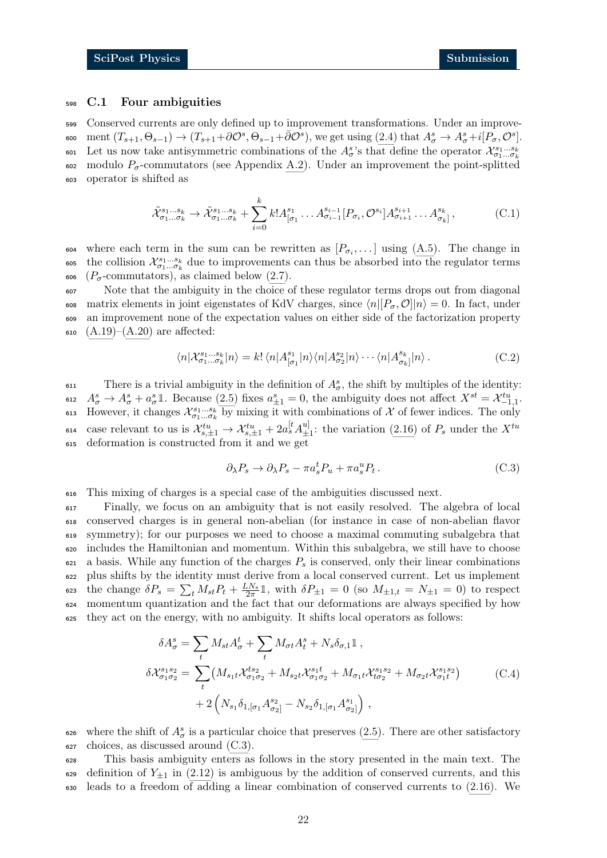#### <span id="page-21-0"></span><sup>598</sup> C.1 Four ambiguities

<sup>599</sup> Conserved currents are only defined up to improvement transformations. Under an improve-600 ment  $(T_{s+1}, \Theta_{s-1}) \to (T_{s+1} + \partial \mathcal{O}^s, \Theta_{s-1} + \bar{\partial} \mathcal{O}^s)$ , we get using  $(2.4)$  that  $A^s_{\sigma} \to A^s_{\sigma} + i[P_{\sigma}, \mathcal{O}^s]$ . Let us now take antisymmetric combinations of the  $A^s_{\sigma}$ 's that define the operator  $\mathcal{X}^{s_1...s_k}_{\sigma_1... \sigma_k}$ 601 602 modulo  $P_{\sigma}$ -commutators (see Appendix [A.2\)](#page-15-0). Under an improvement the point-splitted <sup>603</sup> operator is shifted as

$$
\tilde{\mathcal{X}}_{\sigma_{1}...\sigma_{k}}^{s_{1}...s_{k}} \to \tilde{\mathcal{X}}_{\sigma_{1}...\sigma_{k}}^{s_{1}...s_{k}} + \sum_{i=0}^{k} k! A_{[\sigma_{1}}^{s_{1}} \dots A_{\sigma_{i-1}}^{s_{i-1}} [P_{\sigma_{i}}, \mathcal{O}^{s_{i}}] A_{\sigma_{i+1}}^{s_{i+1}} \dots A_{\sigma_{k}}^{s_{k}}, \tag{C.1}
$$

 $\omega_4$  where each term in the sum can be rewritten as  $[P_{\sigma_i}, \dots]$  using  $(A.5)$ . The change in <sup>605</sup> the collision  $\mathcal{X}_{\sigma_1...\sigma_k}^{s_1...s_k}$  due to improvements can thus be absorbed into the regulator terms 606 ( $P_{\sigma}$ -commutators), as claimed below [\(2.7\)](#page-4-4).

 Note that the ambiguity in the choice of these regulator terms drops out from diagonal 608 matrix elements in joint eigenstates of KdV charges, since  $\langle n|[P_{\sigma}, O]|n \rangle = 0$ . In fact, under an improvement none of the expectation values on either side of the factorization property  $(A.19)–(A.20)$  $(A.19)–(A.20)$  $(A.19)–(A.20)$  are affected:

$$
\langle n|\mathcal{X}_{\sigma_1...\sigma_k}^{s_1...s_k}|n\rangle = k!\,\langle n|A_{[\sigma_1}^{s_1}|n\rangle\langle n|A_{\sigma_2}^{s_2}|n\rangle\cdots\langle n|A_{\sigma_k}^{s_k}|n\rangle\,. \tag{C.2}
$$

 $\sigma$ <sub>611</sub> There is a trivial ambiguity in the definition of  $A^s_\sigma$ , the shift by multiples of the identity: 612  $A^s_{\sigma} \to A^s_{\sigma} + a^s_{\sigma} \mathbb{1}$ . Because [\(2.5\)](#page-4-7) fixes  $a^s_{\pm 1} = 0$ , the ambiguity does not affect  $X^{st} = \mathcal{X}^{tu}_{-1,1}$ . 613 However, it changes  $\mathcal{X}_{\sigma_1...\sigma_k}^{s_1...s_k}$  by mixing it with combinations of X of fewer indices. The only case relevant to us is  $\mathcal{X}_{s,\pm 1}^{tu} \rightarrow \mathcal{X}_{s,\pm 1}^{tu} + 2a_s^{[t} A_{\pm}^{u]}$  $\epsilon_{14}$  case relevant to us is  $\mathcal{X}_{s,\pm 1}^{tu} \to \mathcal{X}_{s,\pm 1}^{tu} + 2a_s^{[t} A_{\pm 1}^{u]}$ ; the variation [\(2.16\)](#page-6-3) of  $P_s$  under the  $X^{tu}$ <sup>615</sup> deformation is constructed from it and we get

<span id="page-21-1"></span>
$$
\partial_{\lambda} P_s \to \partial_{\lambda} P_s - \pi a_s^t P_u + \pi a_s^u P_t. \tag{C.3}
$$

<sup>616</sup> This mixing of charges is a special case of the ambiguities discussed next.

 Finally, we focus on an ambiguity that is not easily resolved. The algebra of local conserved charges is in general non-abelian (for instance in case of non-abelian flavor symmetry); for our purposes we need to choose a maximal commuting subalgebra that includes the Hamiltonian and momentum. Within this subalgebra, we still have to choose a basis. While any function of the charges  $P_s$  is conserved, only their linear combinations plus shifts by the identity must derive from a local conserved current. Let us implement 623 the change  $\delta P_s = \sum_t M_{st} P_t + \frac{LN_s}{2\pi} \mathbb{1}$ , with  $\delta P_{\pm 1} = 0$  (so  $M_{\pm 1,t} = N_{\pm 1} = 0$ ) to respect momentum quantization and the fact that our deformations are always specified by how they act on the energy, with no ambiguity. It shifts local operators as follows:

$$
\delta A_{\sigma}^{s} = \sum_{t} M_{st} A_{\sigma}^{t} + \sum_{t} M_{\sigma t} A_{t}^{s} + N_{s} \delta_{\sigma,1} \mathbb{1},
$$
  
\n
$$
\delta \mathcal{X}_{\sigma_{1} \sigma_{2}}^{s_{1} s_{2}} = \sum_{t} \left( M_{s_{1}t} \mathcal{X}_{\sigma_{1} \sigma_{2}}^{t_{s_{2}}} + M_{s_{2}t} \mathcal{X}_{\sigma_{1} \sigma_{2}}^{s_{1}t} + M_{\sigma_{1}t} \mathcal{X}_{t_{\sigma_{2}}}^{s_{1} s_{2}} + M_{\sigma_{2}t} \mathcal{X}_{\sigma_{1}t}^{s_{1} s_{2}} \right)
$$
  
\n
$$
+ 2 \left( N_{s_{1}} \delta_{1,[\sigma_{1}]} A_{\sigma_{2}]}^{s_{2}} - N_{s_{2}} \delta_{1,[\sigma_{1}]} A_{\sigma_{2}]}^{s_{1}} \right), \qquad (C.4)
$$

626 where the shift of  $A^s_\sigma$  is a particular choice that preserves [\(2.5\)](#page-4-7). There are other satisfactory  $627$  choices, as discussed around  $(C.3)$ .

<sup>628</sup> This basis ambiguity enters as follows in the story presented in the main text. The 629 definition of  $Y_{\pm 1}$  in [\(2.12\)](#page-5-3) is ambiguous by the addition of conserved currents, and this <sup>630</sup> leads to a freedom of adding a linear combination of conserved currents to [\(2.16\)](#page-6-3). We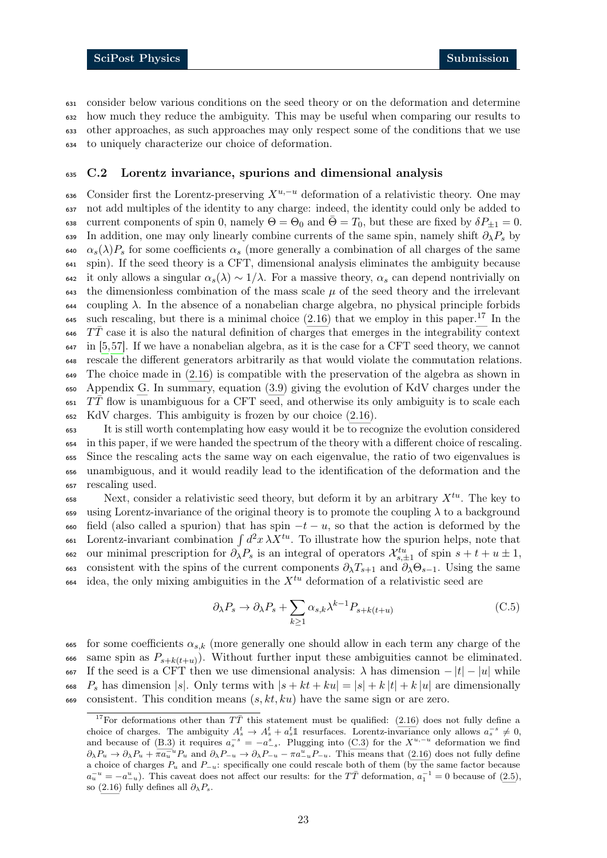consider below various conditions on the seed theory or on the deformation and determine how much they reduce the ambiguity. This may be useful when comparing our results to other approaches, as such approaches may only respect some of the conditions that we use to uniquely characterize our choice of deformation.

## <span id="page-22-0"></span><sup>635</sup> C.2 Lorentz invariance, spurions and dimensional analysis

636 Consider first the Lorentz-preserving  $X^{u,-u}$  deformation of a relativistic theory. One may <sup>637</sup> not add multiples of the identity to any charge: indeed, the identity could only be added to 638 current components of spin 0, namely  $\Theta = \Theta_0$  and  $\bar{\Theta} = T_0$ , but these are fixed by  $\delta P_{\pm 1} = 0$ . 639 In addition, one may only linearly combine currents of the same spin, namely shift  $\partial_{\lambda}P_s$  by 640  $\alpha_s(\lambda)P_s$  for some coefficients  $\alpha_s$  (more generally a combination of all charges of the same <sup>641</sup> spin). If the seed theory is a CFT, dimensional analysis eliminates the ambiguity because 642 it only allows a singular  $\alpha_s(\lambda) \sim 1/\lambda$ . For a massive theory,  $\alpha_s$  can depend nontrivially on  $\epsilon_{43}$  the dimensionless combination of the mass scale  $\mu$  of the seed theory and the irrelevant 644 coupling  $\lambda$ . In the absence of a nonabelian charge algebra, no physical principle forbids such rescaling, but there is a minimal choice  $(2.16)$  that we employ in this paper.<sup>[17](#page-22-1)</sup> In the  $F\bar{T}$  case it is also the natural definition of charges that emerges in the integrability context <sup>647</sup> in [\[5,](#page-31-9)[57\]](#page-34-2). If we have a nonabelian algebra, as it is the case for a CFT seed theory, we cannot <sup>648</sup> rescale the different generators arbitrarily as that would violate the commutation relations. 649 The choice made in  $(2.16)$  is compatible with the preservation of the algebra as shown in <sup>650</sup> Appendix [G.](#page-28-0) In summary, equation [\(3.9\)](#page-8-2) giving the evolution of KdV charges under the  $651$  TT flow is unambiguous for a CFT seed, and otherwise its only ambiguity is to scale each <sup>652</sup> KdV charges. This ambiguity is frozen by our choice [\(2.16\)](#page-6-3).

 It is still worth contemplating how easy would it be to recognize the evolution considered in this paper, if we were handed the spectrum of the theory with a different choice of rescaling. Since the rescaling acts the same way on each eigenvalue, the ratio of two eigenvalues is unambiguous, and it would readily lead to the identification of the deformation and the rescaling used.

 $\mathcal{S}_{\text{ss}}$  Next, consider a relativistic seed theory, but deform it by an arbitrary  $X^{tu}$ . The key to 659 using Lorentz-invariance of the original theory is to promote the coupling  $\lambda$  to a background 660 field (also called a spurion) that has spin  $-t - u$ , so that the action is deformed by the 661 Lorentz-invariant combination  $\int d^2x \,\lambda X^{tu}$ . To illustrate how the spurion helps, note that 662 our minimal prescription for  $\partial_{\lambda} P_s$  is an integral of operators  $\mathcal{X}_{s,\pm 1}^{tu}$  of spin  $s + t + u \pm 1$ , 663 consistent with the spins of the current components  $\partial_\lambda T_{s+1}$  and  $\partial_\lambda \Theta_{s-1}$ . Using the same  $\delta$ <sup>664</sup> idea, the only mixing ambiguities in the  $X^{tu}$  deformation of a relativistic seed are

<span id="page-22-2"></span>
$$
\partial_{\lambda} P_s \to \partial_{\lambda} P_s + \sum_{k \ge 1} \alpha_{s,k} \lambda^{k-1} P_{s+k(t+u)}
$$
\n(C.5)

665 for some coefficients  $\alpha_{s,k}$  (more generally one should allow in each term any charge of the 666 same spin as  $P_{s+k(t+u)}$ . Without further input these ambiguities cannot be eliminated. 667 If the seed is a CFT then we use dimensional analysis:  $\lambda$  has dimension  $-|t| - |u|$  while 668  $P_s$  has dimension |s|. Only terms with  $|s + kt + ku| = |s| + k |t| + k |u|$  are dimensionally 669 consistent. This condition means  $(s, kt, ku)$  have the same sign or are zero.

<span id="page-22-1"></span><sup>&</sup>lt;sup>17</sup>For deformations other than  $T\bar{T}$  this statement must be qualified: [\(2.16\)](#page-6-3) does not fully define a choice of charges. The ambiguity  $A_s^t \to A_s^t + a_s^t \mathbb{1}$  resurfaces. Lorentz-invariance only allows  $a_s^{-s} \neq 0$ , and because of [\(B.3\)](#page-18-4) it requires  $a_s^{-s} = -a_{-s}^s$ . Plugging into [\(C.3\)](#page-21-1) for the  $X^{u,-u}$  deformation we find  $\partial_{\lambda}P_u \to \partial_{\lambda}P_u + \pi a_u^{-u} P_u$  and  $\partial_{\lambda}P_{-u} \to \partial_{\lambda}P_{-u} - \pi a_u^{u} P_{-u}$ . This means that [\(2.16\)](#page-6-3) does not fully define a choice of charges  $P_u$  and  $P_{-u}$ : specifically one could rescale both of them (by the same factor because  $a_u^{-u} = -a_{-u}^u$ ). This caveat does not affect our results: for the TT deformation,  $a_1^{-1} = 0$  because of [\(2.5\)](#page-4-7), so [\(2.16\)](#page-6-3) fully defines all  $\partial_{\lambda}P_{s}$ .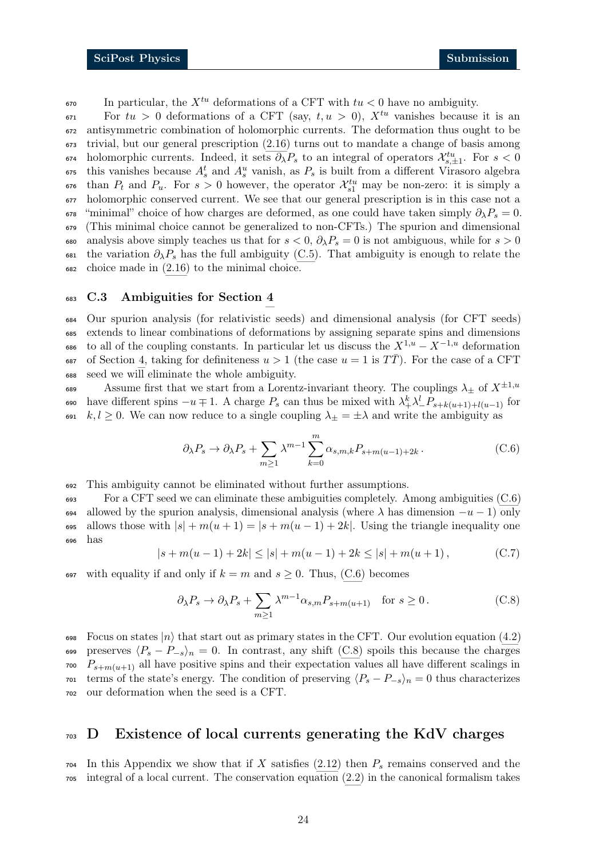$\epsilon_{50}$  In particular, the  $X^{tu}$  deformations of a CFT with  $tu < 0$  have no ambiguity.

 $F_{\text{tot}}$  For  $tu > 0$  deformations of a CFT (say,  $t, u > 0$ ),  $X^{tu}$  vanishes because it is an <sup>672</sup> antisymmetric combination of holomorphic currents. The deformation thus ought to be <sup>673</sup> trivial, but our general prescription [\(2.16\)](#page-6-3) turns out to mandate a change of basis among 674 holomorphic currents. Indeed, it sets  $\partial_{\lambda} P_s$  to an integral of operators  $\mathcal{X}_{s,\pm 1}^{tu}$ . For  $s < 0$  $\epsilon_{55}$  this vanishes because  $A_s^t$  and  $A_s^u$  vanish, as  $P_s$  is built from a different Virasoro algebra  $\epsilon_{\text{5}}$  than  $P_t$  and  $P_u$ . For  $s > 0$  however, the operator  $\mathcal{X}_{s1}^{tu}$  may be non-zero: it is simply a <sup>677</sup> holomorphic conserved current. We see that our general prescription is in this case not a 678 "minimal" choice of how charges are deformed, as one could have taken simply  $\partial_{\lambda}P_{s} = 0$ . <sup>679</sup> (This minimal choice cannot be generalized to non-CFTs.) The spurion and dimensional 680 analysis above simply teaches us that for  $s < 0$ ,  $\partial_{\lambda} P_s = 0$  is not ambiguous, while for  $s > 0$ 681 the variation  $\partial_{\lambda}P_{s}$  has the full ambiguity [\(C.5\)](#page-22-2). That ambiguity is enough to relate the <sup>682</sup> choice made in [\(2.16\)](#page-6-3) to the minimal choice.

#### <span id="page-23-0"></span><sup>683</sup> C.3 Ambiguities for Section [4](#page-10-0)

<sup>684</sup> Our spurion analysis (for relativistic seeds) and dimensional analysis (for CFT seeds) <sup>685</sup> extends to linear combinations of deformations by assigning separate spins and dimensions 686 to all of the coupling constants. In particular let us discuss the  $X^{1,u} - X^{-1,u}$  deformation 687 of Section [4,](#page-10-0) taking for definiteness  $u > 1$  (the case  $u = 1$  is  $T\overline{T}$ ). For the case of a CFT <sup>688</sup> seed we will eliminate the whole ambiguity.

689 Assume first that we start from a Lorentz-invariant theory. The couplings  $\lambda_+$  of  $X^{\pm 1,u}$ 690 have different spins  $-u \neq 1$ . A charge  $P_s$  can thus be mixed with  $\lambda^k_+ \lambda^l_- P_{s+k(u+1)+l(u-1)}$  for 691 k, l geq 0. We can now reduce to a single coupling  $\lambda_{\pm} = \pm \lambda$  and write the ambiguity as

<span id="page-23-2"></span>
$$
\partial_{\lambda} P_s \to \partial_{\lambda} P_s + \sum_{m \ge 1} \lambda^{m-1} \sum_{k=0}^m \alpha_{s,m,k} P_{s+m(u-1)+2k} . \tag{C.6}
$$

<sup>692</sup> This ambiguity cannot be eliminated without further assumptions.

<sup>693</sup> For a CFT seed we can eliminate these ambiguities completely. Among ambiguities [\(C.6\)](#page-23-2) 694 allowed by the spurion analysis, dimensional analysis (where  $\lambda$  has dimension  $-u-1$ ) only 695 allows those with  $|s| + m(u + 1) = |s + m(u - 1) + 2k|$ . Using the triangle inequality one <sup>696</sup> has

$$
|s + m(u - 1) + 2k| \le |s| + m(u - 1) + 2k \le |s| + m(u + 1), \tag{C.7}
$$

697 with equality if and only if  $k = m$  and  $s \geq 0$ . Thus, [\(C.6\)](#page-23-2) becomes

<span id="page-23-3"></span>
$$
\partial_{\lambda} P_s \to \partial_{\lambda} P_s + \sum_{m \ge 1} \lambda^{m-1} \alpha_{s,m} P_{s+m(u+1)} \quad \text{for } s \ge 0. \tag{C.8}
$$

698 Focus on states  $|n\rangle$  that start out as primary states in the CFT. Our evolution equation [\(4.2\)](#page-10-2) 699 preserves  $\langle P_s - P_{-s} \rangle_n = 0$ . In contrast, any shift [\(C.8\)](#page-23-3) spoils this because the charges  $P_{s+m(u+1)}$  all have positive spins and their expectation values all have different scalings in  $\tau$ <sup>1</sup> terms of the state's energy. The condition of preserving  $\langle P_s - P_{-s} \rangle_n = 0$  thus characterizes <sup>702</sup> our deformation when the seed is a CFT.

## <span id="page-23-1"></span><sup>703</sup> D Existence of local currents generating the KdV charges

 $704$  In this Appendix we show that if X satisfies [\(2.12\)](#page-5-3) then  $P_s$  remains conserved and the <sup>705</sup> integral of a local current. The conservation equation [\(2.2\)](#page-4-5) in the canonical formalism takes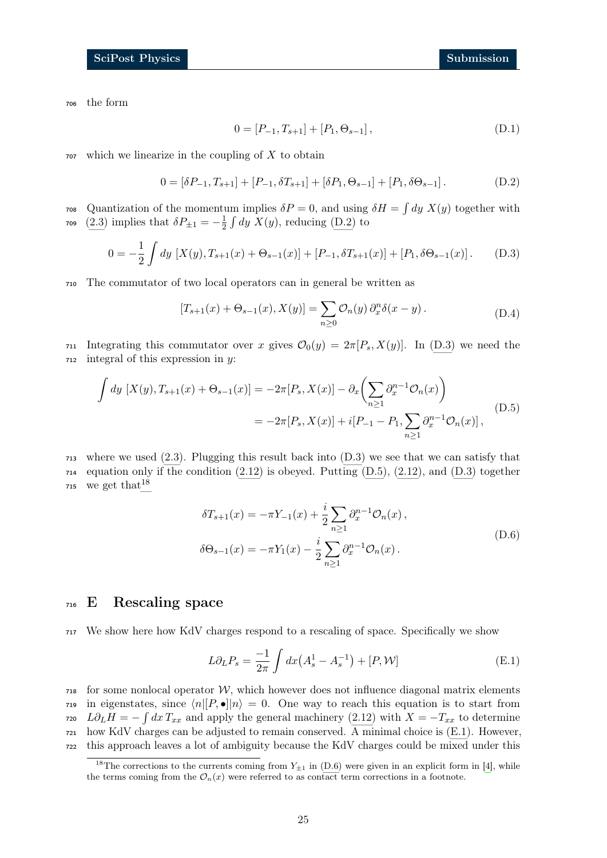<sup>706</sup> the form

<span id="page-24-2"></span><span id="page-24-1"></span>
$$
0 = [P_{-1}, T_{s+1}] + [P_1, \Theta_{s-1}], \tag{D.1}
$$

 $707$  which we linearize in the coupling of X to obtain

$$
0 = [\delta P_{-1}, T_{s+1}] + [P_{-1}, \delta T_{s+1}] + [\delta P_1, \Theta_{s-1}] + [P_1, \delta \Theta_{s-1}].
$$
 (D.2)

<sup>708</sup> Quantization of the momentum implies  $\delta P = 0$ , and using  $\delta H = \int dy X(y)$  together with [\(2.3\)](#page-4-8) implies that  $\delta P_{\pm 1} = -\frac{1}{2}$ 709 (2.3) implies that  $\delta P_{\pm 1} = -\frac{1}{2} \int dy \ X(y)$ , reducing [\(D.2\)](#page-24-1) to

$$
0 = -\frac{1}{2} \int dy \, [X(y), T_{s+1}(x) + \Theta_{s-1}(x)] + [P_{-1}, \delta T_{s+1}(x)] + [P_1, \delta \Theta_{s-1}(x)]. \tag{D.3}
$$

<sup>710</sup> The commutator of two local operators can in general be written as

<span id="page-24-3"></span>
$$
[T_{s+1}(x) + \Theta_{s-1}(x), X(y)] = \sum_{n \ge 0} \mathcal{O}_n(y) \partial_x^n \delta(x - y).
$$
 (D.4)

711 Integrating this commutator over x gives  $\mathcal{O}_0(y) = 2\pi [P_s, X(y)]$ . In [\(D.3\)](#page-24-2) we need the  $712$  integral of this expression in y:

$$
\int dy \, [X(y), T_{s+1}(x) + \Theta_{s-1}(x)] = -2\pi [P_s, X(x)] - \partial_x \left( \sum_{n \ge 1} \partial_x^{n-1} \mathcal{O}_n(x) \right)
$$
\n
$$
= -2\pi [P_s, X(x)] + i[P_{-1} - P_1, \sum_{n \ge 1} \partial_x^{n-1} \mathcal{O}_n(x)], \tag{D.5}
$$

<sup>713</sup> where we used [\(2.3\)](#page-4-8). Plugging this result back into [\(D.3\)](#page-24-2) we see that we can satisfy that  $_{714}$  equation only if the condition  $(2.12)$  is obeyed. Putting  $(D.5)$ ,  $(2.12)$ , and  $(D.3)$  together 715 we get that  $18$ 

<span id="page-24-6"></span>
$$
\delta T_{s+1}(x) = -\pi Y_{-1}(x) + \frac{i}{2} \sum_{n \ge 1} \partial_x^{n-1} \mathcal{O}_n(x),
$$
  

$$
\delta \Theta_{s-1}(x) = -\pi Y_1(x) - \frac{i}{2} \sum_{n \ge 1} \partial_x^{n-1} \mathcal{O}_n(x).
$$
 (D.6)

## <span id="page-24-0"></span><sup>716</sup> E Rescaling space

<sup>717</sup> We show here how KdV charges respond to a rescaling of space. Specifically we show

<span id="page-24-5"></span>
$$
L\partial_L P_s = \frac{-1}{2\pi} \int dx \left( A_s^1 - A_s^{-1} \right) + [P, \mathcal{W}]
$$
 (E.1)

 $718$  for some nonlocal operator W, which however does not influence diagonal matrix elements  $\eta_1$ <sup>219</sup> in eigenstates, since  $\langle n|[P, \bullet]|n \rangle = 0$ . One way to reach this equation is to start from  $L\partial_L H = -\int dx T_{xx}$  and apply the general machinery [\(2.12\)](#page-5-3) with  $X = -T_{xx}$  to determine  $721$  how KdV charges can be adjusted to remain conserved. A minimal choice is  $(E.1)$ . However, <sup>722</sup> this approach leaves a lot of ambiguity because the KdV charges could be mixed under this

<span id="page-24-4"></span><sup>&</sup>lt;sup>18</sup>The corrections to the currents coming from  $Y_{\pm 1}$  in [\(D.6\)](#page-24-6) were given in an explicit form in [\[4\]](#page-31-3), while the terms coming from the  $\mathcal{O}_n(x)$  were referred to as contact term corrections in a footnote.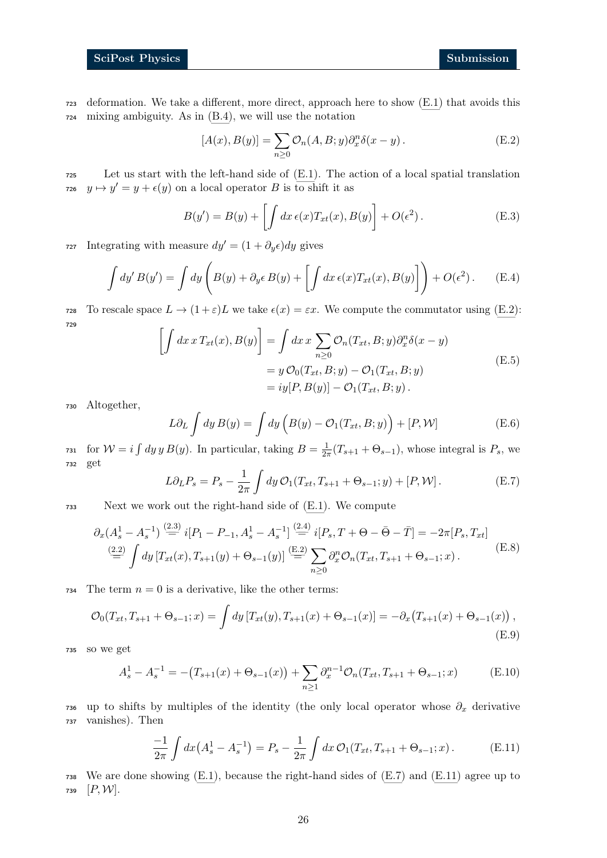<sup>723</sup> deformation. We take a different, more direct, approach here to show [\(E.1\)](#page-24-5) that avoids this <sup>724</sup> mixing ambiguity. As in [\(B.4\)](#page-18-5), we will use the notation

<span id="page-25-0"></span>
$$
[A(x), B(y)] = \sum_{n \ge 0} \mathcal{O}_n(A, B; y) \partial_x^n \delta(x - y).
$$
 (E.2)

<sup>725</sup> Let us start with the left-hand side of [\(E.1\)](#page-24-5). The action of a local spatial translation  $y \mapsto y' = y + \epsilon(y)$  on a local operator B is to shift it as

$$
B(y') = B(y) + \left[ \int dx \,\epsilon(x) T_{xt}(x), B(y) \right] + O(\epsilon^2).
$$
 (E.3)

727 Integrating with measure  $dy' = (1 + \partial_y \epsilon) dy$  gives

$$
\int dy' B(y') = \int dy \left( B(y) + \partial_y \epsilon B(y) + \left[ \int dx \epsilon(x) T_{xt}(x), B(y) \right] \right) + O(\epsilon^2).
$$
 (E.4)

728 To rescale space  $L \to (1 + \varepsilon)L$  we take  $\epsilon(x) = \varepsilon x$ . We compute the commutator using [\(E.2\)](#page-25-0): <sup>729</sup> Z

$$
\left[\int dx \, x \, T_{xt}(x), B(y)\right] = \int dx \, x \sum_{n\geq 0} \mathcal{O}_n(T_{xt}, B; y) \partial_x^n \delta(x - y)
$$

$$
= y \mathcal{O}_0(T_{xt}, B; y) - \mathcal{O}_1(T_{xt}, B; y)
$$

$$
= iy[P, B(y)] - \mathcal{O}_1(T_{xt}, B; y).
$$
(E.5)

<sup>730</sup> Altogether,

$$
L\partial_L \int dy B(y) = \int dy \left( B(y) - \mathcal{O}_1(T_{xt}, B; y) \right) + [P, \mathcal{W}] \tag{E.6}
$$

<span id="page-25-1"></span>for  $W = i \int dy y B(y)$ . In particular, taking  $B = \frac{1}{2a}$ 731 for  $W = i \int dy y B(y)$ . In particular, taking  $B = \frac{1}{2\pi}(T_{s+1} + \Theta_{s-1})$ , whose integral is  $P_s$ , we <sup>732</sup> get

$$
L\partial_L P_s = P_s - \frac{1}{2\pi} \int dy \, \mathcal{O}_1(T_{xt}, T_{s+1} + \Theta_{s-1}; y) + [P, \mathcal{W}]. \tag{E.7}
$$

<sup>733</sup> Next we work out the right-hand side of [\(E.1\)](#page-24-5). We compute

$$
\partial_x (A_s^1 - A_s^{-1}) \stackrel{(2.3)}{=} i[P_1 - P_{-1}, A_s^1 - A_s^{-1}] \stackrel{(2.4)}{=} i[P_s, T + \Theta - \bar{\Theta} - \bar{T}] = -2\pi [P_s, T_{xt}]
$$
\n
$$
\stackrel{(2.2)}{=} \int dy \left[ T_{xt}(x), T_{s+1}(y) + \Theta_{s-1}(y) \right] \stackrel{(E.2)}{=} \sum_{n \ge 0} \partial_x^n \mathcal{O}_n(T_{xt}, T_{s+1} + \Theta_{s-1}; x).
$$
\n(E.8)

734 The term  $n = 0$  is a derivative, like the other terms:

$$
\mathcal{O}_0(T_{xt}, T_{s+1} + \Theta_{s-1}; x) = \int dy \left[ T_{xt}(y), T_{s+1}(x) + \Theta_{s-1}(x) \right] = -\partial_x \left( T_{s+1}(x) + \Theta_{s-1}(x) \right),\tag{E.9}
$$

<sup>735</sup> so we get

$$
A_s^1 - A_s^{-1} = -(T_{s+1}(x) + \Theta_{s-1}(x)) + \sum_{n \ge 1} \partial_x^{n-1} \mathcal{O}_n(T_{xt}, T_{s+1} + \Theta_{s-1}; x)
$$
(E.10)

736 up to shifts by multiples of the identity (the only local operator whose  $\partial_x$  derivative <sup>737</sup> vanishes). Then

<span id="page-25-2"></span>
$$
\frac{-1}{2\pi} \int dx \left(A_s^1 - A_s^{-1}\right) = P_s - \frac{1}{2\pi} \int dx \, \mathcal{O}_1(T_{xt}, T_{s+1} + \Theta_{s-1}; x) \,. \tag{E.11}
$$

<sup>738</sup> We are done showing [\(E.1\)](#page-24-5), because the right-hand sides of [\(E.7\)](#page-25-1) and [\(E.11\)](#page-25-2) agree up to 739  $[P, W]$ .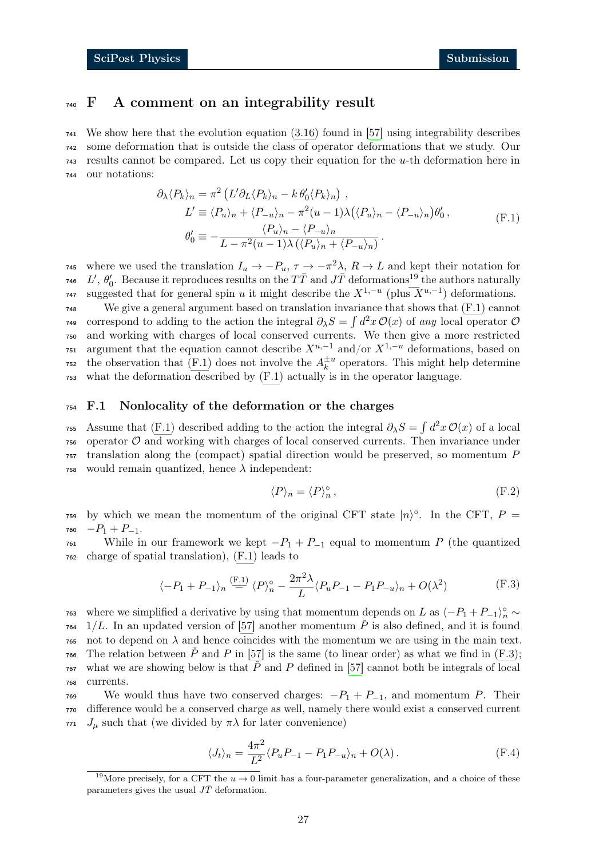## <span id="page-26-0"></span><sup>740</sup> F A comment on an integrability result

 We show here that the evolution equation [\(3.16\)](#page-9-3) found in [\[57\]](#page-34-2) using integrability describes some deformation that is outside the class of operator deformations that we study. Our results cannot be compared. Let us copy their equation for the u-th deformation here in our notations:

<span id="page-26-2"></span>
$$
\partial_{\lambda} \langle P_{k} \rangle_{n} = \pi^{2} \left( L' \partial_{L} \langle P_{k} \rangle_{n} - k \, \theta_{0}^{\prime} \langle P_{k} \rangle_{n} \right) ,
$$
  
\n
$$
L' \equiv \langle P_{u} \rangle_{n} + \langle P_{-u} \rangle_{n} - \pi^{2} (u - 1) \lambda \left( \langle P_{u} \rangle_{n} - \langle P_{-u} \rangle_{n} \right) \theta_{0}^{\prime} ,
$$
  
\n
$$
\theta_{0}^{\prime} \equiv -\frac{\langle P_{u} \rangle_{n} - \langle P_{-u} \rangle_{n}}{L - \pi^{2} (u - 1) \lambda \left( \langle P_{u} \rangle_{n} + \langle P_{-u} \rangle_{n} \right)} .
$$
 (F.1)

<sup>745</sup> where we used the translation  $I_u$  →  $-P_u$ ,  $τ$  →  $-π^2λ$ ,  $R$  → L and kept their notation for <sup>746</sup> L',  $\theta'_0$ . Because it reproduces results on the  $T\bar{T}$  and  $J\bar{T}$  deformations<sup>[19](#page-26-3)</sup> the authors naturally <sup>747</sup> suggested that for general spin u it might describe the  $X^{1,-u}$  (plus  $X^{u,-1}$ ) deformations. <sup>748</sup> We give a general argument based on translation invariance that shows that [\(F.1\)](#page-26-2) cannot <sup>749</sup> correspond to adding to the action the integral  $\partial_{\lambda}S = \int d^2x \mathcal{O}(x)$  of any local operator  $\mathcal O$ <sup>750</sup> and working with charges of local conserved currents. We then give a more restricted  $\tau$ <sub>751</sub> argument that the equation cannot describe  $X^{u,-1}$  and/or  $X^{1,-u}$  deformations, based on the observation that [\(F.1\)](#page-26-2) does not involve the  $A_k^{\pm u}$ <sup>752</sup> the observation that (F.1) does not involve the  $A_k^{\pm u}$  operators. This might help determine

<sup>753</sup> what the deformation described by [\(F.1\)](#page-26-2) actually is in the operator language.

#### <span id="page-26-1"></span><sup>754</sup> F.1 Nonlocality of the deformation or the charges

755 Assume that [\(F.1\)](#page-26-2) described adding to the action the integral  $\partial_{\lambda}S = \int d^2x \mathcal{O}(x)$  of a local  $756$  operator  $\mathcal O$  and working with charges of local conserved currents. Then invariance under <sup>757</sup> translation along the (compact) spatial direction would be preserved, so momentum P 758 would remain quantized, hence  $\lambda$  independent:

<span id="page-26-4"></span>
$$
\langle P \rangle_n = \langle P \rangle_n^{\circ},\tag{F.2}
$$

759 by which we mean the momentum of the original CFT state  $|n\rangle^{\circ}$ . In the CFT,  $P =$  $760$   $-P_1 + P_{-1}$ .

761 While in our framework we kept  $-P_1 + P_{-1}$  equal to momentum P (the quantized <sup>762</sup> charge of spatial translation), [\(F.1\)](#page-26-2) leads to

$$
\langle -P_1 + P_{-1} \rangle_n \stackrel{\text{(F.1)}}{=} \langle P \rangle_n^{\circ} - \frac{2\pi^2 \lambda}{L} \langle P_u P_{-1} - P_1 P_{-u} \rangle_n + O(\lambda^2) \tag{F.3}
$$

<sup>763</sup> where we simplified a derivative by using that momentum depends on L as  $\langle -P_1 + P_{-1} \rangle_n^{\circ} \sim$  $1/L$ . In an updated version of [\[57\]](#page-34-2) another momentum  $\check{P}$  is also defined, and it is found  $\tau$ <sub>55</sub> not to depend on  $\lambda$  and hence coincides with the momentum we are using in the main text.  $\tau$ <sup>66</sup> The relation between  $\check{P}$  and  $P$  in [\[57\]](#page-34-2) is the same (to linear order) as what we find in [\(F.3\)](#page-26-4);  $\tau$ <sup>67</sup> what we are showing below is that  $\check{P}$  and P defined in [\[57\]](#page-34-2) cannot both be integrals of local <sup>768</sup> currents.

769 We would thus have two conserved charges:  $-P_1 + P_{-1}$ , and momentum P. Their <sup>770</sup> difference would be a conserved charge as well, namely there would exist a conserved current 771  $J_{\mu}$  such that (we divided by  $\pi\lambda$  for later convenience)

$$
\langle J_t \rangle_n = \frac{4\pi^2}{L^2} \langle P_u P_{-1} - P_1 P_{-u} \rangle_n + O(\lambda) \,. \tag{F.4}
$$

<span id="page-26-3"></span><sup>&</sup>lt;sup>19</sup>More precisely, for a CFT the  $u \to 0$  limit has a four-parameter generalization, and a choice of these parameters gives the usual  $J\bar{T}$  deformation.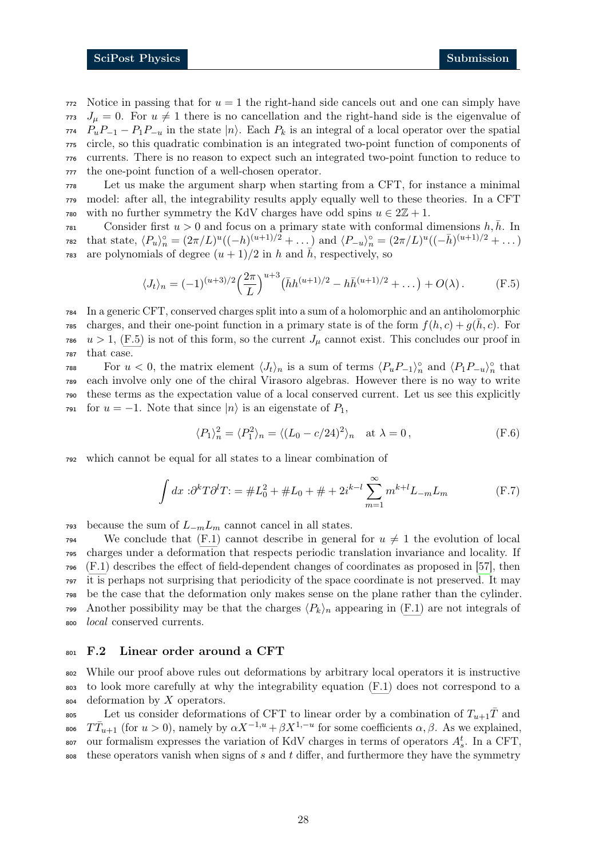Notice in passing that for  $u = 1$  the right-hand side cancels out and one can simply have  $J_{\mu} = 0$ . For  $u \neq 1$  there is no cancellation and the right-hand side is the eigenvalue of  $P_uP_{-1} - P_1P_{-u}$  in the state  $|n\rangle$ . Each  $P_k$  is an integral of a local operator over the spatial circle, so this quadratic combination is an integrated two-point function of components of currents. There is no reason to expect such an integrated two-point function to reduce to the one-point function of a well-chosen operator.

<sup>778</sup> Let us make the argument sharp when starting from a CFT, for instance a minimal <sup>779</sup> model: after all, the integrability results apply equally well to these theories. In a CFT 780 with no further symmetry the KdV charges have odd spins  $u \in 2\mathbb{Z} + 1$ .

Consider first  $u > 0$  and focus on a primary state with conformal dimensions  $h, \bar{h}$ . In 782 that state,  $\langle P_u \rangle_n^{\circ} = (2\pi/L)^u ((-h)^{(u+1)/2} + ...)$  and  $\langle P_{-u} \rangle_n^{\circ} = (2\pi/L)^u ((-\bar{h})^{(u+1)/2} + ...)$ <sup>783</sup> are polynomials of degree  $(u + 1)/2$  in h and  $\bar{h}$ , respectively, so

<span id="page-27-1"></span>
$$
\langle J_t \rangle_n = (-1)^{(u+3)/2} \left(\frac{2\pi}{L}\right)^{u+3} \left(\bar{h}h^{(u+1)/2} - h\bar{h}^{(u+1)/2} + \dots\right) + O(\lambda). \tag{F.5}
$$

 In a generic CFT, conserved charges split into a sum of a holomorphic and an antiholomorphic rss charges, and their one-point function in a primary state is of the form  $f(h, c) + g(h, c)$ . For  $u > 1$ , [\(F.5\)](#page-27-1) is not of this form, so the current  $J_\mu$  cannot exist. This concludes our proof in that case.

 $F$ <sup>788</sup> For  $u < 0$ , the matrix element  $\langle J_t \rangle_n$  is a sum of terms  $\langle P_u P_{-1} \rangle_n^{\circ}$  and  $\langle P_1 P_{-u} \rangle_n^{\circ}$  that <sup>789</sup> each involve only one of the chiral Virasoro algebras. However there is no way to write <sup>790</sup> these terms as the expectation value of a local conserved current. Let us see this explicitly  $\tau$ <sup>91</sup> for  $u = -1$ . Note that since  $|n\rangle$  is an eigenstate of  $P_1$ ,

$$
\langle P_1 \rangle_n^2 = \langle P_1^2 \rangle_n = \langle (L_0 - c/24)^2 \rangle_n \quad \text{at } \lambda = 0,
$$
 (F.6)

<sup>792</sup> which cannot be equal for all states to a linear combination of

$$
\int dx \, \, : \partial^k T \partial^l T = \#L_0^2 + \#L_0 + \# + 2i^{k-l} \sum_{m=1}^{\infty} m^{k+l} L_{-m} L_m \tag{F.7}
$$

 $793$  because the sum of  $L_{-m}L_m$  cannot cancel in all states.

<sup>794</sup> We conclude that  $(F.1)$  cannot describe in general for  $u \neq 1$  the evolution of local charges under a deformation that respects periodic translation invariance and locality. If [\(F.1\)](#page-26-2) describes the effect of field-dependent changes of coordinates as proposed in [\[57\]](#page-34-2), then it is perhaps not surprising that periodicity of the space coordinate is not preserved. It may be the case that the deformation only makes sense on the plane rather than the cylinder. 799 Another possibility may be that the charges  $\langle P_k \rangle_n$  appearing in [\(F.1\)](#page-26-2) are not integrals of local conserved currents.

#### <span id="page-27-0"></span><sup>801</sup> F.2 Linear order around a CFT

<sup>802</sup> While our proof above rules out deformations by arbitrary local operators it is instructive <sup>803</sup> to look more carefully at why the integrability equation [\(F.1\)](#page-26-2) does not correspond to a  $804$  deformation by X operators.

<sup>805</sup> Let us consider deformations of CFT to linear order by a combination of  $T_{u+1}\bar{T}$  and <sup>806</sup>  $T\overline{T}_{u+1}$  (for  $u > 0$ ), namely by  $\alpha X^{-1,u} + \beta X^{1,-u}$  for some coefficients  $\alpha, \beta$ . As we explained, <sup>807</sup> our formalism expresses the variation of KdV charges in terms of operators  $A_s^t$ . In a CFT,  $\frac{1}{808}$  these operators vanish when signs of s and t differ, and furthermore they have the symmetry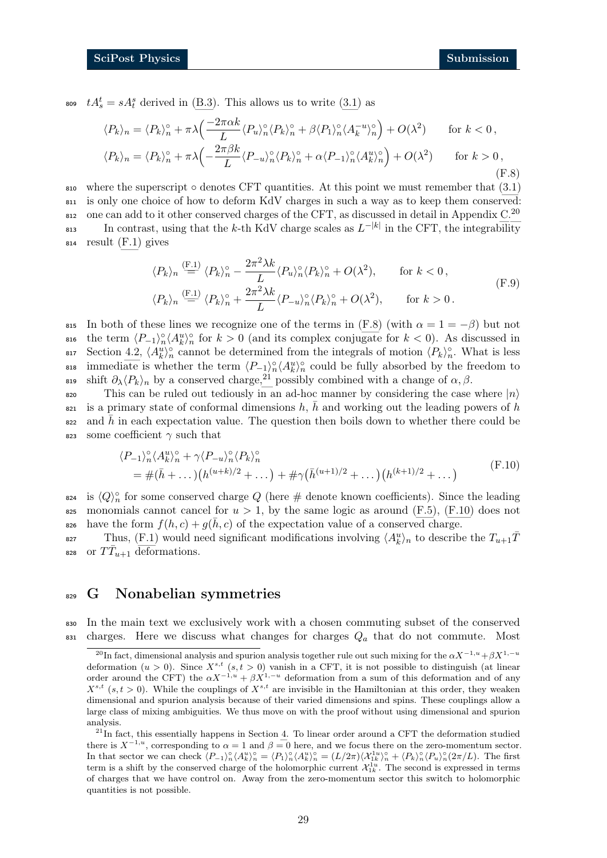so  $tA_s^t = sA_t^s$  derived in [\(B.3\)](#page-18-4). This allows us to write [\(3.1\)](#page-7-2) as

<span id="page-28-2"></span>
$$
\langle P_k \rangle_n = \langle P_k \rangle_n^{\circ} + \pi \lambda \Big( \frac{-2\pi \alpha k}{L} \langle P_u \rangle_n^{\circ} \langle P_k \rangle_n^{\circ} + \beta \langle P_1 \rangle_n^{\circ} \langle A_k^{-u} \rangle_n^{\circ} \Big) + O(\lambda^2) \quad \text{for } k < 0,
$$
  

$$
\langle P_k \rangle_n = \langle P_k \rangle_n^{\circ} + \pi \lambda \Big( -\frac{2\pi \beta k}{L} \langle P_{-u} \rangle_n^{\circ} \langle P_k \rangle_n^{\circ} + \alpha \langle P_{-1} \rangle_n^{\circ} \langle A_k^u \rangle_n^{\circ} \Big) + O(\lambda^2) \quad \text{for } k > 0,
$$
  
(F.8)

810 where the superscript  $\circ$  denotes CFT quantities. At this point we must remember that  $(3.1)$ <sup>811</sup> is only one choice of how to deform KdV charges in such a way as to keep them conserved:  $\alpha$  one can add to it other conserved charges of the CFT, as discussed in detail in Appendix [C.](#page-20-1)<sup>[20](#page-28-1)</sup> 813 In contrast, using that the k-th KdV charge scales as  $L^{-|k|}$  in the CFT, the integrability <sup>814</sup> result [\(F.1\)](#page-26-2) gives

$$
\langle P_k \rangle_n \stackrel{\text{(F.1)}}{=} \langle P_k \rangle_n^{\circ} - \frac{2\pi^2\lambda k}{L} \langle P_u \rangle_n^{\circ} \langle P_k \rangle_n^{\circ} + O(\lambda^2), \qquad \text{for } k < 0,
$$
  

$$
\langle P_k \rangle_n \stackrel{\text{(F.1)}}{=} \langle P_k \rangle_n^{\circ} + \frac{2\pi^2\lambda k}{L} \langle P_{-u} \rangle_n^{\circ} \langle P_k \rangle_n^{\circ} + O(\lambda^2), \qquad \text{for } k > 0.
$$
 (F.9)

815 In both of these lines we recognize one of the terms in  $(F.8)$  (with  $\alpha = 1 = -\beta$ ) but not sio the term  $\langle P_{-1}\rangle_n^{\circ}\langle A_k^u\rangle_n^{\circ}$  for  $k>0$  (and its complex conjugate for  $k<0$ ). As discussed in siz Section [4.2,](#page-11-0)  $\langle A_k^u \rangle_n^{\circ}$  cannot be determined from the integrals of motion  $\langle P_k \rangle_n^{\circ}$ . What is less sis immediate is whether the term  $\langle P_{-1}\rangle_n^{\circ}\langle A_k^u\rangle_n^{\circ}$  could be fully absorbed by the freedom to shift  $\partial_{\lambda} \langle P_k \rangle_n$  by a conserved charge,<sup>[21](#page-28-3)</sup> possibly combined with a change of  $\alpha, \beta$ .

820 This can be ruled out tediously in an ad-hoc manner by considering the case where  $|n\rangle$  $s_{21}$  is a primary state of conformal dimensions h, h and working out the leading powers of h  $\alpha$ <sup>22</sup> and  $\bar{h}$  in each expectation value. The question then boils down to whether there could be 823 some coefficient  $\gamma$  such that

<span id="page-28-4"></span>
$$
\langle P_{-1} \rangle_n^{\circ} \langle A_k^u \rangle_n^{\circ} + \gamma \langle P_{-u} \rangle_n^{\circ} \langle P_k \rangle_n^{\circ}
$$
  
=  $\#(\bar{h} + ...)(h^{(u+k)/2} + ...) + \# \gamma (\bar{h}^{(u+1)/2} + ...) (h^{(k+1)/2} + ...)$  (F.10)

<sup>824</sup> is  $\langle Q \rangle_n^{\circ}$  for some conserved charge Q (here # denote known coefficients). Since the leading 825 monomials cannot cancel for  $u > 1$ , by the same logic as around [\(F.5\)](#page-27-1), [\(F.10\)](#page-28-4) does not sso have the form  $f(h, c) + g(h, c)$  of the expectation value of a conserved charge.

<sup>827</sup> Thus, [\(F.1\)](#page-26-2) would need significant modifications involving  $\langle A_k^u \rangle_n$  to describe the  $T_{u+1}\bar{T}$ 828 or  $T\bar{T}_{u+1}$  deformations.

## <span id="page-28-0"></span><sup>829</sup> G Nonabelian symmetries

<sup>830</sup> In the main text we exclusively work with a chosen commuting subset of the conserved  $831$  charges. Here we discuss what changes for charges  $Q_a$  that do not commute. Most

<span id="page-28-1"></span><sup>&</sup>lt;sup>20</sup>In fact, dimensional analysis and spurion analysis together rule out such mixing for the  $\alpha X^{-1,u}+\beta X^{1,-u}$ deformation  $(u > 0)$ . Since  $X^{s,t}$   $(s, t > 0)$  vanish in a CFT, it is not possible to distinguish (at linear order around the CFT) the  $\alpha X^{-1,u} + \beta X^{1,-u}$  deformation from a sum of this deformation and of any  $X^{s,t}$  (s,  $t > 0$ ). While the couplings of  $X^{s,t}$  are invisible in the Hamiltonian at this order, they weaken dimensional and spurion analysis because of their varied dimensions and spins. These couplings allow a large class of mixing ambiguities. We thus move on with the proof without using dimensional and spurion analysis.

<span id="page-28-3"></span> $21$ In fact, this essentially happens in Section [4.](#page-10-0) To linear order around a CFT the deformation studied there is  $X^{-1,u}$ , corresponding to  $\alpha = 1$  and  $\beta = 0$  here, and we focus there on the zero-momentum sector. In that sector we can check  $\langle P_{-1}\rangle_n^{\circ}\langle A_k^u\rangle_n^{\circ} = \langle P_1\rangle_n^{\circ}\langle A_k^u\rangle_n^{\circ} = (L/2\pi)\langle \mathcal{X}_{1k}^{1u}\rangle_n^{\circ} + \langle P_k\rangle_n^{\circ}\langle P_u\rangle_n^{\circ}(2\pi/L)$ . The first term is a shift by the conserved charge of the holomorphic current  $\mathcal{X}_{1k}^{1u}$ . The second is expressed in terms of charges that we have control on. Away from the zero-momentum sector this switch to holomorphic quantities is not possible.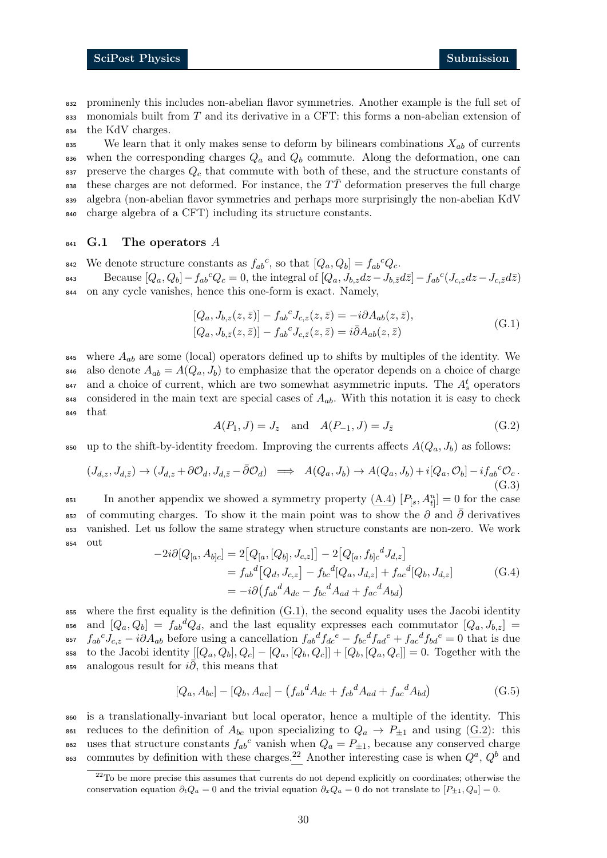<sup>832</sup> prominenly this includes non-abelian flavor symmetries. Another example is the full set of  $\frac{1}{833}$  monomials built from T and its derivative in a CFT: this forms a non-abelian extension of <sup>834</sup> the KdV charges.

835 We learn that it only makes sense to deform by bilinears combinations  $X_{ab}$  of currents 836 when the corresponding charges  $Q_a$  and  $Q_b$  commute. Along the deformation, one can 837 preserve the charges  $Q_c$  that commute with both of these, and the structure constants of 838 these charges are not deformed. For instance, the  $T\bar{T}$  deformation preserves the full charge <sup>839</sup> algebra (non-abelian flavor symmetries and perhaps more surprisingly the non-abelian KdV <sup>840</sup> charge algebra of a CFT) including its structure constants.

#### <span id="page-29-0"></span> $_{841}$  G.1 The operators A

<sup>842</sup> We denote structure constants as  $f_{ab}{}^c$ , so that  $[Q_a, Q_b] = f_{ab}{}^c Q_c$ . Because  $[Q_a, Q_b] - f_{ab}{}^c Q_c = 0$ , the integral of  $[Q_a, J_{b,z}dz - J_{b,\bar{z}}d\bar{z}] - f_{ab}{}^c (J_{c,z}dz - J_{c,\bar{z}}d\bar{z})$ <sup>844</sup> on any cycle vanishes, hence this one-form is exact. Namely,

<span id="page-29-1"></span>
$$
[Q_a, J_{b,z}(z,\bar{z})] - f_{ab}^c J_{c,z}(z,\bar{z}) = -i\partial A_{ab}(z,\bar{z}),
$$
  
\n
$$
[Q_a, J_{b,\bar{z}}(z,\bar{z})] - f_{ab}^c J_{c,\bar{z}}(z,\bar{z}) = i\bar{\partial} A_{ab}(z,\bar{z})
$$
\n(G.1)

845 where  $A_{ab}$  are some (local) operators defined up to shifts by multiples of the identity. We 846 also denote  $A_{ab} = A(Q_a, J_b)$  to emphasize that the operator depends on a choice of charge  $_{847}$  and a choice of current, which are two somewhat asymmetric inputs. The  $A_s^t$  operators 848 considered in the main text are special cases of  $A_{ab}$ . With this notation it is easy to check <sup>849</sup> that

$$
A(P_1, J) = J_z
$$
 and  $A(P_{-1}, J) = J_{\bar{z}}$  (G.2)

<span id="page-29-2"></span>850 up to the shift-by-identity freedom. Improving the currents affects  $A(Q_a, J_b)$  as follows:

$$
(J_{d,z}, J_{d,\bar{z}}) \to (J_{d,z} + \partial \mathcal{O}_d, J_{d,\bar{z}} - \bar{\partial} \mathcal{O}_d) \implies A(Q_a, J_b) \to A(Q_a, J_b) + i[Q_a, \mathcal{O}_b] - i f_{ab}^{\ c} \mathcal{O}_c. \tag{G.3}
$$

<sup>851</sup> In another appendix we showed a symmetry property  $(A.4)$   $[P<sub>[s</sub>, A<sup>u</sup><sub>t]</sub>] = 0$  for the case 852 of commuting charges. To show it the main point was to show the  $\partial$  and  $\overline{\partial}$  derivatives <sup>853</sup> vanished. Let us follow the same strategy when structure constants are non-zero. We work <sup>854</sup> out

$$
-2i\partial [Q_{[a}, A_{b]c}] = 2 [Q_{[a}, [Q_{b]}, J_{c,z}]] - 2 [Q_{[a}, f_{b]c}{}^d J_{d,z}]
$$
  
=  $f_{ab}{}^d [Q_d, J_{c,z}] - f_{bc}{}^d [Q_a, J_{d,z}] + f_{ac}{}^d [Q_b, J_{d,z}]$   
=  $-i\partial (f_{ab}{}^d A_{dc} - f_{bc}{}^d A_{ad} + f_{ac}{}^d A_{bd})$  (G.4)

 $\frac{1}{855}$  where the first equality is the definition [\(G.1\)](#page-29-1), the second equality uses the Jacobi identity ass and  $[Q_a, Q_b] = f_{ab}{}^d Q_d$ , and the last equality expresses each commutator  $[Q_a, J_{b,z}]$ <sup>857</sup>  $f_{ab}{}^c J_{c,z} - i \partial A_{ab}$  before using a cancellation  $f_{ab}{}^d f_{dc}{}^e - f_{bc}{}^d f_{ad}{}^e + f_{ac}{}^d f_{bd}{}^e = 0$  that is due 858 to the Jacobi identity  $[|Q_a, Q_b|, Q_c] - [Q_a, [Q_b, Q_c]] + [Q_b, [Q_a, Q_c]] = 0$ . Together with the ass analogous result for  $i\overline{\partial}$ , this means that

<span id="page-29-4"></span>
$$
[Q_a, A_{bc}] - [Q_b, A_{ac}] - (f_{ab}{}^d A_{dc} + f_{cb}{}^d A_{ad} + f_{ac}{}^d A_{bd})
$$
 (G.5)

<sup>860</sup> is a translationally-invariant but local operator, hence a multiple of the identity. This 861 reduces to the definition of  $A_{bc}$  upon specializing to  $Q_a \rightarrow P_{\pm 1}$  and using [\(G.2\)](#page-29-2): this <sup>862</sup> uses that structure constants  $f_{ab}{}^c$  vanish when  $Q_a = P_{\pm 1}$ , because any conserved charge <sup>863</sup> commutes by definition with these charges.<sup>[22](#page-29-3)</sup> Another interesting case is when  $Q^a$ ,  $Q^b$  and

<span id="page-29-3"></span> $^{22}$ To be more precise this assumes that currents do not depend explicitly on coordinates; otherwise the conservation equation  $\partial_t Q_a = 0$  and the trivial equation  $\partial_x Q_a = 0$  do not translate to  $[P_{\pm 1}, Q_a] = 0$ .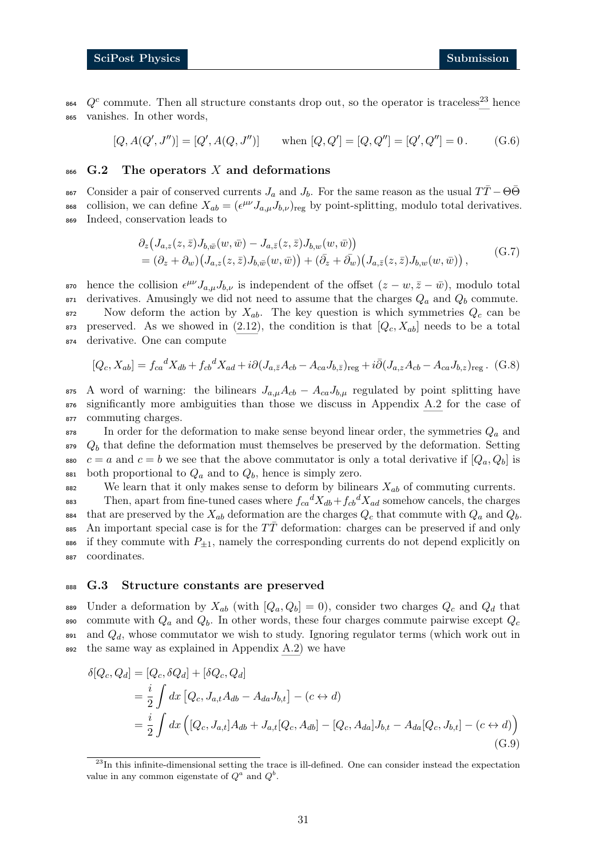$\delta^{64}$  Q<sup>c</sup> commute. Then all structure constants drop out, so the operator is traceless<sup>[23](#page-30-2)</sup> hence <sup>865</sup> vanishes. In other words,

> $[Q, A(Q', J'')] = [Q'$ ,  $A(Q, J'')$  when  $[Q, Q'] = [Q, Q''] = [Q', Q''] = 0$ . (G.6)

#### <span id="page-30-0"></span>866 G.2 The operators X and deformations

667 Consider a pair of conserved currents  $J_a$  and  $J_b$ . For the same reason as the usual  $TT-Θ\Theta$ <sup>868</sup> collision, we can define  $X_{ab} = (\epsilon^{\mu\nu} J_{a,\mu} J_{b,\nu})_{\text{reg}}$  by point-splitting, modulo total derivatives. <sup>869</sup> Indeed, conservation leads to

$$
\partial_z \big( J_{a,z}(z,\bar{z}) J_{b,\bar{w}}(w,\bar{w}) - J_{a,\bar{z}}(z,\bar{z}) J_{b,w}(w,\bar{w}) \big) \n= (\partial_z + \partial_w) \big( J_{a,z}(z,\bar{z}) J_{b,\bar{w}}(w,\bar{w}) \big) + (\bar{\partial_z} + \bar{\partial_w}) \big( J_{a,\bar{z}}(z,\bar{z}) J_{b,w}(w,\bar{w}) \big) ,
$$
\n(G.7)

<sup>870</sup> hence the collision  $\epsilon^{\mu\nu} J_{a,\mu}J_{b,\nu}$  is independent of the offset  $(z-w,\bar{z}-\bar{w})$ , modulo total 871 derivatives. Amusingly we did not need to assume that the charges  $Q_a$  and  $Q_b$  commute. 872 Now deform the action by  $X_{ab}$ . The key question is which symmetries  $Q_c$  can be 873 preserved. As we showed in  $(2.12)$ , the condition is that  $[Q_c, X_{ab}]$  needs to be a total <sup>874</sup> derivative. One can compute

$$
[Q_c, X_{ab}] = f_{ca}{}^d X_{db} + f_{cb}{}^d X_{ad} + i \partial (J_{a,\bar{z}} A_{cb} - A_{ca} J_{b,\bar{z}})_{\text{reg}} + i \bar{\partial} (J_{a,z} A_{cb} - A_{ca} J_{b,z})_{\text{reg}}. \tag{G.8}
$$

875 A word of warning: the bilinears  $J_{a,\mu}A_{cb} - A_{ca}J_{b,\mu}$  regulated by point splitting have <sup>876</sup> significantly more ambiguities than those we discuss in Appendix [A.2](#page-15-0) for the case of <sup>877</sup> commuting charges.

 In order for the deformation to make sense beyond linear order, the symmetries  $Q_a$  and  $Q_b$  that define the deformation must themselves be preserved by the deformation. Setting  $c = a$  and  $c = b$  we see that the above commutator is only a total derivative if  $[Q_a, Q_b]$  is 881 both proportional to  $Q_a$  and to  $Q_b$ , hence is simply zero.

882 We learn that it only makes sense to deform by bilinears  $X_{ab}$  of commuting currents.

<sup>883</sup> Then, apart from fine-tuned cases where  $f_{ca}{}^d X_{db} + f_{cb}{}^d X_{ad}$  somehow cancels, the charges 884 that are preserved by the  $X_{ab}$  deformation are the charges  $Q_c$  that commute with  $Q_a$  and  $Q_b$ . 885 An important special case is for the  $T\bar{T}$  deformation: charges can be preserved if and only 886 if they commute with  $P_{\pm 1}$ , namely the corresponding currents do not depend explicitly on <sup>887</sup> coordinates.

#### <span id="page-30-1"></span><sup>888</sup> G.3 Structure constants are preserved

889 Under a deformation by  $X_{ab}$  (with  $[Q_a, Q_b] = 0$ ), consider two charges  $Q_c$  and  $Q_d$  that 890 commute with  $Q_a$  and  $Q_b$ . In other words, these four charges commute pairwise except  $Q_c$  $891$  and  $Q_d$ , whose commutator we wish to study. Ignoring regulator terms (which work out in <sup>892</sup> the same way as explained in Appendix [A.2\)](#page-15-0) we have

$$
\delta[Q_c, Q_d] = [Q_c, \delta Q_d] + [\delta Q_c, Q_d]
$$
  
=  $\frac{i}{2} \int dx [Q_c, J_{a,t} A_{db} - A_{da} J_{b,t}] - (c \leftrightarrow d)$   
=  $\frac{i}{2} \int dx ([Q_c, J_{a,t}] A_{db} + J_{a,t} [Q_c, A_{db}] - [Q_c, A_{da}] J_{b,t} - A_{da} [Q_c, J_{b,t}] - (c \leftrightarrow d))$   
(G.9)

<span id="page-30-2"></span> $^{23}$ In this infinite-dimensional setting the trace is ill-defined. One can consider instead the expectation value in any common eigenstate of  $Q^a$  and  $Q^b$ .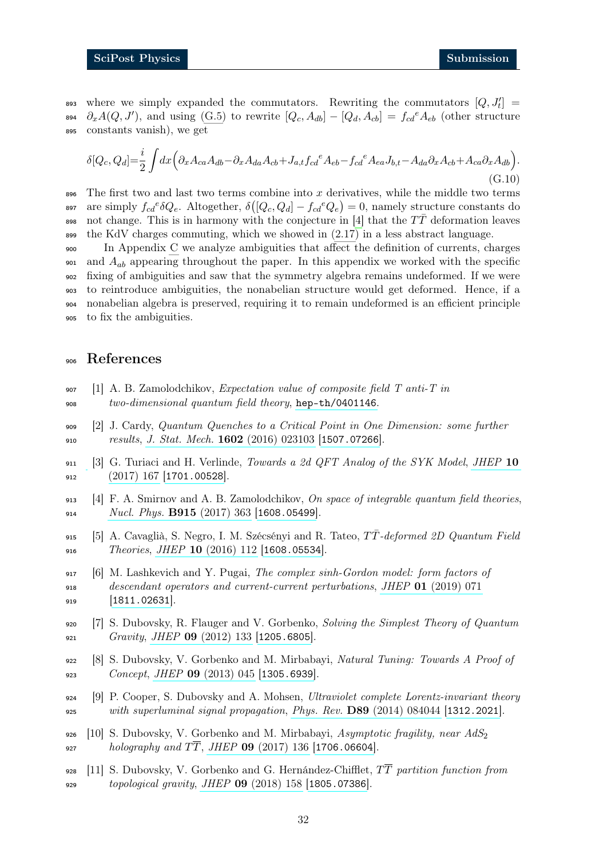893 where we simply expanded the commutators. Rewriting the commutators  $[Q, J'_t]$  = <sup>894</sup>  $\partial_x A(Q, J')$ , and using [\(G.5\)](#page-29-4) to rewrite  $[Q_c, A_{db}] - [Q_d, A_{cb}] = f_{cd}^e A_{eb}$  (other structure <sup>895</sup> constants vanish), we get

<span id="page-31-0"></span>
$$
\delta[Q_c, Q_d] = \frac{i}{2} \int dx \left( \partial_x A_{ca} A_{db} - \partial_x A_{da} A_{cb} + J_{a,t} f_{cd}^e A_{eb} - f_{cd}^e A_{ea} J_{b,t} - A_{da} \partial_x A_{cb} + A_{ca} \partial_x A_{db} \right).
$$
\n(G.10)

896 The first two and last two terms combine into x derivatives, while the middle two terms <sup>897</sup> are simply  $f_{cd}e^{i\delta}Q_e$ . Altogether,  $\delta([Q_c, Q_d] - f_{cd}e^{i\delta}Q_e) = 0$ , namely structure constants do 898 not change. This is in harmony with the conjecture in [\[4\]](#page-31-3) that the  $T\bar{T}$  deformation leaves  $\frac{1}{899}$  the KdV charges commuting, which we showed in  $(2.17)$  in a less abstract language.

 In Appendix [C](#page-20-1) we analyze ambiguities that affect the definition of currents, charges and  $A_{ab}$  appearing throughout the paper. In this appendix we worked with the specific fixing of ambiguities and saw that the symmetry algebra remains undeformed. If we were to reintroduce ambiguities, the nonabelian structure would get deformed. Hence, if a nonabelian algebra is preserved, requiring it to remain undeformed is an efficient principle to fix the ambiguities.

#### <sup>906</sup> References

- <span id="page-31-1"></span>907 [1] A. B. Zamolodchikov, Expectation value of composite field  $T$  anti- $T$  in 908 two-dimensional quantum field theory, [hep-th/0401146](https://arxiv.org/abs/hep-th/0401146).
- <span id="page-31-10"></span><sup>909</sup> [2] J. Cardy, Quantum Quenches to a Critical Point in One Dimension: some further 910 results, J. Stat. Mech. 1602 [\(2016\) 023103](https://doi.org/10.1088/1742-5468/2016/02/023103) [[1507.07266](https://arxiv.org/abs/1507.07266)].
- <span id="page-31-2"></span>911 [3] G. Turiaci and H. Verlinde, Towards a 2d QFT Analog of the SYK Model, [JHEP](https://doi.org/10.1007/JHEP10(2017)167)  $10$  $912$  [\(2017\) 167](https://doi.org/10.1007/JHEP10(2017)167) [[1701.00528](https://arxiv.org/abs/1701.00528)].
- <span id="page-31-3"></span>913 [4] F. A. Smirnov and A. B. Zamolodchikov, On space of integrable quantum field theories, 914 [Nucl. Phys.](https://doi.org/10.1016/j.nuclphysb.2016.12.014) **B915** (2017) 363 [[1608.05499](https://arxiv.org/abs/1608.05499)].
- <span id="page-31-9"></span>915 [5] A. Cavaglià, S. Negro, I. M. Szécsényi and R. Tateo,  $T\overline{T}$ -deformed 2D Quantum Field 916 Theories, JHEP  $10$  [\(2016\) 112](https://doi.org/10.1007/JHEP10(2016)112) [[1608.05534](https://arxiv.org/abs/1608.05534)].
- <span id="page-31-4"></span><sup>917</sup> [6] M. Lashkevich and Y. Pugai, The complex sinh-Gordon model: form factors of <sup>918</sup> descendant operators and current-current perturbations, JHEP 01 [\(2019\) 071](https://doi.org/10.1007/JHEP01(2019)071) 919 [[1811.02631](https://arxiv.org/abs/1811.02631)].
- <span id="page-31-5"></span><sup>920</sup> [7] S. Dubovsky, R. Flauger and V. Gorbenko, Solving the Simplest Theory of Quantum 921 Gravity, JHEP  $\bf{09}$  [\(2012\) 133](https://doi.org/10.1007/JHEP09(2012)133) [[1205.6805](https://arxiv.org/abs/1205.6805)].
- <sup>922</sup> [8] S. Dubovsky, V. Gorbenko and M. Mirbabayi, Natural Tuning: Towards A Proof of 923 Concept, JHEP 09 [\(2013\) 045](https://doi.org/10.1007/JHEP09(2013)045) [[1305.6939](https://arxiv.org/abs/1305.6939)].
- <span id="page-31-6"></span><sup>924</sup> [9] P. Cooper, S. Dubovsky and A. Mohsen, Ultraviolet complete Lorentz-invariant theory <sup>925</sup> with superluminal signal propagation, Phys. Rev. D89 [\(2014\) 084044](https://doi.org/10.1103/PhysRevD.89.084044) [[1312.2021](https://arxiv.org/abs/1312.2021)].
- <span id="page-31-7"></span>926 [10] S. Dubovsky, V. Gorbenko and M. Mirbabayi, Asymptotic fragility, near  $AdS_2$ 927 holography and  $T\overline{T}$ , JHEP 09 [\(2017\) 136](https://doi.org/10.1007/JHEP09(2017)136) [[1706.06604](https://arxiv.org/abs/1706.06604)].
- <span id="page-31-8"></span>928 [11] S. Dubovsky, V. Gorbenko and G. Hernández-Chifflet,  $T\overline{T}$  partition function from <sup>929</sup> topological gravity, JHEP 09 [\(2018\) 158](https://doi.org/10.1007/JHEP09(2018)158) [[1805.07386](https://arxiv.org/abs/1805.07386)].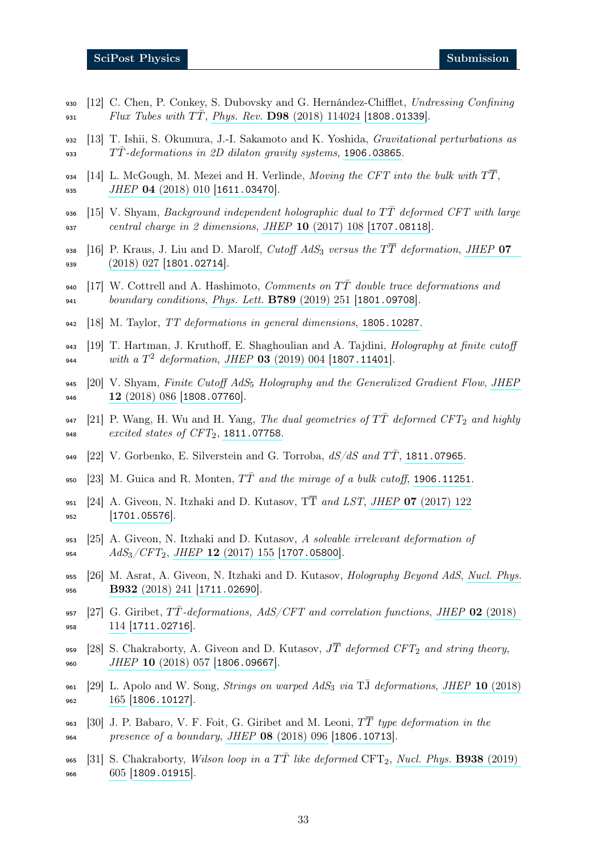- <span id="page-32-0"></span>930 [12] C. Chen, P. Conkey, S. Dubovsky and G. Hernández-Chifflet, Undressing Confining 931  $Flux Tubes with TT, Phys. Rev. D98 (2018) 114024 [1808.01339].$  $Flux Tubes with TT, Phys. Rev. D98 (2018) 114024 [1808.01339].$  $Flux Tubes with TT, Phys. Rev. D98 (2018) 114024 [1808.01339].$  $Flux Tubes with TT, Phys. Rev. D98 (2018) 114024 [1808.01339].$  $Flux Tubes with TT, Phys. Rev. D98 (2018) 114024 [1808.01339].$
- <span id="page-32-1"></span><sup>932</sup> [13] T. Ishii, S. Okumura, J.-I. Sakamoto and K. Yoshida, Gravitational perturbations as 933  $TT$ -deformations in 2D dilaton gravity systems, [1906.03865](https://arxiv.org/abs/1906.03865).
- <span id="page-32-2"></span>934 [14] L. McGough, M. Mezei and H. Verlinde, Moving the CFT into the bulk with  $T\overline{T}$ , 935 JHEP 04 [\(2018\) 010](https://doi.org/10.1007/JHEP04(2018)010) [[1611.03470](https://arxiv.org/abs/1611.03470)].
- 936 [15] V. Shyam, Background independent holographic dual to  $T\bar{T}$  deformed CFT with large <sup>937</sup> central charge in 2 dimensions, JHEP 10 [\(2017\) 108](https://doi.org/10.1007/JHEP10(2017)108) [[1707.08118](https://arxiv.org/abs/1707.08118)].
- <span id="page-32-5"></span>938 [\[](https://doi.org/10.1007/JHEP07(2018)027)16] P. Kraus, J. Liu and D. Marolf, Cutoff AdS<sub>3</sub> versus the  $T\overline{T}$  deformation, [JHEP](https://doi.org/10.1007/JHEP07(2018)027) 07 939 [\(2018\) 027](https://doi.org/10.1007/JHEP07(2018)027) [[1801.02714](https://arxiv.org/abs/1801.02714)].
- 940 [17] W. Cottrell and A. Hashimoto, *Comments on*  $T\overline{T}$  double trace deformations and <sup>941</sup> boundary conditions, [Phys. Lett.](https://doi.org/10.1016/j.physletb.2018.09.068) B789 (2019) 251 [[1801.09708](https://arxiv.org/abs/1801.09708)].
- 942 [18] M. Taylor, TT deformations in general dimensions, [1805.10287](https://arxiv.org/abs/1805.10287).
- <span id="page-32-6"></span>943 [19] T. Hartman, J. Kruthoff, E. Shaghoulian and A. Tajdini, *Holography at finite cutoff* 944 with a  $T^2$  deformation, JHEP 03 [\(2019\) 004](https://doi.org/10.1007/JHEP03(2019)004) [[1807.11401](https://arxiv.org/abs/1807.11401)].
- 945 [\[](https://doi.org/10.1007/JHEP12(2018)086)20] V. Shyam, Finite Cutoff  $AdS_5$  Holography and the Generalized Gradient Flow, [JHEP](https://doi.org/10.1007/JHEP12(2018)086) 946 12 [\(2018\) 086](https://doi.org/10.1007/JHEP12(2018)086) [[1808.07760](https://arxiv.org/abs/1808.07760)].
- 947 [21] P. Wang, H. Wu and H. Yang, The dual geometries of  $T\overline{T}$  deformed CFT<sub>2</sub> and highly 948 *excited states of*  $CFT_2$ , [1811.07758](https://arxiv.org/abs/1811.07758).
- <span id="page-32-8"></span>949 [22] V. Gorbenko, E. Silverstein and G. Torroba,  $dS/dS$  and  $T\overline{T}$ , [1811.07965](https://arxiv.org/abs/1811.07965).
- <span id="page-32-3"></span>950 [23] M. Guica and R. Monten,  $T\overline{T}$  and the mirage of a bulk cutoff, [1906.11251](https://arxiv.org/abs/1906.11251).
- <span id="page-32-4"></span>951 [24] A. Giveon, N. Itzhaki and D. Kutasov,  $T\overline{T}$  and LST, JHEP 07 [\(2017\) 122](https://doi.org/10.1007/JHEP07(2017)122)  $952$  [[1701.05576](https://arxiv.org/abs/1701.05576)].
- <sup>953</sup> [25] A. Giveon, N. Itzhaki and D. Kutasov, A solvable irrelevant deformation of 954  $AdS_3/CFT_2$ , JHEP 12 [\(2017\) 155](https://doi.org/10.1007/JHEP12(2017)155) [[1707.05800](https://arxiv.org/abs/1707.05800)].
- <sup>955</sup> [\[](https://doi.org/10.1016/j.nuclphysb.2018.05.005)26] M. Asrat, A. Giveon, N. Itzhaki and D. Kutasov, Holography Beyond AdS, [Nucl. Phys.](https://doi.org/10.1016/j.nuclphysb.2018.05.005) 956 **B932** [\(2018\) 241](https://doi.org/10.1016/j.nuclphysb.2018.05.005) [[1711.02690](https://arxiv.org/abs/1711.02690)].
- <span id="page-32-7"></span>957 [\[](https://doi.org/10.1007/JHEP02(2018)114)27] G. Giribet,  $T\bar{T}$ -deformations, AdS/CFT and correlation functions, JHEP 02 [\(2018\)](https://doi.org/10.1007/JHEP02(2018)114) <sup>958</sup> [114](https://doi.org/10.1007/JHEP02(2018)114) [[1711.02716](https://arxiv.org/abs/1711.02716)].
- <span id="page-32-9"></span>959 [28] S. Chakraborty, A. Giveon and D. Kutasov,  $J\overline{T}$  deformed CFT<sub>2</sub> and string theory, 960 JHEP 10 [\(2018\) 057](https://doi.org/10.1007/JHEP10(2018)057) [[1806.09667](https://arxiv.org/abs/1806.09667)].
- $_{961}$  [\[](https://doi.org/10.1007/JHEP10(2018)165)29] L. Apolo and W. Song, *Strings on warped AdS<sub>3</sub> via* TJ *deformations*, *JHEP* 10 [\(2018\)](https://doi.org/10.1007/JHEP10(2018)165) 962 [165](https://doi.org/10.1007/JHEP10(2018)165) [[1806.10127](https://arxiv.org/abs/1806.10127)].
- 963 [30] J. P. Babaro, V. F. Foit, G. Giribet and M. Leoni,  $T\overline{T}$  type deformation in the <sup>964</sup> presence of a boundary, JHEP 08 [\(2018\) 096](https://doi.org/10.1007/JHEP08(2018)096) [[1806.10713](https://arxiv.org/abs/1806.10713)].
- 965 [\[](https://doi.org/10.1016/j.nuclphysb.2018.12.003)31] S. Chakraborty, Wilson loop in a  $T\bar{T}$  like deformed CFT<sub>2</sub>, [Nucl. Phys.](https://doi.org/10.1016/j.nuclphysb.2018.12.003) **B938** (2019) <sup>966</sup> [605](https://doi.org/10.1016/j.nuclphysb.2018.12.003) [[1809.01915](https://arxiv.org/abs/1809.01915)].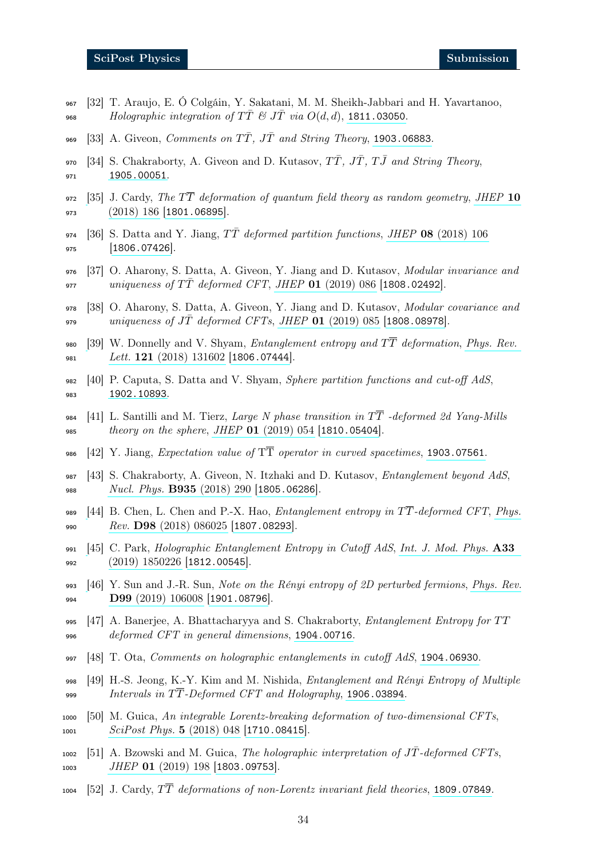- <sup>967</sup> [32] T. Araujo, E. Ó Colgáin, Y. Sakatani, M. M. Sheikh-Jabbari and H. Yavartanoo, 968 Holographic integration of  $T\overline{T} \mathcal{L} J\overline{T}$  via  $O(d, d)$ , [1811.03050](https://arxiv.org/abs/1811.03050).
- 969 [33] A. Giveon, Comments on  $T\overline{T}$ ,  $J\overline{T}$  and String Theory, [1903.06883](https://arxiv.org/abs/1903.06883).
- <span id="page-33-0"></span>970 [34] S. Chakraborty, A. Giveon and D. Kutasov,  $T\overline{T}$ ,  $J\overline{T}$ ,  $T\overline{J}$  and String Theory, <sup>971</sup> [1905.00051](https://arxiv.org/abs/1905.00051).
- <span id="page-33-1"></span>972 [\[](https://doi.org/10.1007/JHEP10(2018)186)35] J. Cardy, The  $T\overline{T}$  deformation of quantum field theory as random geometry, [JHEP](https://doi.org/10.1007/JHEP10(2018)186) 10 <sup>973</sup> [\(2018\) 186](https://doi.org/10.1007/JHEP10(2018)186) [[1801.06895](https://arxiv.org/abs/1801.06895)].
- <span id="page-33-2"></span>974 [36] S. Datta and Y. Jiang,  $T\overline{T}$  deformed partition functions, JHEP 08 [\(2018\) 106](https://doi.org/10.1007/JHEP08(2018)106)  $975$  [[1806.07426](https://arxiv.org/abs/1806.07426)].
- <sup>976</sup> [37] O. Aharony, S. Datta, A. Giveon, Y. Jiang and D. Kutasov, Modular invariance and 977 uniqueness of  $T\bar{T}$  deformed CFT, JHEP 01 [\(2019\) 086](https://doi.org/10.1007/JHEP01(2019)086) [[1808.02492](https://arxiv.org/abs/1808.02492)].
- <span id="page-33-3"></span><sup>978</sup> [38] O. Aharony, S. Datta, A. Giveon, Y. Jiang and D. Kutasov, Modular covariance and 979 uniqueness of JT deformed CFTs, JHEP  $01$  [\(2019\) 085](https://doi.org/10.1007/JHEP01(2019)085) [[1808.08978](https://arxiv.org/abs/1808.08978)].
- <span id="page-33-4"></span>980 [\[](https://doi.org/10.1103/PhysRevLett.121.131602)39] W. Donnelly and V. Shyam, *Entanglement entropy and*  $T\overline{T}$  *deformation, [Phys. Rev.](https://doi.org/10.1103/PhysRevLett.121.131602)* 981 Lett.  $121 (2018) 131602 [1806.07444]$  $121 (2018) 131602 [1806.07444]$  $121 (2018) 131602 [1806.07444]$  $121 (2018) 131602 [1806.07444]$  $121 (2018) 131602 [1806.07444]$ .
- <span id="page-33-5"></span>982  $[40]$  P. Caputa, S. Datta and V. Shyam, *Sphere partition functions and cut-off AdS*, <sup>983</sup> [1902.10893](https://arxiv.org/abs/1902.10893).
- <span id="page-33-6"></span>984 [41] L. Santilli and M. Tierz, Large N phase transition in  $T\overline{T}$  -deformed 2d Yang-Mills 985 theory on the sphere, JHEP 01 [\(2019\) 054](https://doi.org/10.1007/JHEP01(2019)054) [[1810.05404](https://arxiv.org/abs/1810.05404)].
- <span id="page-33-7"></span>986 [42] Y. Jiang, Expectation value of  $T\overline{T}$  operator in curved spacetimes, [1903.07561](https://arxiv.org/abs/1903.07561).
- <span id="page-33-8"></span><sup>987</sup> [43] S. Chakraborty, A. Giveon, N. Itzhaki and D. Kutasov, Entanglement beyond AdS, 988 *[Nucl. Phys.](https://doi.org/10.1016/j.nuclphysb.2018.08.011)* **B935** (2018) 290 [[1805.06286](https://arxiv.org/abs/1805.06286)].
- 989 [\[](https://doi.org/10.1103/PhysRevD.98.086025)44] B. Chen, L. Chen and P.-X. Hao, *Entanglement entropy in*  $T\overline{T}$ -deformed CFT, [Phys.](https://doi.org/10.1103/PhysRevD.98.086025) 990  $Rev.$   $D98$  [\(2018\) 086025](https://doi.org/10.1103/PhysRevD.98.086025) [[1807.08293](https://arxiv.org/abs/1807.08293)].
- <sup>991</sup> [\[](https://doi.org/10.1142/S0217751X18502263)45] C. Park, Holographic Entanglement Entropy in Cutoff AdS, [Int. J. Mod. Phys.](https://doi.org/10.1142/S0217751X18502263) A33 992 [\(2019\) 1850226](https://doi.org/10.1142/S0217751X18502263) [[1812.00545](https://arxiv.org/abs/1812.00545)].
- 993 [\[](https://doi.org/10.1103/PhysRevD.99.106008)46] Y. Sun and J.-R. Sun, Note on the Rényi entropy of 2D perturbed fermions, [Phys. Rev.](https://doi.org/10.1103/PhysRevD.99.106008) 994 **D99** [\(2019\) 106008](https://doi.org/10.1103/PhysRevD.99.106008) [[1901.08796](https://arxiv.org/abs/1901.08796)].
- 995 [47] A. Banerjee, A. Bhattacharyya and S. Chakraborty, *Entanglement Entropy for TT* <sup>996</sup> deformed CFT in general dimensions, [1904.00716](https://arxiv.org/abs/1904.00716).
- 997  $[48]$  T. Ota, Comments on holographic entanglements in cutoff AdS, [1904.06930](https://arxiv.org/abs/1904.06930).
- <span id="page-33-9"></span>998  $[49]$  H.-S. Jeong, K.-Y. Kim and M. Nishida, *Entanglement and Rényi Entropy of Multiple* 999 Intervals in  $TT$ -Deformed CFT and Holography, [1906.03894](https://arxiv.org/abs/1906.03894).
- <span id="page-33-10"></span><sup>1000</sup> [50] M. Guica, An integrable Lorentz-breaking deformation of two-dimensional CFTs, 1001 [SciPost Phys.](https://doi.org/10.21468/SciPostPhys.5.5.048) 5 (2018) 048 [[1710.08415](https://arxiv.org/abs/1710.08415)].
- $_{1002}$  [51] A. Bzowski and M. Guica, The holographic interpretation of JT-deformed CFTs, 1003 JHEP 01 [\(2019\) 198](https://doi.org/10.1007/JHEP01(2019)198) [[1803.09753](https://arxiv.org/abs/1803.09753)].
- <span id="page-33-11"></span> $1004$  [52] J. Cardy,  $T\overline{T}$  deformations of non-Lorentz invariant field theories, [1809.07849](https://arxiv.org/abs/1809.07849).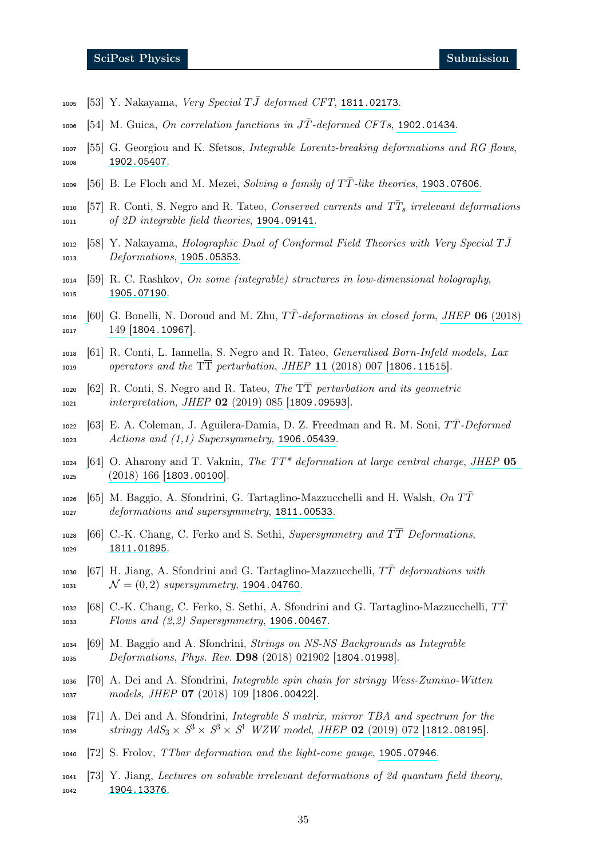- 1005 [53] Y. Nakayama, Very Special  $T\bar{J}$  deformed CFT, [1811.02173](https://arxiv.org/abs/1811.02173).
- <span id="page-34-5"></span> $1006$  [54] M. Guica, On correlation functions in JT-deformed CFTs, [1902.01434](https://arxiv.org/abs/1902.01434).
- <sup>1007</sup> [55] G. Georgiou and K. Sfetsos, Integrable Lorentz-breaking deformations and RG flows, <sup>1008</sup> [1902.05407](https://arxiv.org/abs/1902.05407).
- <span id="page-34-1"></span>1009 [56] B. Le Floch and M. Mezei, Solving a family of  $T\overline{T}$ -like theories, [1903.07606](https://arxiv.org/abs/1903.07606).
- <span id="page-34-2"></span>1010 [57] R. Conti, S. Negro and R. Tateo, Conserved currents and  $T\overline{T}_s$  irrelevant deformations <sup>1011</sup> of 2D integrable field theories, [1904.09141](https://arxiv.org/abs/1904.09141).
- $1012$  [58] Y. Nakayama, Holographic Dual of Conformal Field Theories with Very Special TJ $\overline{J}$ 1013 Deformations, [1905.05353](https://arxiv.org/abs/1905.05353).
- <span id="page-34-0"></span><sup>1014</sup> [59] R. C. Rashkov, On some (integrable) structures in low-dimensional holography, <sup>1015</sup> [1905.07190](https://arxiv.org/abs/1905.07190).
- <span id="page-34-3"></span>1016 [\[](https://doi.org/10.1007/JHEP06(2018)149)60] G. Bonelli, N. Doroud and M. Zhu,  $T\bar{T}$ -deformations in closed form, JHEP 06 [\(2018\)](https://doi.org/10.1007/JHEP06(2018)149) 1017 [149](https://doi.org/10.1007/JHEP06(2018)149) [[1804.10967](https://arxiv.org/abs/1804.10967)].
- <sup>1018</sup> [61] R. Conti, L. Iannella, S. Negro and R. Tateo, Generalised Born-Infeld models, Lax 1019 operators and the  $T\overline{T}$  perturbation, JHEP 11 [\(2018\) 007](https://doi.org/10.1007/JHEP11(2018)007) [[1806.11515](https://arxiv.org/abs/1806.11515)].
- $1020$  [62] R. Conti, S. Negro and R. Tateo, The TT perturbation and its geometric 1021 *interpretation, JHEP* 02 [\(2019\) 085](https://doi.org/10.1007/JHEP02(2019)085) [[1809.09593](https://arxiv.org/abs/1809.09593)].
- <span id="page-34-4"></span> $_{1022}$  [63] E. A. Coleman, J. Aguilera-Damia, D. Z. Freedman and R. M. Soni,  $T\bar{T}$ -Deformed <sup>1023</sup> Actions and (1,1) Supersymmetry, [1906.05439](https://arxiv.org/abs/1906.05439).
- <span id="page-34-6"></span>1024 [\[](https://doi.org/10.1007/JHEP05(2018)166)64] O. Aharony and T. Vaknin, The  $TT^*$  deformation at large central charge, [JHEP](https://doi.org/10.1007/JHEP05(2018)166) 05 1025 [\(2018\) 166](https://doi.org/10.1007/JHEP05(2018)166) [[1803.00100](https://arxiv.org/abs/1803.00100)].
- <span id="page-34-7"></span> $\left[65\right]$  M. Baggio, A. Sfondrini, G. Tartaglino-Mazzucchelli and H. Walsh,  $\Omega n T\overline{T}$ <sup>1027</sup> deformations and supersymmetry, [1811.00533](https://arxiv.org/abs/1811.00533).
- 1028 [66] C.-K. Chang, C. Ferko and S. Sethi, Supersymmetry and  $T\overline{T}$  Deformations, <sup>1029</sup> [1811.01895](https://arxiv.org/abs/1811.01895).
- 1030 [67] H. Jiang, A. Sfondrini and G. Tartaglino-Mazzucchelli,  $T\overline{T}$  deformations with 1031  $\mathcal{N} = (0, 2)$  supersymmetry, [1904.04760](https://arxiv.org/abs/1904.04760).
- <span id="page-34-8"></span>1032 [68] C.-K. Chang, C. Ferko, S. Sethi, A. Sfondrini and G. Tartaglino-Mazzucchelli,  $T\overline{T}$ <sup>1033</sup> Flows and (2,2) Supersymmetry, [1906.00467](https://arxiv.org/abs/1906.00467).
- <span id="page-34-9"></span><sup>1034</sup> [69] M. Baggio and A. Sfondrini, Strings on NS-NS Backgrounds as Integrable 1035 Deformations, Phys. Rev. **D98** [\(2018\) 021902](https://doi.org/10.1103/PhysRevD.98.021902) [[1804.01998](https://arxiv.org/abs/1804.01998)].
- <sup>1036</sup> [70] A. Dei and A. Sfondrini, Integrable spin chain for stringy Wess-Zumino-Witten 1037 *models, JHEP* **07** [\(2018\) 109](https://doi.org/10.1007/JHEP07(2018)109) [[1806.00422](https://arxiv.org/abs/1806.00422)].
- <sup>1038</sup> [71] A. Dei and A. Sfondrini, Integrable S matrix, mirror TBA and spectrum for the  $_{1039}$  stringy  $AdS_3\times S^3\times S^3\times S^1$  WZW model, JHEP 02 [\(2019\) 072](https://doi.org/10.1007/JHEP02(2019)072) [[1812.08195](https://arxiv.org/abs/1812.08195)].
- <span id="page-34-10"></span><sup>1040</sup> [72] S. Frolov, TTbar deformation and the light-cone gauge, [1905.07946](https://arxiv.org/abs/1905.07946).
- <span id="page-34-11"></span><sup>1041</sup> [73] Y. Jiang, Lectures on solvable irrelevant deformations of 2d quantum field theory, <sup>1042</sup> [1904.13376](https://arxiv.org/abs/1904.13376).